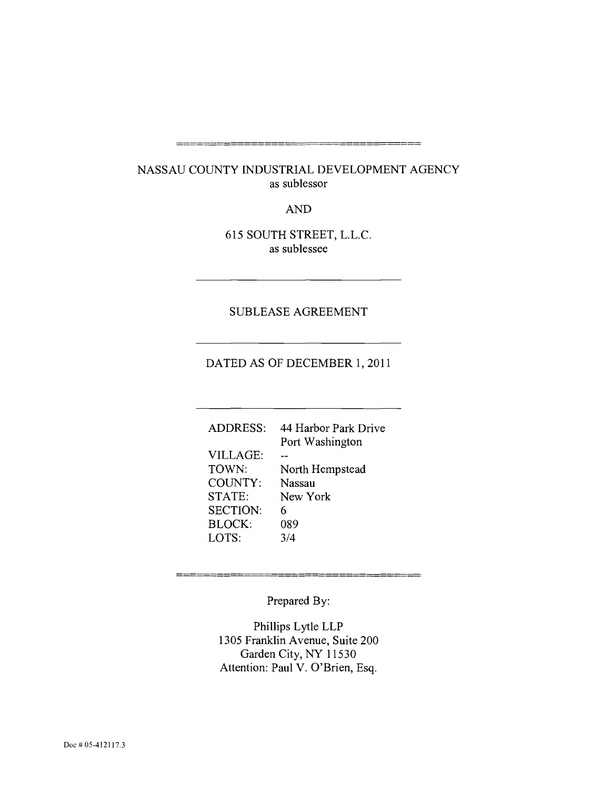# NASSAU COUNTY INDUSTRIAL DEVELOPMENT AGENCY

as sublessor

AND

615 SOUTH STREET, L.L.C. as sublessee

### SUBLEASE AGREEMENT

# DATED AS OF DECEMBER 1, 2011

| <b>ADDRESS:</b>      | 44 Harbor Park Drive |
|----------------------|----------------------|
|                      | Port Washington      |
| <b>VILLAGE:</b>      |                      |
| TOWN:                | North Hempstead      |
| COUNTY:              | <b>Nassau</b>        |
| STATE:               | New York             |
| <b>SECTION:</b><br>6 |                      |
| <b>BLOCK:</b>        | 089                  |
| LOTS:                | 3/4                  |
|                      |                      |

Prepared By:

Phillips Lytle LLP 1305 Franklin Avenue, Suite 200 Garden City, NY 11530 Attention: Paul V. O'Brien, Esq.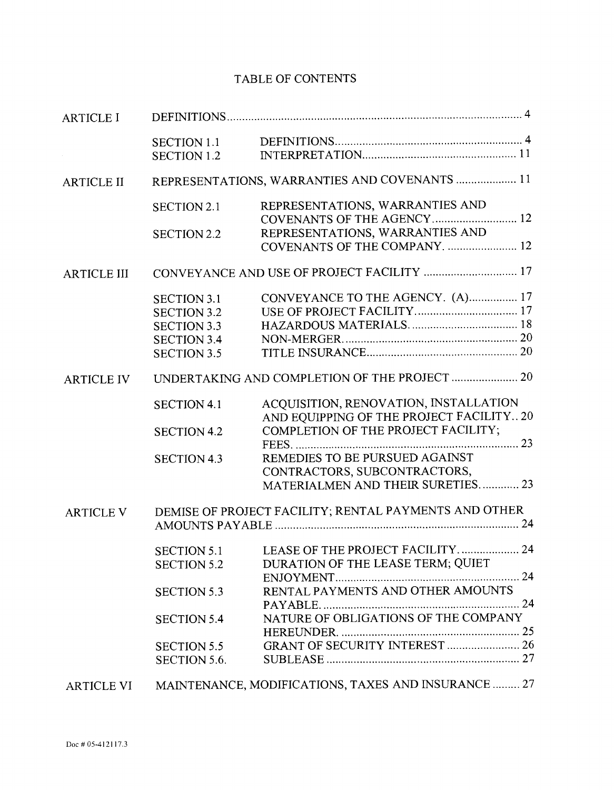# TABLE OF CONTENTS

| <b>ARTICLE I</b>   |                                                       |                                                |  |
|--------------------|-------------------------------------------------------|------------------------------------------------|--|
|                    | <b>SECTION 1.1</b>                                    |                                                |  |
|                    | <b>SECTION 1.2</b>                                    |                                                |  |
| <b>ARTICLE II</b>  | REPRESENTATIONS, WARRANTIES AND COVENANTS  11         |                                                |  |
|                    | <b>SECTION 2.1</b>                                    | REPRESENTATIONS, WARRANTIES AND                |  |
|                    |                                                       | COVENANTS OF THE AGENCY 12                     |  |
|                    | <b>SECTION 2.2</b>                                    | REPRESENTATIONS, WARRANTIES AND                |  |
|                    |                                                       | COVENANTS OF THE COMPANY.  12                  |  |
| <b>ARTICLE III</b> | CONVEYANCE AND USE OF PROJECT FACILITY  17            |                                                |  |
|                    | <b>SECTION 3.1</b>                                    | CONVEYANCE TO THE AGENCY. (A) 17               |  |
|                    | <b>SECTION 3.2</b>                                    |                                                |  |
|                    | <b>SECTION 3.3</b>                                    |                                                |  |
|                    | <b>SECTION 3.4</b>                                    |                                                |  |
|                    | <b>SECTION 3.5</b>                                    |                                                |  |
| <b>ARTICLE IV</b>  | UNDERTAKING AND COMPLETION OF THE PROJECT  20         |                                                |  |
|                    | <b>SECTION 4.1</b>                                    | ACQUISITION, RENOVATION, INSTALLATION          |  |
|                    |                                                       | AND EQUIPPING OF THE PROJECT FACILITY 20       |  |
|                    | <b>SECTION 4.2</b>                                    | COMPLETION OF THE PROJECT FACILITY;            |  |
|                    |                                                       | REMEDIES TO BE PURSUED AGAINST                 |  |
|                    | <b>SECTION 4.3</b>                                    | CONTRACTORS, SUBCONTRACTORS,                   |  |
|                    |                                                       | MATERIALMEN AND THEIR SURETIES 23              |  |
|                    |                                                       |                                                |  |
| <b>ARTICLE V</b>   | DEMISE OF PROJECT FACILITY; RENTAL PAYMENTS AND OTHER |                                                |  |
|                    |                                                       | SECTION 5.1 LEASE OF THE PROJECT FACILITY.  24 |  |
|                    | <b>SECTION 5.2</b>                                    | DURATION OF THE LEASE TERM; QUIET              |  |
|                    |                                                       |                                                |  |
|                    | <b>SECTION 5.3</b>                                    | RENTAL PAYMENTS AND OTHER AMOUNTS              |  |
|                    |                                                       |                                                |  |
|                    | <b>SECTION 5.4</b>                                    | NATURE OF OBLIGATIONS OF THE COMPANY           |  |
|                    |                                                       |                                                |  |
|                    | <b>SECTION 5.5</b>                                    | <b>GRANT OF SECURITY INTEREST  26</b>          |  |
|                    | SECTION 5.6.                                          |                                                |  |
|                    |                                                       |                                                |  |
| <b>ARTICLE VI</b>  | MAINTENANCE, MODIFICATIONS, TAXES AND INSURANCE  27   |                                                |  |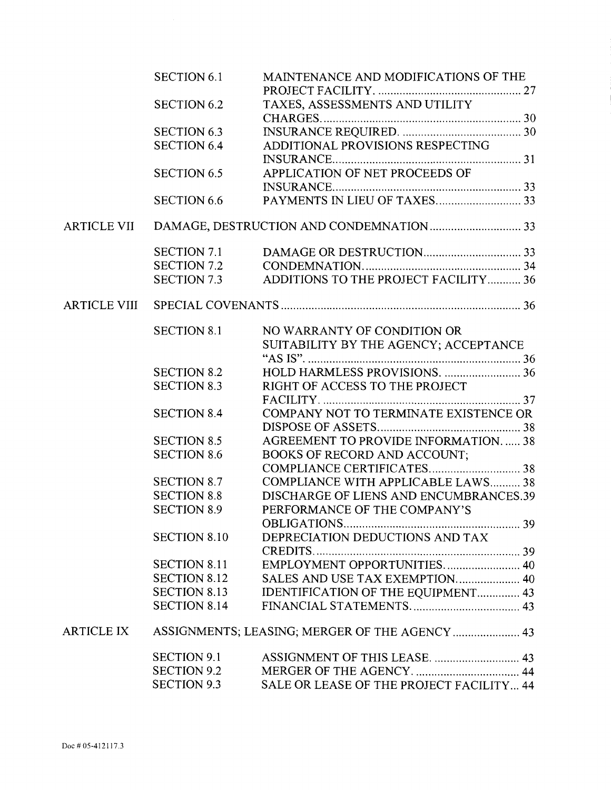|                    | <b>SECTION 6.1</b>  | MAINTENANCE AND MODIFICATIONS OF THE           |
|--------------------|---------------------|------------------------------------------------|
|                    |                     |                                                |
|                    | <b>SECTION 6.2</b>  | TAXES, ASSESSMENTS AND UTILITY                 |
|                    |                     |                                                |
|                    | <b>SECTION 6.3</b>  |                                                |
|                    | <b>SECTION 6.4</b>  | ADDITIONAL PROVISIONS RESPECTING               |
|                    |                     |                                                |
|                    | <b>SECTION 6.5</b>  | APPLICATION OF NET PROCEEDS OF                 |
|                    |                     |                                                |
|                    | <b>SECTION 6.6</b>  |                                                |
| <b>ARTICLE VII</b> |                     |                                                |
|                    | <b>SECTION 7.1</b>  |                                                |
|                    | <b>SECTION 7.2</b>  |                                                |
|                    | SECTION 7.3         | ADDITIONS TO THE PROJECT FACILITY  36          |
| ARTICLE VIII       |                     |                                                |
|                    | <b>SECTION 8.1</b>  | NO WARRANTY OF CONDITION OR                    |
|                    |                     | SUITABILITY BY THE AGENCY; ACCEPTANCE          |
|                    |                     |                                                |
|                    | <b>SECTION 8.2</b>  | HOLD HARMLESS PROVISIONS.  36                  |
|                    | <b>SECTION 8.3</b>  | RIGHT OF ACCESS TO THE PROJECT                 |
|                    |                     |                                                |
|                    | <b>SECTION 8.4</b>  | COMPANY NOT TO TERMINATE EXISTENCE OR          |
|                    |                     |                                                |
|                    | <b>SECTION 8.5</b>  | AGREEMENT TO PROVIDE INFORMATION 38            |
|                    | <b>SECTION 8.6</b>  | <b>BOOKS OF RECORD AND ACCOUNT;</b>            |
|                    |                     |                                                |
|                    | <b>SECTION 8.7</b>  | COMPLIANCE WITH APPLICABLE LAWS 38             |
|                    | <b>SECTION 8.8</b>  | DISCHARGE OF LIENS AND ENCUMBRANCES.39         |
|                    | <b>SECTION 8.9</b>  | PERFORMANCE OF THE COMPANY'S                   |
|                    |                     |                                                |
|                    | <b>SECTION 8.10</b> | DEPRECIATION DEDUCTIONS AND TAX                |
|                    |                     |                                                |
|                    | <b>SECTION 8.11</b> | EMPLOYMENT OPPORTUNITIES 40                    |
|                    | <b>SECTION 8.12</b> | SALES AND USE TAX EXEMPTION 40                 |
|                    | <b>SECTION 8.13</b> | IDENTIFICATION OF THE EQUIPMENT 43             |
|                    | <b>SECTION 8.14</b> |                                                |
|                    |                     |                                                |
| <b>ARTICLE IX</b>  |                     | ASSIGNMENTS; LEASING; MERGER OF THE AGENCY  43 |
|                    | <b>SECTION 9.1</b>  |                                                |
|                    | <b>SECTION 9.2</b>  |                                                |
|                    | <b>SECTION 9.3</b>  | SALE OR LEASE OF THE PROJECT FACILITY 44       |
|                    |                     |                                                |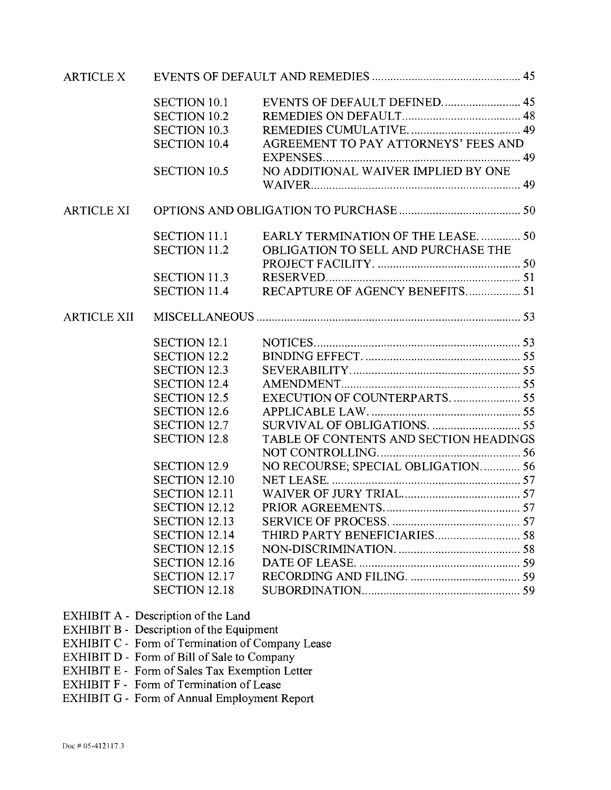| <b>ARTICLE X</b>   |                      |                                        |  |
|--------------------|----------------------|----------------------------------------|--|
|                    | <b>SECTION 10.1</b>  | EVENTS OF DEFAULT DEFINED 45           |  |
|                    | <b>SECTION 10.2</b>  |                                        |  |
|                    | <b>SECTION 10.3</b>  |                                        |  |
|                    | <b>SECTION 10.4</b>  | AGREEMENT TO PAY ATTORNEYS' FEES AND   |  |
|                    | <b>SECTION 10.5</b>  | NO ADDITIONAL WAIVER IMPLIED BY ONE    |  |
|                    |                      |                                        |  |
| <b>ARTICLE XI</b>  |                      |                                        |  |
|                    | <b>SECTION 11.1</b>  | EARLY TERMINATION OF THE LEASE 50      |  |
|                    | <b>SECTION 11.2</b>  | OBLIGATION TO SELL AND PURCHASE THE    |  |
|                    |                      |                                        |  |
|                    | <b>SECTION 11.3</b>  |                                        |  |
|                    | <b>SECTION 11.4</b>  | RECAPTURE OF AGENCY BENEFITS 51        |  |
| <b>ARTICLE XII</b> |                      |                                        |  |
|                    | <b>SECTION 12.1</b>  |                                        |  |
|                    | <b>SECTION 12.2</b>  |                                        |  |
|                    | <b>SECTION 12.3</b>  |                                        |  |
|                    | <b>SECTION 12.4</b>  |                                        |  |
|                    | <b>SECTION 12.5</b>  | EXECUTION OF COUNTERPARTS 55           |  |
|                    | <b>SECTION 12.6</b>  |                                        |  |
|                    | <b>SECTION 12.7</b>  |                                        |  |
|                    | <b>SECTION 12.8</b>  | TABLE OF CONTENTS AND SECTION HEADINGS |  |
|                    |                      |                                        |  |
|                    | <b>SECTION 12.9</b>  | NO RECOURSE; SPECIAL OBLIGATION 56     |  |
|                    | <b>SECTION 12.10</b> |                                        |  |
|                    | <b>SECTION 12.11</b> |                                        |  |
|                    | <b>SECTION 12.12</b> |                                        |  |
|                    | <b>SECTION 12.13</b> |                                        |  |
|                    | <b>SECTION 12.14</b> |                                        |  |
|                    | <b>SECTION 12.15</b> |                                        |  |
|                    | <b>SECTION 12.16</b> |                                        |  |
|                    | <b>SECTION 12.17</b> |                                        |  |
|                    | <b>SECTION 12.18</b> |                                        |  |

- EXHIBIT A Description of the Land
- EXHIBIT B Description of the Equipment
- EXHIBIT C Form of Termination of Company Lease
- EXHIBIT D Form of Bill of Sale to Company
- EXHIBIT E Form of Sales Tax Exemption Letter
- EXHIBIT F Form of Termination of Lease
- EXHIBIT G Form of Annual Employment Report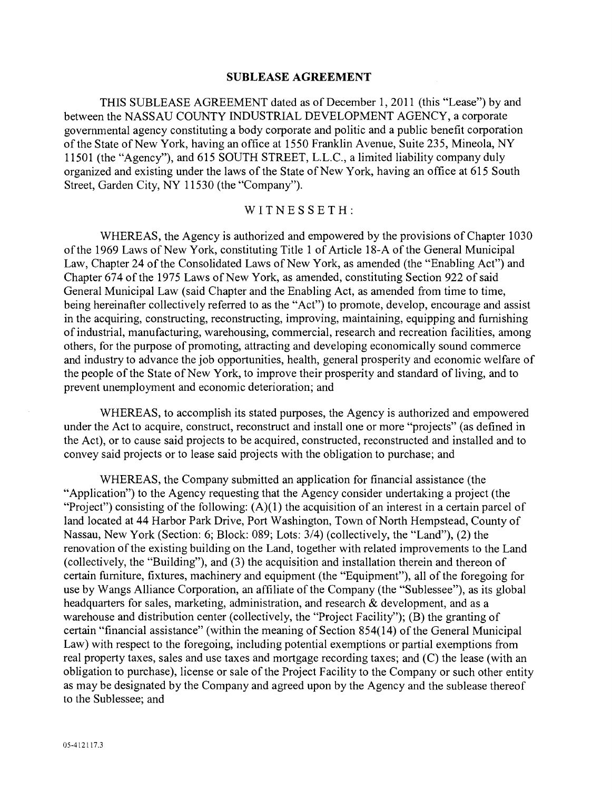#### SUBLEASE AGREEMENT

THIS SUBLEASE AGREEMENT dated as of December 1, 2011 (this "Lease") by and between the NASSAU COUNTY INDUSTRIAL DEVELOPMENT AGENCY, a corporate govemmental agency constituting a body corporate and politic and a public benefit corporation of the State of New York, having an office at 1550 Franklin Avenue, Suite 235, Mineola, NY 11501 (the "Agency"), and 615 SOUTH STREET, L.L.C., a limited liability company duly organized and existing under the laws of the State of New York, having an office at 615 South Street, Garden City, NY 11530 (the "Company").

### WITNESSETH:

WHEREAS, the Agency is authorized and empowered by the provisions of Chapter 1030 of the 1969 Laws of New York, constituting Title I of Article 18-A of the General Municipal Law, Chapter 24 of the Consolidated Laws of New York, as amended (the "Enabling Act") and Chapter 674 of the 1975 Laws of New York, as amended, constituting Section 922 of said General Municipal Law (said Chapter and the Enabling Act, as amended from time to time, being hereinafter collectively referred to as the "Act") to promote, develop, encourage and assist in the acquiring, constructing, reconstructing, improving, maintaining, equipping and fumishing of industrial, manufacturing, warehousing, commercial, research and recreation facilities, among others, for the purpose of promoting, attracting and developing economically sound commerce and industry to advance the job opportunities, health, general prosperity and economic welfare of the people of the State of New York, to improve their prosperity and standard of living, and to prevent unemployment and economic deterioration; and

WHEREAS, to accomplish its stated purposes, the Agency is authorized and empowered under the Act to acquire, construct, reconstruct and install one or more "projects" (as defined in the Act), or to cause said projects to be acquired, constructed, reconstructed and installed and to convey said projects or to lease said projects with the obligation to purchase; and

WHEREAS, the Company submitted an application for financial assistance (the "Application") to the Agency requesting that the Agency consider undertaking a project (the "Project") consisting of the following:  $(A)(1)$  the acquisition of an interest in a certain parcel of land located at 44 Harbor Park Drive, Port Washington, Town of North Hempstead, County of Nassau, New York (Section: 6; Block: 089; Lots: 3/4) (collectively, the "Land"), (2) the renovation of the existing building on the Land, together with related improvements to the Land (collectively, the "Building"), and (3) the acquisition and installation therein and thereon of certain fumiture, fixtures, machinery and equipment (the "Equipment"), all of the foregoing for use by Wangs Alliance Corporation, an affiliate of the Company (the "Sublessee"), as its global headquarters for sales, marketing, administration, and research & development, and as a warehouse and distribution center (collectively, the "Project Facility"); (B) the granting of certain "financial assistance" (within the meaning of Section 854(14) of the General Municipal Law) with respect to the foregoing, including potential exemptions or partial exemptions from real property taxes, sales and use taxes and mortgage recording taxes; and (C) the lease (with an obligation to purchase), license or sale of the Project Facility to the Company or such other entity as may be designated by the Company and agreed upon by the Agency and the sublease thereof to the Sublessee; and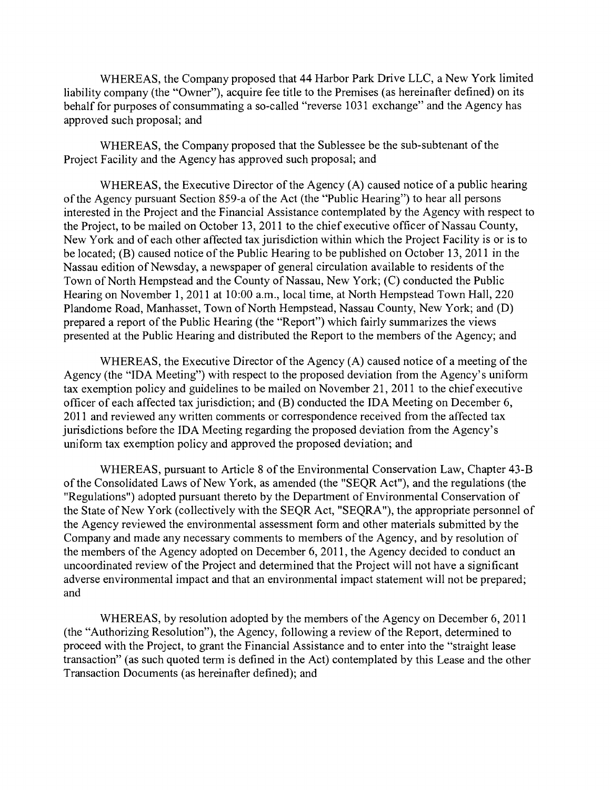WHEREAS, the Company proposed that 44 Harbor Park Drive LLC, a New York limited liability company (the "Owner"), acquire fee title to the Premises (as hereinafter defined) on its behalf for purposes of consummating a so-called "reverse 1031 exchange" and the Agency has approved such proposal; and

WHEREAS, the Company proposed that the Sublessee be the sub-subtenant of the Project Facility and the Agency has approved such proposal; and

WHEREAS, the Executive Director of the Agency (A) caused notice of a public hearing of the Agency pursuant Section 859-a of the Act (the "Public Hearing") to hear all persons interested in the Project and the Financial Assistance contemplated by the Agency with respect to the Project, to be mailed on October 13, 2011 to the chief executive officer of Nassau County, New York and of each other affected tax jurisdiction within which the Project Facility is or is to be located; (B) caused notice of the Public Hearing to be published on October 13, 2011 in the Nassau edition of Newsday, a newspaper of general circulation available to residents of the Town of North Hempstead and the County of Nassau, New York; (C) conducted the Public Hearing on November 1, 2011 at 10:00 a.m., local time, at North Hempstead Town Hall, 220 Plandome Road, Manhasset, Town of North Hempstead, Nassau County, New York; and (D) prepared a report of the Public Hearing (the "Report") which fairly summarizes the views presented at the Public Hearing and distributed the Report to the members of the Agency; and

WHEREAS, the Executive Director of the Agency (A) caused notice of a meeting of the Agency (the "IDA Meeting") with respect to the proposed deviation from the Agency's uniforrn tax exemption policy and guidelines to be mailed on November 21, 2011 to the chief executive officer of each affected tax jurisdiction; and (B) conducted the IDA Meeting on December 6, 2011 and reviewed any written comments or correspondence received from the affected tax jurisdictions before the IDA Meeting regarding the proposed deviation from the Agency's uniform tax exemption policy and approved the proposed deviation; and

WHEREAS, pursuant to Article 8 of the Environmental Conservation Law, Chapter 43-B of the Consolidated Laws of New York, as amended (the "SEQR Act"), and the regulations (the "Regulations") adopted pursuant thereto by the Department of Environmental Conservation of the State of New York (collectively with the SEQR Act, "SEQRA"), the appropriate personnel of the Agency reviewed the environmental assessment form and other materials submitted by the Company and made any necessary comments to members of the Agency, and by resolution of the members of the Agency adopted on December 6, 2011, the Agency decided to conduct an uncoordinated review of the Project and determined that the Project will not have a significant adverse environmental impact and that an environmental impact statement will not be prepared; and

WHEREAS, by resolution adopted by the members of the Agency on December 6, 2011 (the "Authorizing Resolution"), the Agency, following a review of the Report, determined to proceed with the Project, to grant the Financial Assistance and to enter into the "straight lease transaction" (as such quoted term is defined in the Act) contemplated by this Lease and the other Transaction Documents (as hereinafter defined); and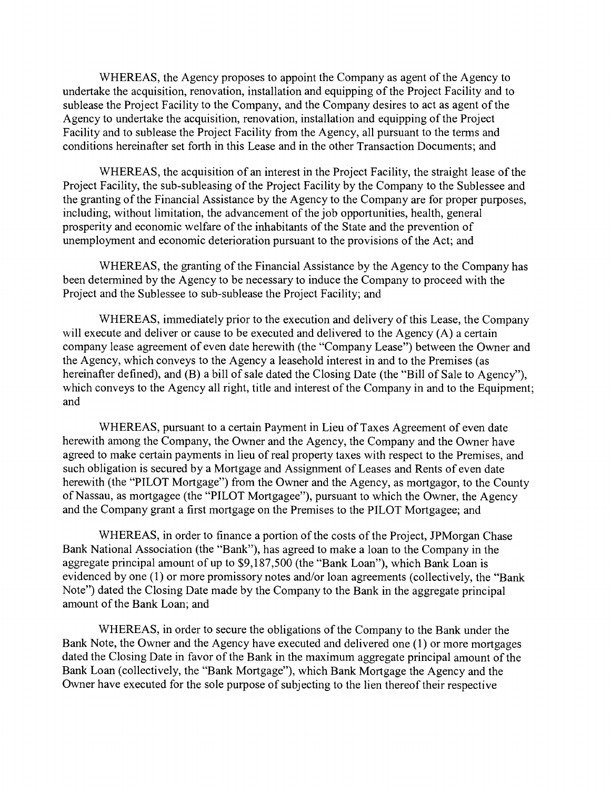WHEREAS, the Agency proposes to appoint the Company as agent of the Agency to undertake the acquisition, renovation, installation and equipping of the Projcct Facility and to sublease the Project Facility to the Company, and the Company desires to act as agent of the Agency to undertake the acquisition, renovation, installation and equipping of the Project Facility and to sublease the Project Facility from the Agency, all pursuant to the terrns and conditions hereinafter set forth in this Lease and in the other Transaction Documents; and

WHEREAS, the acquisition of an interest in the Project Facility, the straight lease of the Project Facility, the sub-subleasing of the Project Facility by the Company to the Sublessee and the granting of the Financial Assistance by the Agency to the Company are for proper purposes, including, without limitation, the advancement of the job opportunities, health, general prosperity and economic welfare of the inhabitants of the State and the prevention of unemployment and economic deterioration pursuant to the provisions of the Act; and

WHEREAS, the granting of the Financial Assistance by the Agency to the Company has been detennined by the Agency to be necessary to induce the Company to proceed with the Project and the Sublessee to sub-sublease the Project Facility; and

WHEREAS, immediately prior to the execution and delivery of this Lease, the Company will execute and deliver or cause to be executed and delivered to the Agency (A) a certain company lease agreement of even date herewith (the "Company Lease") between the Owner and the Agency, which conveys to the Agency a leasehold interest in and to the Premises (as hereinafter defined), and (B) a bill of sale dated the Closing Date (the "Bill of Sale to Agency"), which conveys to the Agency all right, title and interest of the Company in and to the Equipment; and

WHEREAS, pursuant to a certain Payment in Lieu of Taxes Agreement of even date herewith among the Company, the Owner and the Agency, the Company and the Owner have agreed to make certain payments in lieu of real property taxes with respect to the Premises, and such obligation is secured by a Mortgage and Assignment of Leases and Rents of even date herewith (the "PILOT Mortgage") from the Owner and the Agency, as mortgagor, to the County of Nassau, as mortgagee (the "PILOT Mortgagee"), pursuant to which the Owner, the Agency and the Company grant a first mortgage on the Premises to the PILOT Mortgagee; and

WHEREAS, in order to finance a portion of the costs of the Project, JPMorgan Chase Bank National Association (the "Bank"), has agreed to make a loan to the Company in the aggregate principal amount of up to \$9,187,500 (the "Bank Loan"), which Bank Loan is evidenced by one (1) or more promissory notes and/or loan agreements (collectively, the "Bank Note") dated the Closing Date made by the Company to the Bank in the aggregate principal amount of the Bank Loan; and

WHEREAS, in order to secure the obligations of the Company to the Bank under the Bank Note, the Owner and the Agency have executed and delivered one (1) or more mortgages dated the Closing Date in favor of the Bank in the maximum aggregate principal amount of the Bank Loan (collectively, the "Bank Mortgage"), which Bank Mortgage the Agency and the Owner have executed for the sole purpose of subjecting to the lien thereof their respective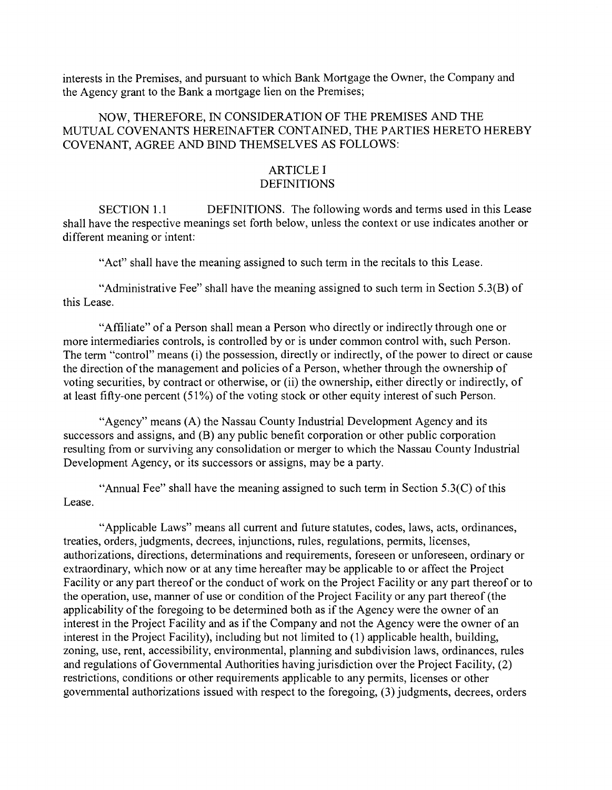interests in the Premises, and pursuant to which Bank Mortgage the Owner, the Company and the Agency grant to the Bank a mortgage lien on the Premises;

### NOW, THEREFORE, IN CONSIDERATION OF THE PREMISES AND THE MUTUAL COVENANTS HEREINAFTER CONTAINED, THE PARTIES HERETO HEREBY COVENANT, AGREE AND BIND THEMSELVES AS FOLLOWS:

### ARTICLE I **DEFINITIONS**

SECTION 1.1 DEFINITIONS. The following words and terms used in this Lease shall have the respective meanings set forth below, unless the context or use indicates another or different meaning or intent:

"Act" shall have the meaning assigned to such term in the recitals to this Lease.

"Administrative Fee" shall have the meaning assigned to such term in Section 5.3(B) of this Lease.

"Affiliate" of a Person shall mean a Person who directly or indirectly through one or more intennediaries controls, is controlled by or is under common control with, such Person. The term "control" means (i) the possession, directly or indirectly, of the power to direct or cause the direction of the management and policies of a Person, whether through the ownership of voting securities, by contract or otherwise, or (ii) the ownership, either directly or indirectly, of at least fifty-one percent (51%) of the voting stock or other equity interest of such Person.

"Agency" means (A) the Nassau County Industrial Development Agency and its successors and assigns, and (B) any public benefit corporation or other public corporation resulting from or surviving any consolidation or merger to which the Nassau County Industrial Development Agency, or its successors or assigns, may be a party.

"Annual Fee" shall have the meaning assigned to such term in Section  $5.3(C)$  of this Lease.

"Applicable Laws" means all current and future statutes, codes, laws, acts, ordinances, treaties, orders, judgments, decrees, injunctions, rules, regulations, permits, licenses, authorizations, directions, determinations and requirements, foreseen or unforeseen, ordinary or extraordinary, which now or at any time hereafter may be applicable to or affect the Project Facility or any part thereof or the conduct of work on the Project Facility or any part thereof or to the operation, use, manner of use or condition of the Project Facility or any part thereof (the applicability of the foregoing to be determined both as if the Agency were the owner of an interest in the Project Facility and as if the Company and not the Agency were the owner of an interest in the Project Facility), including but not limited to (1) applicable health, building, zoning, use, rent, accessibility, environmental, planning and subdivision laws, ordinances, rules and regulations of Govemmental Authorities having jurisdiction over the Project Facility, (2) restrictions, conditions or other requirements applicable to any permits, licenses or other govemmental authorizations issued with respect to the foregoing, (3) judgments, decrees, orders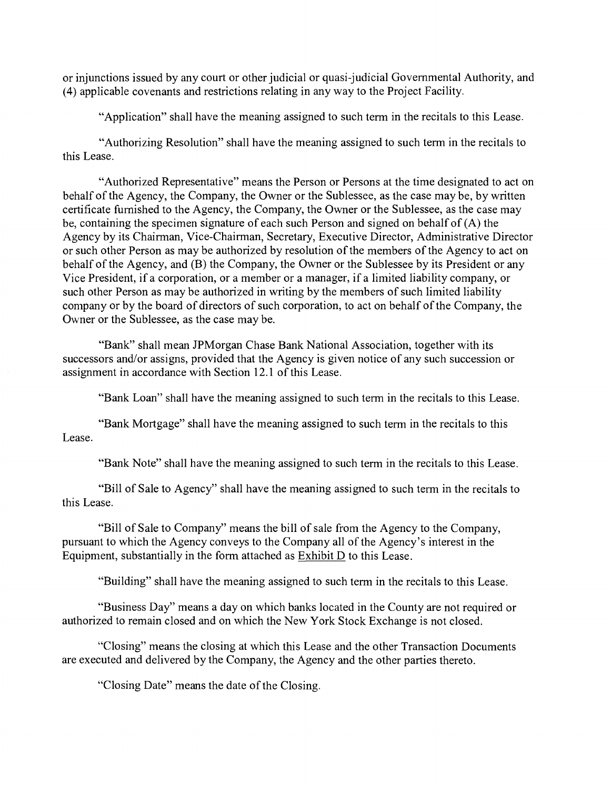or injunctions issued by any court or other judicial or quasi-judicial Governmental Authority, and (4) applicable covenants and restrictions relating in any way to the Project Facility.

"Application" shall have the meaning assigned to such term in the recitals to this Lease.

"Authorizing Resolution" shall have the meaning assigned to such term in the recitals to this Lease.

"Authorized Representative" means the Person or Persons at the time designated to act on behalf of the Agency, the Company, the Owner or the Sublessee, as the case may be, by written certificate fumished to the Agency, the Company, the Owner or the Sublessee, as the case may be, containing the specimen signature of each such Person and signed on behalf of (A) the Agency by its Chairman, Vice-Chairman, Secretary, Executive Director, Administrative Director or such other Person as may be authorized by resolution of the members of the Agency to act on behalf of the Agency, and (B) the Company, the Owner or the Sublessee by its President or any Vice President, if a corporation, or a member or a manager, if a limited liability company, or such other Person as may be authorized in writing by the members of such limited liability company or by the board of directors of such corporation, to act on behalf of the Company, the Owner or the Sublessee, as the case may be.

"Bank" shall mean JPMorgan Chase Bank National Association, together with its successors and/or assigns, provided that the Agency is given notice of any such succession or assignment in accordance with Section 12.1 of this Lease.

"Bank Loan" shall have the meaning assigned to such term in the recitals to this Lease.

"Bank Mortgage" shall have the meaning assigned to such term in the recitals to this Lease.

"Bank Note" shall have the meaning assigned to such term in the recitals to this Lease.

"Bill of Sale to Agency" shall have the meaning assigned to such tenn in the recitals to this Lease.

"Bill of Sale to Company" means the bill of sale from the Agency to the Company, pursuant to which the Agency conveys to the Company all of the Agency's interest in the Equipment, substantially in the form attached as Exhibit D to this Lease.

"Building" shall have the meaning assigned to such term in the recitals to this Lease.

"Business Day" means a day on which banks located in the County are not required or authorized to remain closed and on which the New York Stock Exchange is not closed.

"Closing" means the closing at which this Lease and the other Transaction Documents are executed and delivered by the Company, the Agency and the other parties thereto.

"Closing Date" means the date of the Closing.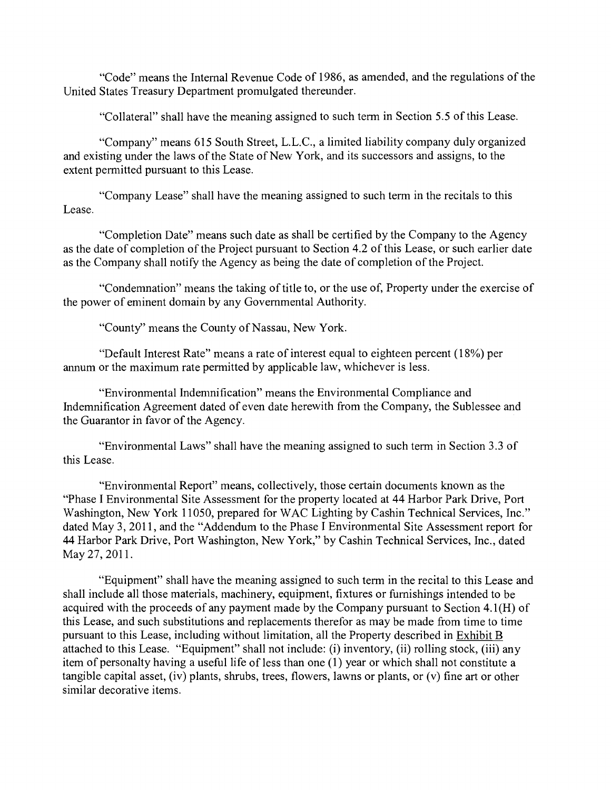"Code" means the Intemal Revenue Code of 1986, as amended, and the regulations of the United States Treasury Department promulgated thereunder.

"Collateral" shall have the meaning assigned to such terrn in Section 5.5 of this Lease.

"Company" means 615 South Street, L.L.C., a limited liability company duly organized and existing under the laws of the State of New York, and its successors and assigns, to the extent pennitted pursuant to this Lease.

"Company Lease" shall have the meaning assigned to such term in the recitals to this Lease.

"Completion Date" means such date as shall be certified by the Company to the Agency as the date of completion of the Project pursuant to Section 4.2 of this Lease, or such earlier date as the Company shall notify the Agency as being the date of completion of the Project.

"Condemnation" means the taking of title to, or the use of, Property under the exercise of the power of eminent domain by any Govemmental Authority.

"County" means the County of Nassau, New York.

"Default Interest Rate" means a rate of interest equal to eighteen percent (18%) per annum or the maximum rate permitted by applicable law, whichever is less.

"Enviromnental Indemnification" means the Environmental Compliance and lndemnification Agreement dated of even date herewith from the Company, the Sublessee and the Guarantor in favor of the Agency.

"Environmental Laws" shall have the meaning assigned to such term in Section 3.3 of this Lease.

"Environmental Report" means, collectively, those certain documents known as the "Phase I Environmental Site Assessment for the property located at 44 Harbor Park Drive, Port Washington, New York 11050, prepared for WAC Lighting by Cashin Technical Services, Inc." dated May 3, 2011, and the "Addendum to the Phase I Environmental Site Assessment report for 44 Harbor Park Drive, Port Washington, New York," by Cashin Technical Services, Inc., dated May 27, 2011.

"Equipment" shall have the meaning assigned to such term in the recital to this Lease and shall include all those materials, machinery, equipment, fixtures or fumishings intended to be acquired with the proceeds of any payment made by the Company pursuant to Section 4.1(H) of this Lease, and such substitutions and replacements therefor as may be made from time to time pursuant to this Lease, including without limitation, all the Property described in Exhibit B attached to this Lease. "Equipment" shall not include: (i) inventory, (ii) rolling stock, (iii) any item of personalty having a useful life of less than one (1) year or which shall not constitute a tangible capital asset, (iv) plants, shrubs, trees, flowers, lawns or plants, or (v) fine art or other similar decorative items.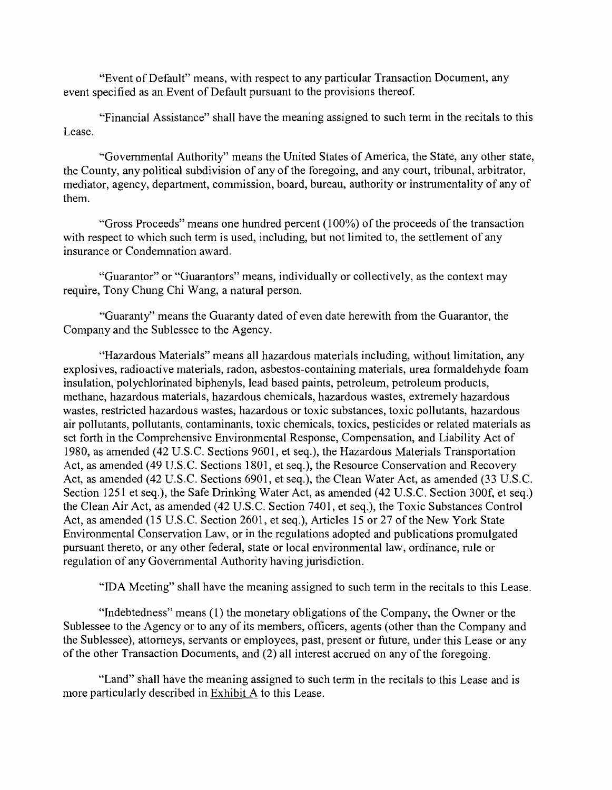"Event of Default" means, with respect to any particular Transaction Document, any event specified as an Event of Default pursuant to the provisions thereof.

"Financial Assistance" shall have the meaning assigned to such term in the recitals to this Lease.

"Govemmental Authority" means the United States of America, the State, any other state, the County, any political subdivision of any of the foregoing, and any court, tribunal, arbitrator, mediator, agency, department, commission, board, bureau, authority or instrumentality of any of them.

"Gross Proceeds" means one hundred percent (100%) of the proceeds of the transaction with respect to which such term is used, including, but not limited to, the settlement of any insurance or Condenmation award.

"Guarantor" or "Guarantors" means, individually or collectively, as the context may require, Tony Chung Chi Wang, a natural person.

"Guaranty" means the Guaranty dated of even date herewith from the Guarantor, the Company and the Sublessee to the Agency.

"Hazardous Materials" means all hazardous materials including, without limitation, any explosives, radioactive materials, radon, asbestos-containing materials, urea formaldehyde foam insulation, polychlorinated biphenyls, lead based paints, petroleum, petroleum products, methane, hazardous materials, hazardous chemicals, hazardous wastes, extremely hazardous wastes, restricted hazardous wastes, hazardous or toxic substances, toxic pollutants, hazardous air pollutants, pollutants, contaminants, toxic chemicals, toxics, pesticides or related materials as set forth in the Comprehensive Environmental Response, Compensation, and Liability Act of 1980, as amended (42 U.S.C. Sections 9601, et seq.), the Hazardous Materials Transportation Act, as amended (49 U.S.C. Sections 1801, et seq.), the Resource Conservation and Recovery Act, as amended (42 U.S.C. Sections 6901, et seq.), the Clean Water Act, as amended (33 U.S.C. Section 1251 et seq.), the Safe Drinking Water Act, as amended (42 U.S.C. Section 300f, et seq.) the Clean Air Act, as amended (42 U.S.C. Section 7401, et seq.), the Toxic Substances Control Act, as amended (15 U.S.C. Section 2601, et seq.), Articles 15 or 27 of the New York State Environmental Conservation Law, or in the regulations adopted and publications promulgated pursuant thereto, or any other federal, state or local environmental law, ordinance, rule or regulation of any Govemmental Authority having jurisdiction.

"IDA Meeting" shall have the meaning assigned to such term in the recitals to this Lease.

"Indebtedness" means (1) the monetary obligations of the Company, the Owner or the Sublessee to the Agency or to any of its members, officers, agents (other than the Company and the Sublessee), attomeys, servants or employees, past, present or future, under this Lease or any of the other Transaction Documents, and (2) all interest accrued on any of the foregoing.

"Land" shall have the meaning assigned to such tenn in the recitals to this Lease and is more particularly described in Exhibit A to this Lease.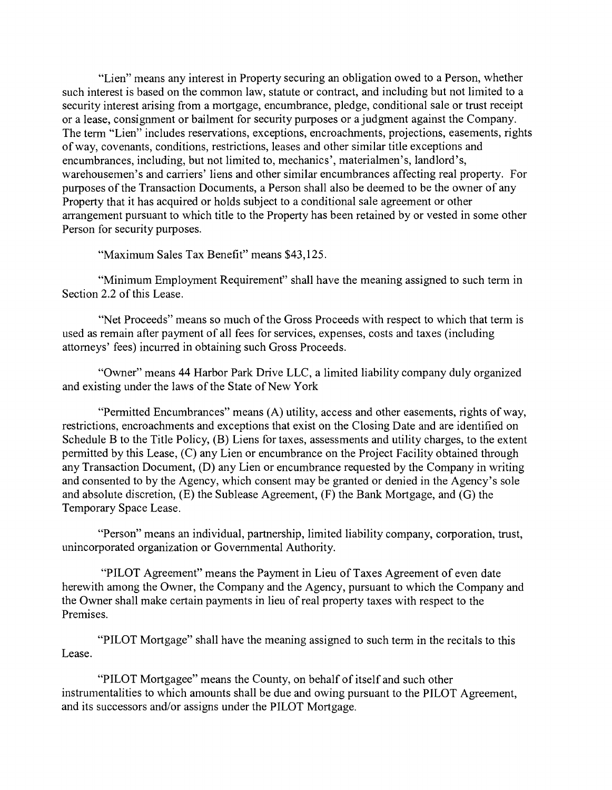"Lien" means any interest in Property securing an obligation owed to a Person, whether such interest is based on the common law, statute or contract, and including but not limited to a security interest arising from a mortgage, encumbrance, pledge, conditional sale or trust receipt or a lease, consignment or bailment for security purposes or a judgment against the Company. The tenn "Lien" includes reservations, exceptions, encroachments, projections, easements, rights of way, covenants, conditions, restrictions, leases and other similar title exceptions and encumbrances, including, but not limited to, mechanics', materialmen's, landlord's, warehousemen's and carriers' liens and other similar encumbrances affecting real property. For purposes of the Transaction Documents, a Person shall also be deemed to be the owner of any Property that it has acquired or holds subject to a conditional sale agreement or other arrangement pursuant to which title to the Property has been retained by or vested in some other Person for security purposes.

"Maximum Sales Tax Benefit" means \$43,125.

"Minimum Employment Requirement" shall have the meaning assigned to such term in Section 2.2 of this Lease.

"Net Proceeds" means so much of the Gross Proceeds with respect to which that term is used as remain after payment of all fees for services, expenses, costs and taxes (including attomeys' fees) incurred in obtaining such Gross Proceeds.

"Owner" means 44 Harbor Park Drive LLC, a limited liability company duly organized and existing under the laws of the State of New York

"Permitted Encumbrances" means (A) utility, access and other easements, rights of way, restrictions, encroachments and exceptions that exist on the Closing Date and are identified on Schedule B to the Title Policy, (B) Liens for taxes, assessments and utility charges, to the extent permitted by this Lease, (C) any Lien or encumbrance on the Project Facility obtained through any Transaction Document, (D) any Lien or encumbrance requested by the Company in writing and consented to by the Agency, which consent may be granted or denied in the Agency's sole and absolute discretion, (E) the Sublease Agreement, (F) the Bank Mortgage, and (G) the Temporary Space Lease.

"Person" means an individual, partnership, limited liability company, corporation, trust, unincorporated organization or Govemmental Authority.

"PILOT Agreement" means the Payment in Lieu of Taxes Agreement of even date herewith among the Owner, the Company and the Agency, pursuant to which the Company and the Owner shall make certain payments in lieu of real property taxes with respect to the Premises.

"PILOT Mortgage" shall have the meaning assigned to such term in the recitals to this Lease.

"PILOT Mortgagee" means the County, on behalf of itself and such other instrumentalities to which amounts shall be due and owing pursuant to the PILOT Agreement, and its successors and/or assigns under the PILOT Mortgage.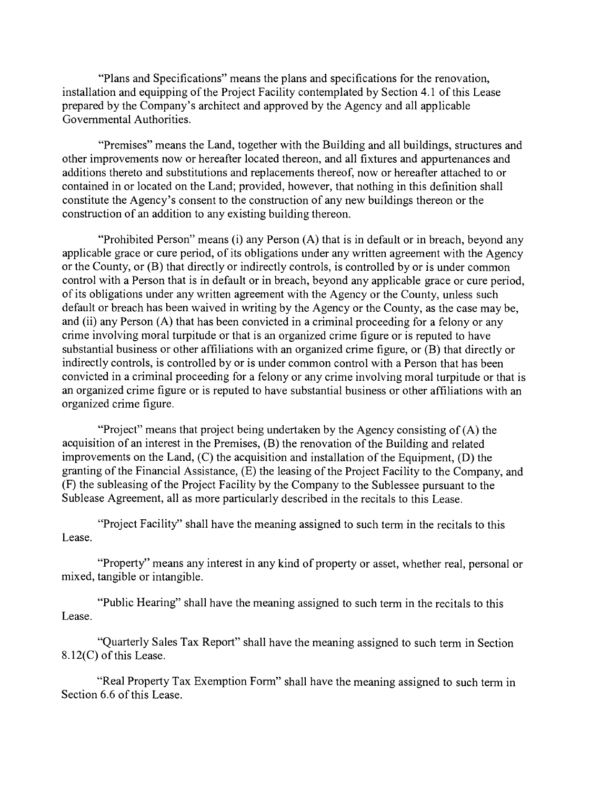"Plans and Specifications" means the plans and specifications for the renovation, installation and equipping of the Project Facility contemplated by Section 4.1 of this Lease prepared by the Company's architect and approved by the Agency and all applicable Govemmental Authorities.

"Premises" means the Land, together with the Building and all buildings, structures and other improvements now or hereafter located thereon, and all fixtures and appurtenances and additions thereto and substitutions and replacements thereof, now or hereafter attached to or contained in or located on the Land; provided, however, that nothing in this definition shall constitute the Agency's consent to the construction of any new buildings thereon or the construction of an addition to any existing building thereon.

"Prohibited Person" means (i) any Person (A) that is in default or in breach, beyond any applicable grace or cure period, of its obligations under any written agreement with the Agency or the County, or (B) that directly or indirectly controls, is controlled by or is under common control with a Person that is in default or in breach, beyond any applicable grace or cure period, of its obligations under any written agreement with the Agency or the County, unless such default or breach has been waived in writing by the Agency or the County, as the case may be, and (ii) any Person (A) that has been convicted in a criminal proceeding for a felony or any crime involving moral turpitude or that is an organized crime figure or is reputed to have substantial business or other affiliations with an organized crime figure, or (B) that directly or indirectly controls, is controlled by or is under common control with a Person that has been convicted in a criminal proceeding for a felony or any crime involving moral turpitude or that is an organized crime figure or is reputed to have substantial business or other affiliations with an organized crime figure.

"Project" means that project being undertaken by the Agency consisting of (A) the acquisition of an interest in the Premises, (B) the renovation of the Building and related improvements on the Land, (C) the acquisition and installation of the Equipment, (D) the granting of the Financial Assistance, (E) the leasing of the Project Facility to the Company, and (F) the subleasing of the Project Facility by the Company to the Sublessee pursuant to the Sublease Agreement, all as more particularly described in the recitals to this Lease.

"Project Facility" shall have the meaning assigned to such term in the recitals to this Lease.

"Property" means any interest in any kind of property or asset, whether real, personal or mixed, tangible or intangible.

"Public Hearing" shall have the meaning assigned to such term in the recitals to this Lease.

"Quarterly Sales Tax Report" shall have the meaning assigned to such term in Section 8.12(C) of this Lease.

"Real Property Tax Exemption Form" shall have the meaning assigned to such term in Section 6.6 of this Lease.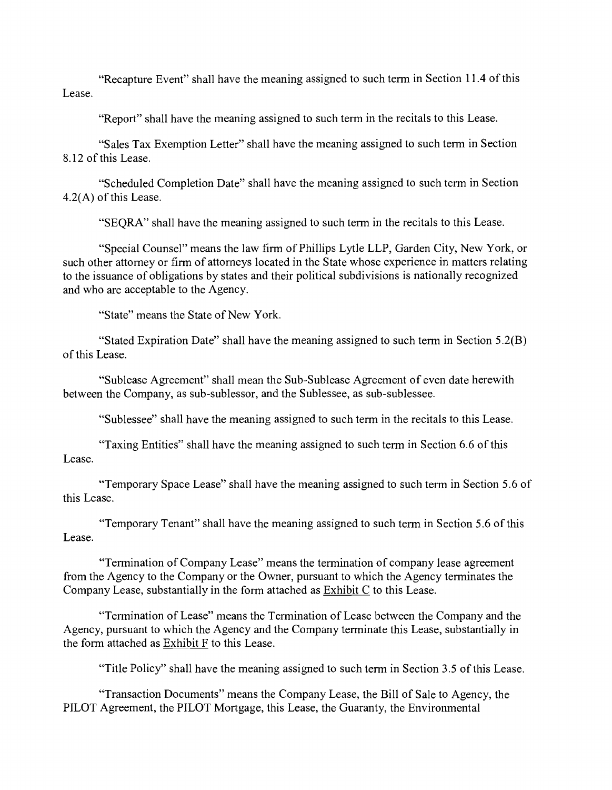"Recapture Event" shall have the meaning assigned to such tenn in Section 11.4 of this Lease.

"Report" shall have the meaning assigned to such term in the recitals to this Lease.

"Sales Tax Exemption Letter" shall have the meaning assigned to such terrn in Section 8.12 of this Lease.

"Scheduled Completion Date" shall have the meaning assigned to such term in Section 4.2(A) of this Lease.

"SEQRA" shall have the meaning assigned to such term in the recitals to this Lease.

"Special Counsel" means the law firm of Phillips Lytle LLP, Garden City, New York, or such other attorney or firm of attorneys located in the State whose experience in matters relating to the issuance of obligations by states and their political subdivisions is nationally recognized and who are acceptable to the Agency.

"State" means the State of New York.

"Stated Expiration Date" shall have the meaning assigned to such term in Section  $5.2(B)$ of this Lease.

"Sublease Agreement" shall mean the Sub-Sublease Agreement of even date herewith between the Company, as sub-sublessor, and the Sublessee, as sub-sublessee.

"Sublessee" shall bave the meaning assigned to such term in the recitals to this Lease.

"Taxing Entities" shall have the meaning assigned to such tenn in Section 6.6 of this Lease.

"Temporary Space Lease" shall have the meaning assigned to such term in Section 5.6 of this Lease.

"Temporary Tenant" shall have the meaning assigned to such term in Section 5.6 of this Lease.

"Tennination of Company Lease" means the termination of company lease agreement from the Agency to the Company or the Owner, pursuant to which the Agency terminates the Company Lease, substantially in the form attached as Exhibit C to this Lease.

"Termination of Lease" means the Termination of Lease between the Company and the Agency, pursuant to which the Agency and the Company terminate this Lease, substantially in the form attached as Exhibit F to this Lease.

"Title Policy" shall have the meaning assigned to such term in Section 3.5 of this Lease.

"Transaction Documents" means the Company Lease, the Bill of Sale to Agency, the PILOT Agreement, the PILOT Mortgage, this Lease, the Guaranty, the Environmental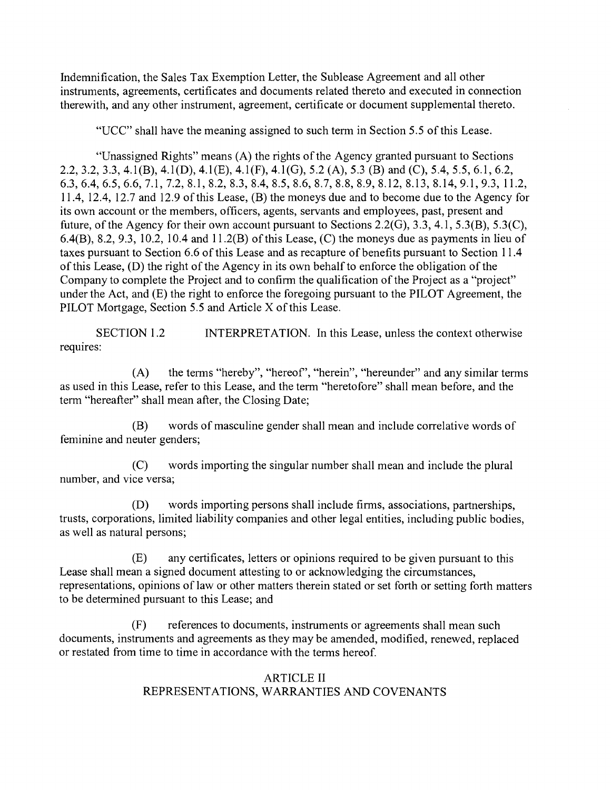Indemnification, the Sales Tax Exemption Letter, the Sublease Agreement and all other instruments, agreements, certificates and documents related thereto and executed in connection therewith, and any other instrument, agreement, certificate or document supplemental thereto.

"UCC" shall have the meaning assigned to such term in Section 5.5 of this Lease.

"Unassigned Rights" means (A) the rights of the Agency granted pursuant to Sections 2.2, 3.2, 3.3, 4.1(B), 4.1(D), 4.1(E), 4.1(F), 4.1(G), 5.2 (A), 5.3 (B) and (C), 5.4, 5.5, 6.1, 6.2, 6.3, 6.4, 6.5, 6.6, 7.1, 7.2, 8.1, 8.2, 8.3, 8.4, 8.5, 8.6, 8.7, 8.8, 8.9, 8.12, 8.13, 8.14, 9.1, 9.3, 11.2, 11.4, 12.4, 12.7 and 12.9 of this Lease, (B) the moneys due and to become due to the Agency for its own account or the members, officers, agents, servants and employees, past, present and future, of the Agency for their own account pursuant to Sections 2.2(G), 3.3, 4.1, 5.3(B), 5.3(C), 6.4(B), 8.2, 9.3, 10.2, 10.4 and 11.2(B) of this Lease, (C) the moneys due as payments in lieu of taxes pursuant to Section 6.6 of this Lease and as recapture of benefits pursuant to Section 11.4 of this Lease, (D) the right of the Agency in its own behalf to enforce the obligation of the Company to complete the Project and to confirm the qualification of the Project as a "project" under the Act, and (E) the right to enforce the foregoing pursuant to the PILOT Agreement, the PILOT Mortgage, Section 5.5 and Article X of this Lease.

SECTION 1.2 INTERPRETATION. In this Lease, unless the context otherwise requires:

the tenns "hereby", "hereof', "herein", "hereunder" and any similar terms  $(A)$ as used in this Lease, refer to this Lease, and the term "heretofore" shall mean before, and the term "hereafter" shall mean after, the Closing Date;

words of masculine gender shall mean and include correlative words of (B) feminine and neuter genders;

 $(C)$ words importing the singular number shall mean and include the plural number, and vice versa;

 $(D)$ words importing persons shall include firms, associations, partnerships, trusts, corporations, limited liability companies and other legal entities, including public bodies, as well as natural persons;

any certificates, letters or opinions required to be given pursuant to this  $(E)$ Lease shall mean a signed document attesting to or acknowledging the circumstances, representations, opinions of law or other matters therein stated or set forth or setting forth matters to be detennined pursuant to this Lease; and

 $(F)$ references to documents, instruments or agreements shall mean such documents, instruments and agreements as they may be amended, modified, renewed, replaced or restated from time to time in accordance with the terms hereof.

### ARTICLE 11 REPRESENTATIONS, WARRANTIES AND COVENANTS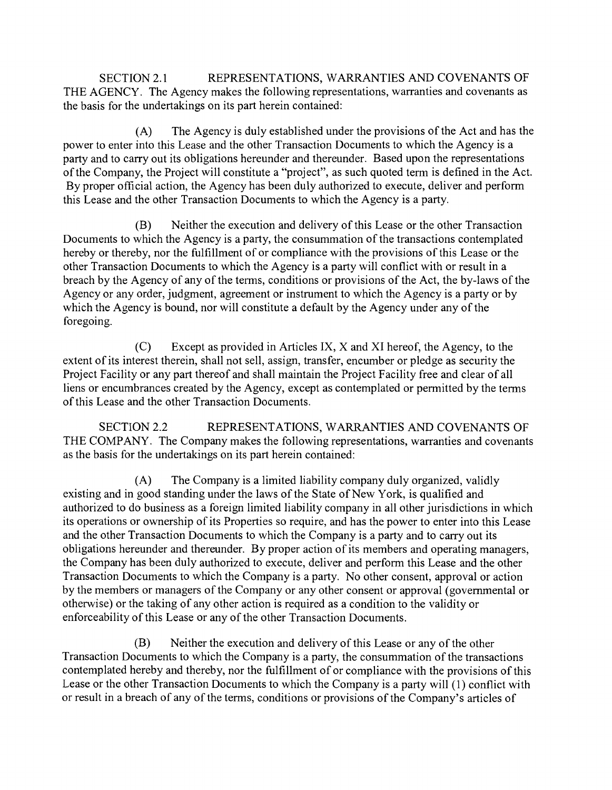SECTION 2.1 REPRESENTATIONS, WARRANTIES AND COVENANTS OF THE AGENCY. The Agency makes the following representations, warranties and covenants as the basis for the undertakings on its part herein contained:

The Agency is duly established under the provisions of the Act and has the  $(A)$ power to enter into this Lease and the other Transaction Documents to which the Agency is a party and to carry out its obligations hereunder and thereunder. Based upon the representations of the Company, the Project will constitute a "project", as such quoted term is defined in the Act. By proper official action, the Agency has been duly authorized to execute, deliver and perform this Lease and the other Transaction Documents to which the Agency is a party.

(B) Neither the execution and delivery of this Lease or the other Transaction Documents to which the Agency is a party, the consummation of the transactions contemplated hereby or thereby, nor the fulfillment of or compliance with the provisions of this Lease or the other Transaction Documents to which the Agency is a party will conflict with or result in a breach by the Agency of any of the terms, conditions or provisions of the Act, the by-laws of the Agency or any order, judgment, agreement or instrument to which the Agency is a party or by which the Agency is bound, nor will constitute a default by the Agency under any of the foregoing.

 $(C)$ Except as provided in Articles IX, X and XI hereof, the Agency, to the extent of its interest therein, shall not sell, assign, transfer, encumber or pledge as security the Project Facility or any part thereof and shall maintain the Project Facility free and clear of all liens or encumbrances created by the Agency, except as contemplated or permitted by the terms of this Lease and the other Transaction Documents.

SECTION 2.2 REPRESENTATIONS, WARRANTIES AND COVENANTS OF THE COMPANY. The Company makes the following representations, warranties and covenants as the basis for the undertakings on its part herein contained:

The Company is a limited liability company duly organized, validly  $(A)$ existing and in good standing under the laws of the State of New York, is qualified and authorized to do business as a foreign limited liability company in all other jurisdictions in which its operations or ownership of its Properties so require, and has the power to enter into this Lease and the other Transaction Documents to which the Company is a party and to carry out its obligations hereunder and thereunder. By proper action of its members and operating managers, the Company has been duly authorized to execute, deliver and perform this Lease and the other Transaction Documents to which the Company is a party. No other consent, approval or action by the members or managers of the Company or any other consent or approval (govemmental or otherwise) or the taking of any other action is required as a condition to the validity or enforceability of this Lease or any of the other Transaction Documents.

(B) Neither the execution and delivery of this Lease or any of the other Transaction Documents to which the Company is a party, the consummation of the transactions contemplated hereby and thereby, nor the fulfillment of or compliance with the provisions of this Lease or the other Transaction Documents to which the Company is a party will (1) conflict with or result in a breach of any of the tenns, conditions or provisions of the Company's articles of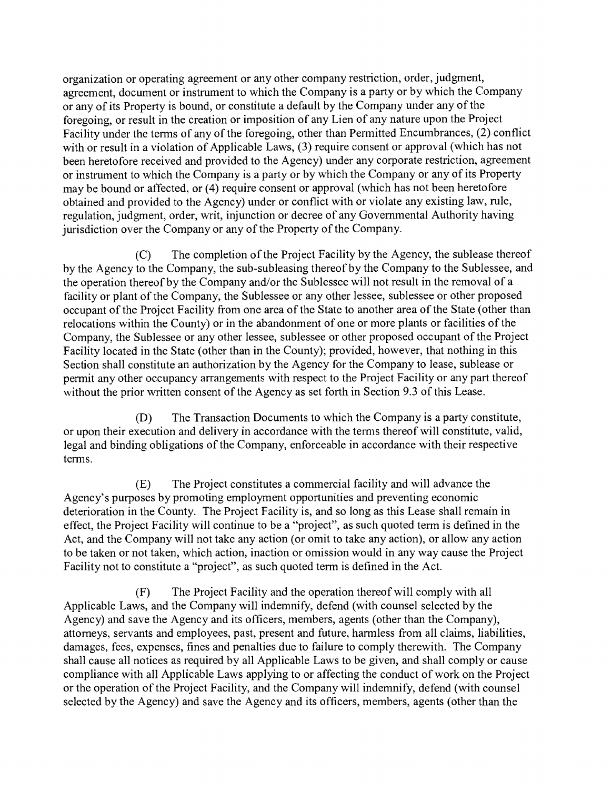organization or operating agreement or any other company restriction, order, judgment, agreement, document or instrument to which the Company is a party or by which the Company or any of its Property is bound, or constitute a default by the Company under any of the foregoing, or result in the creation or imposition of any Lien of any nature upon the Project Facility under the terms of any of the foregoing, other than Permitted Encumbrances, (2) conflict with or result in a violation of Applicable Laws, (3) require consent or approval (which has not been heretofore received and provided to the Agency) under any corporate restriction, agreement or instrument to which the Company is a party or by which the Company or any of its Property may be bound or affected, or (4) require consent or approval (which has not been heretofore obtained and provided to the Agency) under or conflict with or violate any existing law, rule, regulation, judgment, order, writ, injunction or decree of any Govemmental Authority having jurisdiction over the Company or any of the Property of the Company.

 $(C)$ The completion of the Project Facility by the Agency, the sublease thereof by the Agency to the Company, the sub-subleasing thereof by the Company to the Sublessee, and the operation thereof by the Company and/or the Sublessee will not result in the removal of a facility or plant of the Company, the Sublessee or any other lessee, sublessee or other proposed occupant of the Project Facility from one area of the State to another area of the State (other than relocations within the County) or in the abandonment of one or more plants or facilities of the Company, the Sublessee or any other lessee, sublessee or other proposed occupant of the Project Facility located in the State (other than in the County); provided, however, that nothing in this Section shall constitute an authorization by the Agency for the Company to lease, sublease or permit any other occupancy arrangements with respect to the Project Facility or any part thereof without the prior written consent of the Agency as set forth in Section 9.3 of this Lease.

The Transaction Documents to which the Company is a party constitute,  $(D)$ or upon their execution and delivery in accordance with the terms thereof will constitute, valid, legal and binding obligations of the Company, enforceable in accordance with their respective terms.

 $(E)$ The Project constitutes a commercial facility and will advance the Agency's purposes by promoting employment opportunities and preventing economic deterioration in the County. The Project Facility is, and so long as this Lease shall remain in effect, the Project Facility will continue to be a "project", as such quoted term is defined in the Act, and the Company will not take any action (or omit to take any action), or allow any action to be taken or not taken, which action, inaction or omission would in any way cause the Project Facility not to constitute a "project", as such quoted term is defined in the Act.

 $(F)$ The Project Facility and the operation thereof will comply with all Applicable Laws, and the Company will indemnify, defend (with counsel selected by the Agency) and save the Agency and its officers, members, agents (other than the Company), attomeys, servants and employees, past, present and future, harmless from all claims, liabilities, damages, fees, expenses, fines and penalties due to failure to comply therewith. The Company shall cause all notices as required by all Applicable Laws to be given, and shall comply or cause compliance with all Applicable Laws applying to or affecting the conduct of work on the Project or the operation of the Project Facility, and the Company will indemnify, defend (with counsel selected by the Agency) and save the Agency and its officers, members, agents (other than the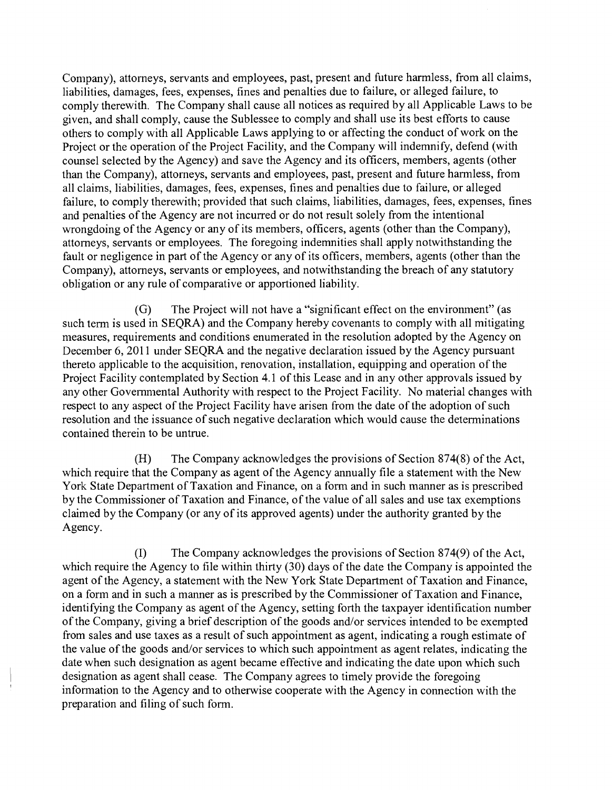Company), attomeys, servants and employees, past, present and future harmless, from all claims liabilities, damages, fees, expenses, fines and penalties due to failure, or alleged failure, to comply therewith. The Company shall cause all notices as required by all Applicable Laws to be given, and shall comply, cause the Sublessee to comply and shall use its best efforts to cause others to comply with all Applicable Laws applying to or affecting the conduct of work on the Project or the operation of the Project Facility, and the Company will indemnify, defend (with counsel selected by the Agency) and save the Agency and its officers, members, agents (other than the Company), attomeys, servants and employees, past, present and future harmless, from all claims, liabilities, damages, fees, expenses, fines and penalties due to failure, or alleged failure, to comply therewith; provided that such claims, liabilities, damages, fees, expenses, fines and penalties of the Agency are not incurred or do not result solely from the intentional wrongdoing of the Agency or any of its members, officers, agents (other than the Company), attomeys, servants or employees. The foregoing indemnities shall apply notwithstanding the fault or negligence in part of the Agency or any of its officers, members, agents (other than the Company), attomeys, servants or employees, and notwithstanding the breach of any statutory obligation or any rule of comparative or apportioned liability.

 $(G)$ The Project will not have a "significant effect on the environment" (as such term is used in SEQRA) and the Company hereby covenants to comply with all mitigating measures, requirements and conditions enumerated in the resolution adopted by the Agency on December 6, 2011 under SEQRA and the negative declaration issued by the Agency pursuant thereto applicable to the acquisition, renovation, installation, equipping and operation of the Project Facility contemplated by Section 4.1 of this Lease and in any other approvals issued by any other Govemmental Authority with respect to the Project Facility. No material changes with respect to any aspect of the Project Facility have arisen from the date of the adoption of such resolution and the issuance of such negative declaration which would cause the detenninations contained therein to be untrue.

 $(H)$ The Company acknowledges the provisions of Section 874(8) of the Act, which require that the Company as agent of the Agency annually file a statement with the New York State Department of Taxation and Finance, on a form and in such manner as is prescn'bed by the Commissioner of Taxation and Finance, of the value of all sales and use tax exemptions claimed by the Company (or any of its approved agents) under the authority granted by the Agency.

(1) The Company acknowledges the provisions of Section 874(9) of the Act, which require the Agency to file within thirty (30) days of the date the Company is appointed the agent of the Agency, a statement with the New York State Department of Taxation and Finance, on a form and in such a manner as is prescribed by the Commissioner of Taxation and Finance, identifying the Company as agent of the Agency, setting forth the taxpayer identification number of the Company, giving a brief description of the goods and/or services intended to be exempted from sales and use taxes as a result of such appointment as agent, indicating a rough estimate of the value of the goods and/or services to which such appointment as agent relates, indicating the date when such designation as agent became effective and indicating the date upon which such designation as agent shall cease. The Company agrees to timely provide the foregoing inforrnation to the Agency and to otherwise cooperate with the Agency in connection with the preparation and filing of such form.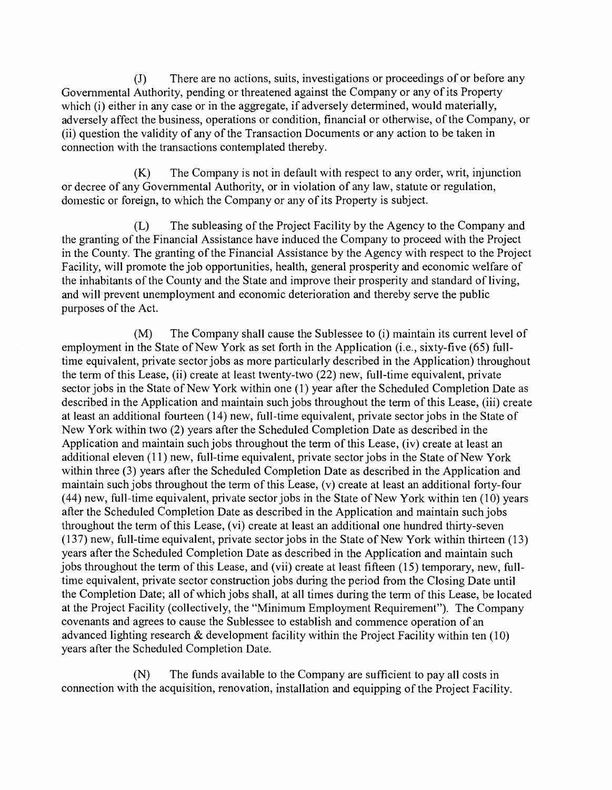There are no actions, suits, investigations or proceedings of or before any  $\overline{J}$ Govemmental Authority, pending or threatened against the Company or any of its Property which (i) either in any case or in the aggregate, if adversely determined, would materially, adversely affect the business, operations or condition, financial or otherwise, of the Company, or (11) question the validity of any of the Transaction Documents or any action to be taken in connection with the transactions contemplated thereby.

The Company is not in default with respect to any order, writ, injunction  $(K)$ or decree of any Govemmental Authority, or in violation of any law, statute or regulation, domestic or foreign, to which the Company or any of its Property is subject.

The subleasing of the Project Facility by the Agency to the Company and (L) the granting of the Financial Assistance have induced the Company to proceed with the Project in the County. The granting of the Financial Assistance by the Agency with respect to the Project Facility, will promote the job opportunities, health, general prosperity and economic welfare of the inhabitants of the County and the State and improve their prosperity and standard of living, and will prevent unemployment and economic deterioration and thereby serve the public purposes of the Act.

The Company shall cause the Sublessee to (i) maintain its current level of  $(M)$ employment in the State of New York as set forth in the Application (i.e., sixty-five (65) fulltime equivalent, private sector jobs as more particularly described in the Application) throughout the tenn of this Lease, (ii) create at least twenty-two (22) new, full-time equivalent, private sector jobs in the State of New York within one (1) year after the Scheduled Completion Date as described in the Application and maintain such jobs throughout the term of this Lease, (iii) create at least an additional fourteen (14) new, full-time equivalent, private sector jobs in the State of New York within two (2) years after the Scheduled Completion Date as described in the Application and maintain such jobs throughout the term of this Lease, (iv) create at least an additional eleven (11) new, full-time equivalent, private sector jobs in the State of New York within three (3) years after the Scheduled Completion Date as described in the Application and maintain such jobs throughout the term of this Lease, (v) create at least an additional forty-four (44) new, full-time equivalent, private sector jobs in the State of New York within ten (10) years after the Scheduled Completion Date as described in the Application and maintain such jobs throughout the term of this Lease, (vi) create at least an additional one hundred thirty-seven  $(137)$  new, full-time equivalent, private sector jobs in the State of New York within thirteen  $(13)$ years after the Scheduled Completion Date as described in the Application and maintain such jobs throughout the term of this Lease, and (vii) create at least fifteen (15) temporary, new, fulltime equivalent, private sector construction jobs during the period from the Closing Date until the Completion Date; all of which jobs shall, at all times during the term of this Lease, be located at the Project Facility (collectively, the "Minimum Employment Requirement"). The Company covenants and agrees to cause the Sublessee to establish and commence operation of an advanced lighting research & development facility within the Project Facility within ten (10) years after the Scheduled Completion Date.

 $(N)$ The funds available to the Company are sufficient to pay all costs in connection with the acquisition, renovation, installation and equipping of the Project Facility.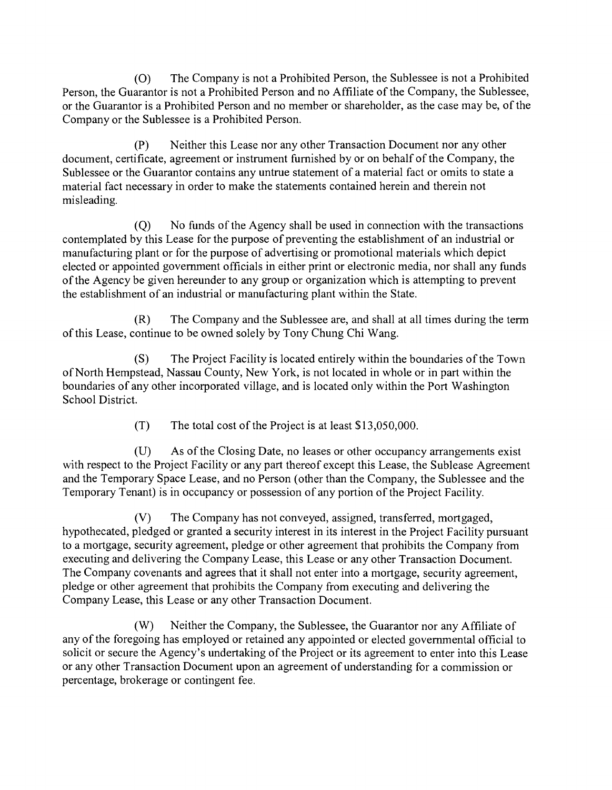(0) The Company is not a Prohibited Person, the Sublessee is not a Prohibited Person, the Guarantor is not a Prohibited Person and no Affiliate of the Company, the Sublessee, or the Guarantor is a Prohibited Person and no member or shareholder, as the case may be, of the Company or the Sublessee is a Prohibited Person.

 $(P)$ Neither this Lease nor any other Transaction Document nor any other document, certificate, agreement or instrument fumished by or on behalf of the Company, the Sublessee or the Guarantor contains any untrue statement of a material fact or omits to state a material fact necessary in order to make the statements contained herein and therein not misleading.

No funds of the Agency shall be used in connection with the transactions  $(0)$ contemplated by this Lease for the purpose of preventing the establishment of an industrial or manufacturing plant or for the purpose of advertising or promotional materials which depict elected or appointed govemment officials in either print or electronic media, nor shall any funds of the Agency be given hereunder to any group or organization which is attempting to prevent the establishment of an industrial or manufacturing plant within the State.

 $(R)$ The Company and the Sublessee are, and shall at all times during the term of this Lease, continue to be owned solely by Tony Chung Chi Wang.

 $(S)$ The Project Facility is located entirely within the boundaries of the Town of North Hempstead, Nassau County, New York, is not located in whole or in part within the boundaries of any other incorporated village, and is located only within the Port Washington School District.

> $(T)$ The total cost of the Project is at least \$13,050,000.

 $(U)$ As of the Closing Date, no leases or other occupancy arrangements exist with respect to the Project Facility or any part thereof except this Lease, the Sublease Agreement and the Temporary Space Lease, and no Person (other than the Company, the Sublessee and the Temporary Tenant) is in occupancy or possession of any portion of the Project Facility.

 $(V)$ The Company has not conveyed, assigned, transferred, mortgaged, hypothecated, pledged or granted a security interest in its interest in the Project Facility pursuant to a mortgage, security agreement, pledge or other agreement that prohibits the Company from executing and delivering the Company Lease, this Lease or any other Transaction Document. The Company covenants and agrees that it shall not enter into a mortgage, security agreement, pledge or other agreement that prohibits the Company from executing and delivering the Company Lease, this Lease or any other Transaction Document.

 $(W)$ Neither the Company, the Sublessee, the Guarantor nor any Affiliate of any of the foregoing has employed or retained any appointed or elected govemmental official to solicit or secure the Agency's undertaking of the Project or its agreement to enter into this Lease or any other Transaction Document upon an agreement of understanding for a commission or percentage, brokerage or contingent fee.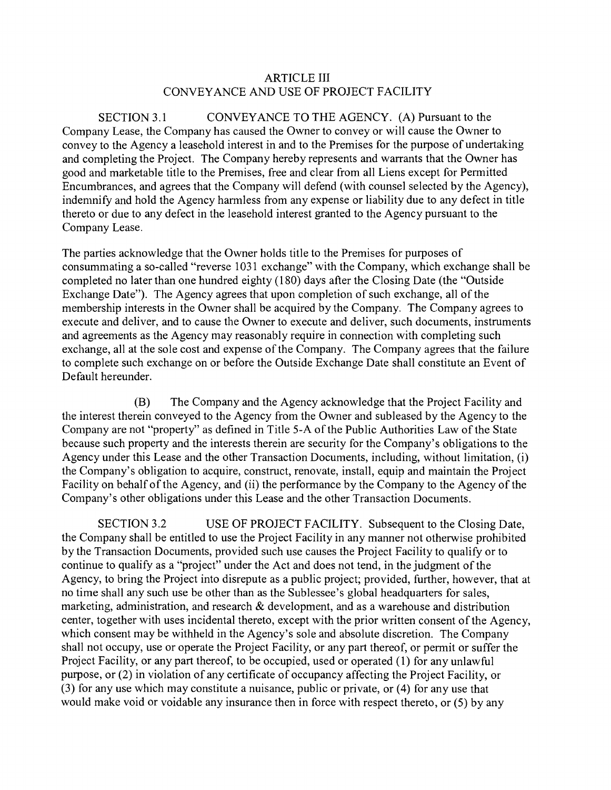### ARTICLE III CONVEYANCE AND USE OF PROJECT FACILITY

SECTION 3.1 CONVEYANCE TO THE AGENCY. (A) Pursuant to the Company Lease, the Company has caused the Owner to convey or will cause the Owner to convey to the Agency a leasehold interest in and to the Premises for the purpose of undertaking and completing the Project. The Company hereby represents and warrants that the Owner has good and marketable title to the Premises, free and clear from all Liens except for Permitted Encumbrances, and agrees that the Company will defend (with counsel selected by the Agency), indemnify and hold the Agency harmless from any expense or liability due to any defect in title thereto or due to any defect in the leasehold interest granted to the Agency pursuant to the Company Lease.

The parties acknowledge that the Owner holds title to the Premises for purposes of consummating a so-called "reverse 1031 exchange" with the Company, which exchange shall be completed no later than one hundred eighty (180) days after the Closing Date (the "Outside Exchange Date"). The Agency agrees that upon completion of such exchange, all of the membership interests in the Owner shall be acquired by the Company. The Company agrees to execute and deliver, and to cause the Owner to execute and deliver, such documents, instruments and agreements as the Agency may reasonably require in connection with completing such exchange, all at the sole cost and expense of the Company. The Company agrees that the failure to complete such exchange on or before the Outside Exchange Date shall constitute an Event of Default hereunder.

(B) The Company and the Agency acknowledge that the Project Facility and the interest therein conveyed to the Agency from the Owner and subleased by the Agency to the Company are not "property" as defined in Title 5-A of the Public Authorities Law of the State because such property and the interests therein are security for the Company's obligations to the Agency under this Lease and the other Transaction Documents, including, without limitation, (i) the Company's obligation to acquire, construct, renovate, install, equip and maintain the Project Facility on behalf of the Agency, and (ii) the performance by the Company to the Agency of the Company's other obligations under this Lease and the other Transaction Documents.

SECTION 3.2 USE OF PROJECT FACILITY. Subsequent to the Closing Date, the Company shall be entitled to use the Project Facility in any manner not otherwise prohibited by the Transaction Documents, provided such use causes the Project Facility to qualify or to continue to qualify as a "project" under the Act and does not tend, in the judgment of the Agency, to bring the Project into disrepute as a public project; provided, further, however, that at no time shall any such use be other than as the Sublessee's global headquarters for sales, marketing, administration, and research  $\&$  development, and as a warehouse and distribution center, together with uses incidental thereto, except with the prior written consent of the Agency, which consent may be withheld in the Agency's sole and absolute discretion. The Company shall not occupy, use or operate the Project Facility, or any part thereof, or permit or suffer the Project Facility, or any part thereof, to be occupied, used or operated (1) for any unlawful purpose, or (2) in violation of any certificate of occupancy affecting the Project Facility, or (3) for any use which may constitute a nuisance, public or private, or (4) for any use that would make void or voidable any insurance then in force with respect thereto, or (5) by any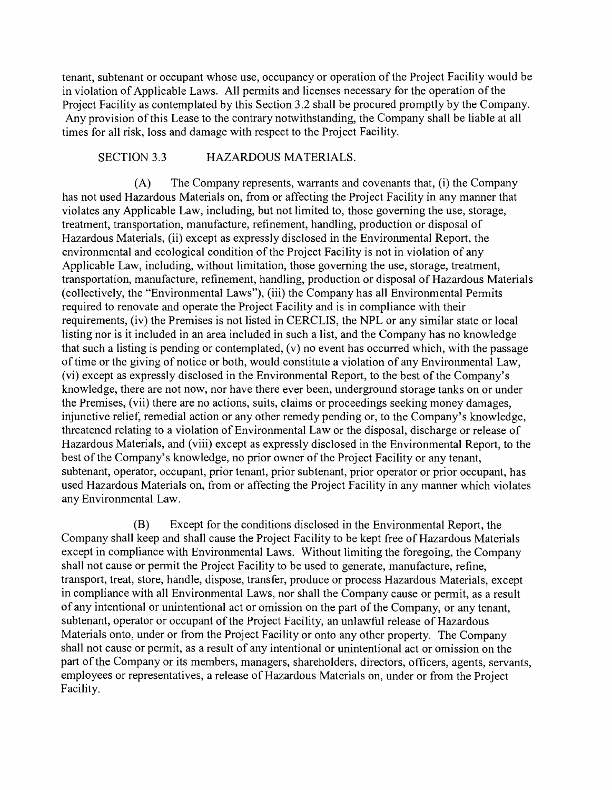tenant, subtenant or occupant whose use, occupancy or operation of the Project Facility would be in violation of Applicable Laws. All permits and licenses necessary for the operation of the Project Facility as contemplated by this Section 3.2 shall be procured promptly by the Company. Any provision of this Lease to the contrary notwithstanding, the Company shall be liable at all times for all risk, loss and damage with respect to the Project Facility.

### SECTION 3.3 HAZARDOUS MATERIALS.

 $(A)$ The Company represents, warrants and covenants that, (i) the Company has not used Hazardous Materials on, from or affecting the Project Facility in any manner that violates any Applicable Law, including, but not limited to, those goveming the use, storage, treatment, transportation, manufacture, refinement, handling, production or disposal of Hazardous Materials, (ii) except as expressly disclosed in the Environmental Report, the environmental and ecological condition of the Project Facility is not in violation of any Applicable Law, including, without limitation, those goveming the use, storage, treatment, transportation, manufacture, refinement, handling, production or disposal of Hazardous Materials (collectively, the "Environmental Laws"), (iii) the Company has all Environmental Permits required to renovate and operate the Project Facility and is in compliance with their requirements, (iv) the Premises is not listed in CERCLIS, the NPL or any similar state or local listing nor is it included in an area included in such a list, and the Company has no knowledge that such a listing is pending or contemplated, (v) no event has occurred which, with the passage of time or the giving of notice or both, would constitute a violation of any Environmental Law, (vi) except as expressly disclosed in the Environmental Report, to the best of the Company's knowledge, there are not now, nor have there ever been, underground storage tanks on or under the Premises, (vii) there are no actions, suits, claims or proceedings seeking money damages, injunctive relief, remedial action or any other remedy pending or, to the Company's knowledge, threatened relating to a violation of Environmental Law or the disposal, discharge or release of Hazardous Materials, and (viii) except as expressly disclosed in the Environmental Report, to the best of the Company's knowledge, no prior owner of the Project Facility or any tenant, subtenant, operator, occupant, prior tenant, prior subtenant, prior operator or prior occupant, has used Hazardous Materials on, from or affecting the Project Facility in any manner which violates any Environmental Law.

Except for the conditions disclosed in the Environmental Report, the (B) Company shall keep and shall cause the Project Facility to be kept free of Hazardous Materials except in compliance with Environmental Laws. Without limiting the foregoing, the Company shall not cause or permit the Project Facility to be used to generate, manufacture, refine, transport, treat, store, handle, dispose, transfer, produce or process Hazardous Materials, except in compliance with all Environmental Laws, nor shall the Company cause or permit, as a result of any intentional or unintentional act or omission on the part of the Company, or any tenant, subtenant, operator or occupant of the Project Facility, an unlawful release of Hazardous Materials onto, under or from the Project Facility or onto any other property. The Company shall not cause or permit, as a result of any intentional or unintentional act or omission on the part of the Company or its members, managers, shareholders, directors, officers, agents, servants, employees or representatives, a release of Hazardous Materials on, under or from the Project Facility.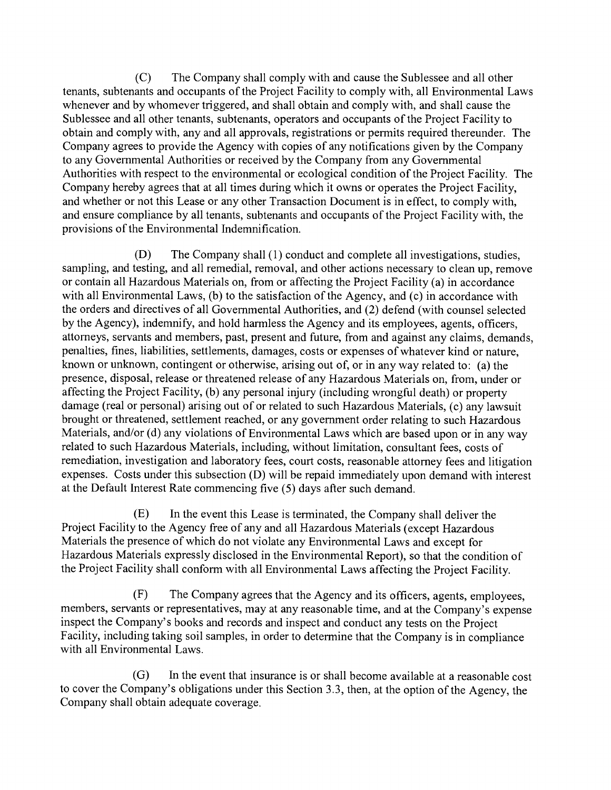$(C)$ The Company shall comply with and cause the Sublessee and all other tenants, subtenants and occupants of the Project Facility to comply with, all Environmental Laws whenever and by whomever triggered, and shall obtain and comply with, and shall cause the Sublessee and all other tenants, subtenants, operators and occupants of the Project Facility to obtain and comply with, any and all approvals, registrations or permits required thereunder. The Company agrees to provide the Agency with copies of any notifications given by the Company to any Govemmental Authorities or received by the Company from any Govemmental Authorities with respect to the environmental or ecological condition of the Project Facility. The Company hereby agrees that at all times during which it owns or operates the Project Facility, and whether or not this Lease or any other Transaction Document is in effect, to comply with, and ensure compliance by all tenants, subtenants and occupants of the Project Facility with, the provisions of the Environmental Indemnification.

(D) The Company shall (1) conduct and complete all investigations, studies, sampling, and testing, and all remedial, removal, and other actions necessary to clean up, remove or contain all Hazardous Materials on, from or affecting the Project Facility (a) in accordance with all Environmental Laws, (b) to the satisfaction of the Agency, and (c) in accordance with the orders and directives of all Governmental Authorities, and (2) defend (with counsel selected by the Agency), indemnify, and hold harmless the Agency and its employees, agents, officers, attomeys, servants and members, past, present and future, from and against any claims, demands, penalties, fines, liabilities, settlements, damages, costs or expenses of whatever kind or nature, known or unknown, contingent or otherwise, arising out of, or in any way related to: (a) the presence, disposal, release or threatened release of any Hazardous Materials on, from, under or affecting the Project Facility, (b) any personal injury (including wrongful death) or property damage (real or personal) arising out of or related to such Hazardous Materials, (c) any lawsuit brought or threatened, settlement reached, or any govermnent order relating to such Hazardous Materials, and/or (d) any violations of Environmental Laws which are based upon or in any way related to such Hazardous Materials, including, without limitation, consultant fees, costs of remediation, investigation and laboratory fees, court costs, reasonable attomey fees and litigation expenses. Costs under this subsection (D) will be repaid immediately upon demand with interest at the Default Interest Rate commencing five (5) days after such demand.

 $(E)$ In the event this Lease is terminated, the Company shall deliver the Project Facility to the Agency free of any and all Hazardous Materials (except Hazardous Materials the presence of which do not violate any Environmental Laws and except for Hazardous Materials expressly disclosed in the Environmental Report), so that the condition of the Project Facility shall conform with all Environmental Laws affecting the Project Facility.

 $(F)$ The Company agrees that the Agency and its officers, agents, employees, members, servants or representatives, may at any reasonable time, and at the Company's expense inspect the Company's books and records and inspect and conduct any tests on the Project Facility, including taking soil samples, in order to determine that the Company is in compliance with all Environmental Laws.

 $(G)$ In the event that insurance is or shall become available at a reasonable cost to cover the Company's obligations under this Section 3.3, then, at the option of the Agency, the Company shall obtain adequate coverage.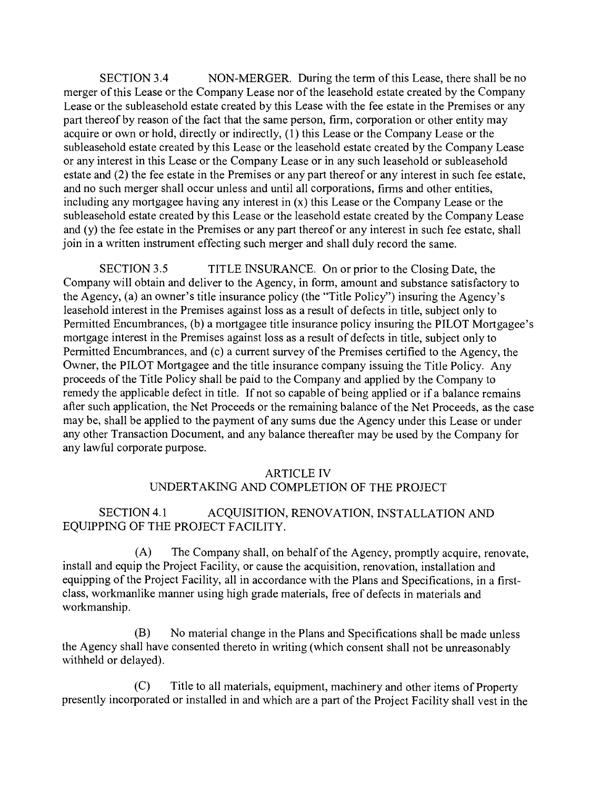SECTION 3.4 NON-MERGER. During the term of this Lease, there shall be no merger of this Lease or the Company Lease nor of the leasehold estate created by the Company Lease or the subleasehold estate created by this Lease with the fee estate in the Premises or any part thereof by reason of the fact that the same person, firm, corporation or other entity may acquire or own or hold, directly or indirectly, (1) this Lease or the Company Lease or the subleasehold estate created by this Lease or the leasehold estate created by the Company Lease or any interest in this Lease or the Company Lease or in any such leasehold or subleasehold estate and (2) the fee estate in the Premises or any part thereof or any interest in such fee estate, and no such merger shall occur unless and until all corporations, firms and other entities, including any mortgagee having any interest in (x) this Lease or the Company Lease or the subleasehold estate created by this Lease or the leasehold estate created by the Company Lease and (y) the fee estate in the Premises or any part thereof or any interest in such fee estate, shall join in a written instrument effecting such merger and shall duly record the same.

SECTION 3.5 TITLE fNSURANCE. On or prior to the Closing Date, the Company will obtain and deliver to the Agency, in forrn, amount and substance satisfactory to the Agency, (a) an owner's title insurance policy (the "Title Policy") insuring the Agency's leasehold interest in the Premises against loss as a result of defects in title, subject only to Permitted Encumbrances, (b) a mortgagee title insurance policy insuring the PILOT Mortgagee's mortgage interest in the Premises against loss as a result of defects in title, subject only to Permitted Encumbrances, and (c) a current survey of the Premises certified to the Agency, the Owner, the PILOT Mortgagee and the title insurance company issuing the Title Policy. Any proceeds of the Title Policy shall be paid to the Company and applied by the Company to remedy the applicable defect in title. If not so capable of being applied or if a balance remains after such application, the Net Proceeds or the remaining balance of the Net Proceeds, as the case may be, shall be applied to the payment of any sums due the Agency under this Lease or under any other Transaction Document, and any balance thereafter may be used by the Company for any lawful corporate purpose.

### ARTICLE IV

### UNDERTAKING AND COMPLETION OF THE PROJECT

### SECTION 4.1 ACQUISITION, RENOVATION, INSTALLATION AND EQUIPPING OF THE PROJECT FACILITY.

 $(A)$ The Company shall, on behalf of the Agency, promptly acquire, renovate, install and equip the Project Facility, or cause the acquisition, renovation, installation and equipping of the Project Facility, all in accordance with the Plans and Specifications, in a firstclass, workmanlike manner using high grade materials, free of defects in materials and workmanship.

 $(B)$ No material change in the Plans and Specifications shall be made unless the Agency shall have consented thereto in writing (which consent shall not be unreasonably withheld or delayed).

 $(C)$ Title to all materials, equipment, machinery and other items of Property presently incorporated or installed in and which are a part of the Project Facility shall vest in the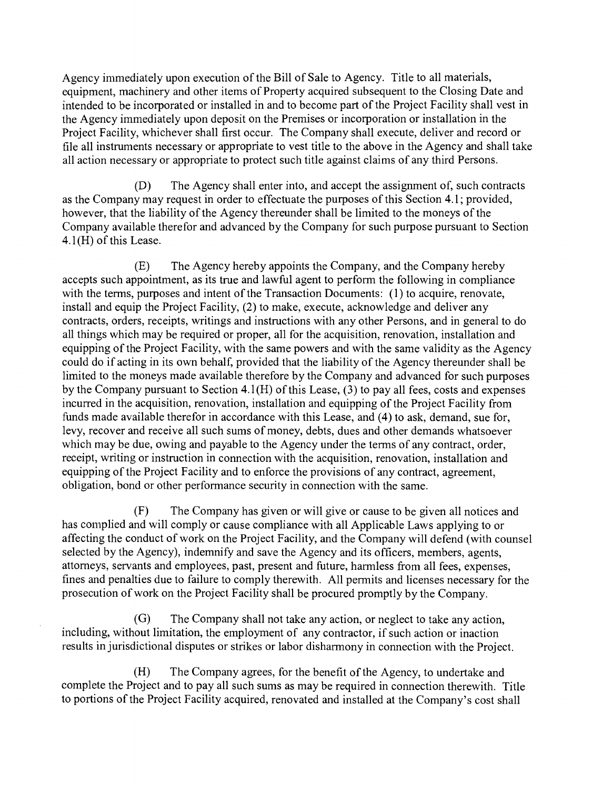Agency immediately upon execution of the Bill of Sale to Agency. Title to all materials, equipment, machinery and other items of Property acquired subsequent to the Closing Date and intended to be incorporated or installed in and to become part of the Project Facility shall vest in the Agency immediately upon deposit on the Premises or incorporation or installation in the Project Facility, whichever shall first occur. The Company shall execute, deliver and record or fite all instruments necessary or appropriate to vest title to the above in the Agency and shall take all action necessary or appropriate to protect such title against claims of any third Persons.

 $(D)$ The Agency shall enter into, and accept the assignment of, such contracts as the Company may request in order to effectuate the purposes of this Section 4. 1; provided, however, that the liability of the Agency thereunder shall be limited to the moneys of the Company available therefor and advanced by the Company for such purpose pursuant to Section  $4.1$ (H) of this Lease.

 $(E)$ The Agency hereby appoints the Company, and the Company hereby accepts such appointment, as its true and lawful agent to perform the following in compliance with the terms, purposes and intent of the Transaction Documents: (1) to acquire, renovate, install and equip the Project Facility, (2) to make, execute, acknowledge and deliver any contracts, orders, receipts, writings and instructions with any other Persons, and in general to do all things which may be required or proper, all for the acquisition, renovation, installation and equipping of the Project Facility, with the same powers and with the same validity as the Agency could do if acting in its own behalf, provided that the liability of the Agency thereunder shall be limited to the moneys made available therefore by the Company and advanced for such purposes by the Company pursuant to Section  $4.1(H)$  of this Lease, (3) to pay all fees, costs and expenses incurred in the acquisition, renovation, installation and equipping of the Project Facility from funds made available therefor in accordance with this Lease, and (4) to ask, demand, sue for, levy, recover and receive all such sums of money, debts, dues and other demands whatsoever which may be due, owing and payable to the Agency under the terms of any contract, order, receipt, writing or instruction in connection with the acquisition, renovation, installation and equipping of the Project Facility and to enforce the provisions of any contract, agreement, obligation, bond or other performance security in connection with the same.

 $(F)$ The Company has given or will give or cause to be given all notices and has complied and will comply or cause compliance with all Applicable Laws applying to or affecting the conduct of work on the Project Facility, and the Company will defend (with counsel selected by the Agency), indemnify and save the Agency and its officers, members, agents, attorneys, servants and employees, past, present and future, harmless from all fees, expenses, fines and penalties due to failure to comply therewith. All permits and licenses necessary for the prosecution of work on the Project Facility shall be procured promptly by the Company.

 $(G)$ The Company shall not take any action, or neglect to take any action, including, without limitation, the employment of any contractor, if such action or inaction results in jurisdictional disputes or strikes or labor disharmony in connection with the Project.

The Company agrees, for the benefit of the Agency, to undertake and  $(H)$ complete the Project and to pay all such sums as may be required in connection therewith. Title to portions of the Project Facility acquired, renovated and installed at the Company's cost shall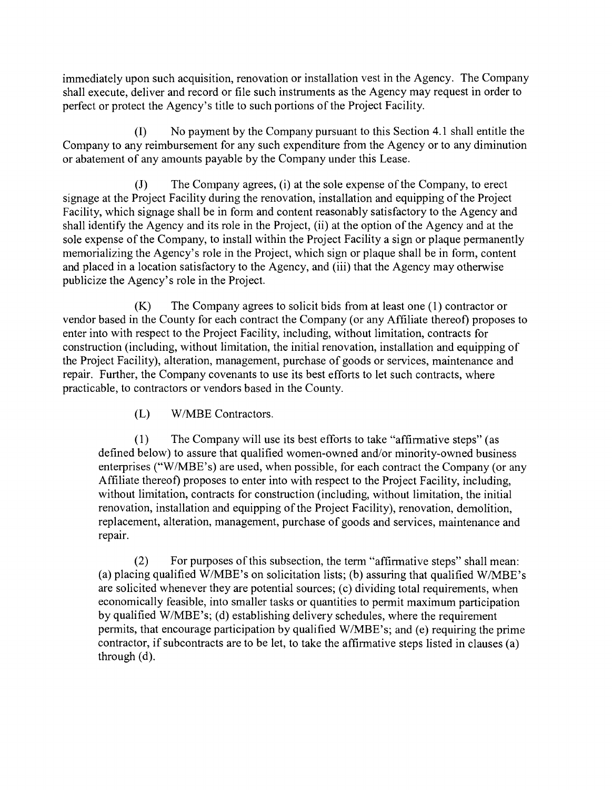immediately upon such acquisition, renovation or installation vest in the Agency. The Company shall execute, deliver and record or file such instruments as the Agency may request in order to perfect or protect the Agency's title to such portions of the Project Facility.

(1) No payrnent by the Company pursuant to this Section 4.1 shall entitle the Company to any reimbursement for any such expenditure from the Agency or to any diminution or abatement of any amounts payable by the Company under this Lease.

The Company agrees, (i) at the sole expense of the Company, to erect  $\sigma$ signage at the Project Facility during the renovation, installation and equipping of the Project Facility, which signage shall be in form and content reasonably satisfactory to the Agency and shall identify the Agency and its role in the Project, (ii) at the option of the Agency and at the sole expense of the Company, to install within the Project Facility a sign or plaque permanently memorializing the Agency's role in the Project, which sign or plaque shall be in form, content and placed in a location satisfactory to the Agency, and (iii) that the Agency may otherwise publicize the Agency's role in the Project.

 $(K)$ The Company agrees to solicit bids from at least one (1) contractor or vendor based in the County for each contract the Company (or any Affiliate thereof) proposes to enter into with respect to the Project Facility, including, without limitation, contracts for construction (including, without limitation, the initial renovation, installation and equipping of the Project Facility), alteration, management, purchase of goods or services, maintenance and repair. Further, the Company covenants to use its best efforts to let such contracts, where practicable, to contractors or vendors based in the County.

> (L) W/MBE Contractors.

 $(1)$ The Company will use its best efforts to take "affirmative steps" (as defined below) to assure that qualified women-owned and/or minority-owned business enterprises ("W/MBE's) are used, when possible, for each contract the Company (or any Affiliate thereof) proposes to enter into with respect to the Project Facility, including, without limitation, contracts for construction (including, without limitation, the initial renovation, installation and equipping of the Project Facility), renovation, demolition, replacement, alteration, management, purchase of goods and services, maintenance and repair.

 $(2)$ For purposes of this subsection, the term "affirmative steps" shall mean: (a) placing qualified W/MBE's on solicitation lists; (b) assuring that qualified W/MBE's are solicited whenever they are potential sources; (c) dividing total requirements, when economically feasible, into smaller tasks or quantities to permit maximum participation by qualified W/MBE's; (d) establishing delivery schedules, where the requirement pennits, that encourage participation by qualified W/MBE's; and (e) requiring the prime contractor, if subcontracts are to be let, to take the affirmative steps listed in clauses (a) through (d).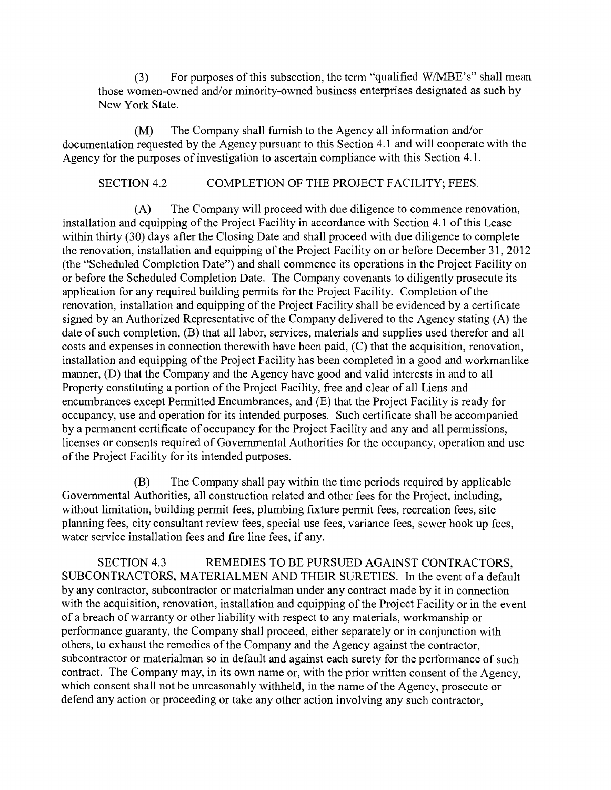(3) For purposes of this subsection, the term "qualified W/MBE's" shall mean those women-owned and/or minority-owned business enterprises designated as such by New York State.

(M) The Company shall fumish to the Agency all infonnation and/or documentation requested by the Agency pursuant to this Section 4.1 and will cooperate with the Agency for the purposes of investigation to ascertain compliance with this Section 4.1.

### SECTION 4.2 COMPLETION OF THE PROJECT FACILITY; FEES.

The Company will proceed with due diligence to commence renovation,  $(A)$ installation and equipping of the Project Facility in accordance with Section 4.1 of this Lease within thirty  $(30)$  days after the Closing Date and shall proceed with due diligence to complete the renovation, installation and equipping of the Project Facility on or before December 31, 2012 (the "Scheduled Completion Date") and shall commence its operations in the Project Facility on or before the Scheduled Completion Date. The Company covenants to diligently prosecute its application for any required building permits for the Project Facility. Completion of the renovation, installation and equipping of the Project Facility shall be evidenced by a certificate signed by an Authorized Representative of the Company delivered to the Agency stating (A) the date of such completion, (B) that all labor, services, materials and supplies used therefor and all costs and expenses in connection therewith have been paid, (C) that the acquisition, renovation, installation and equipping of the Project Facility has been completed in a good and workmanlike manner, (D) that the Company and the Agency have good and valid interests in and to all Property constituting a portion of the Project Facility, free and clear of all Liens and encumbrances except Pennitted Encumbrances, and (E) that the Project Facility is ready for occupancy, use and operation for its intended purposes. Such certificate shall be accompanied by a permanent certificate of occupancy for the Project Facility and any and all permissions, licenses or consents required of Govemmental Authorities for the occupancy, operation and use of the Project Facility for its intended purposes.

(B) The Company shall pay within the time periods required by applicable Govemmental Authorities, all construction related and other fees for the Project, including, without limitation, building permit fees, plumbing fixture permit fees, recreation fees, site planning fees, city consultant review fees, special use fees, variance fees, sewer hook up fees, water service installation fees and fire line fees, if any.

SECTION 4.3 REMEDIES TO BE PURSUED AGAINST CONTRACTORS, SUBCONTRACTORS, MATERIALMEN AND THEIR SURETIES. In the event of a default by any contractor, subcontractor or materialman under any contract made by it in connection with the acquisition, renovation, installation and equipping of the Project Facility or in the event of a breach of warranty or other liability with respect to any materials, workmanship or performance guaranty, the Company shall proceed, either separately or in conjunction with others, to exhaust the remedies of the Company and the Agency against the contractor, subcontractor or materialman so in default and against each surety for the performance of such contract. The Company may, in its own name or, with the prior written consent of the Agency, which consent shall not be unreasonably withheld, in the name of the Agency, prosecute or defend any action or proceeding or take any other action involving any such contractor,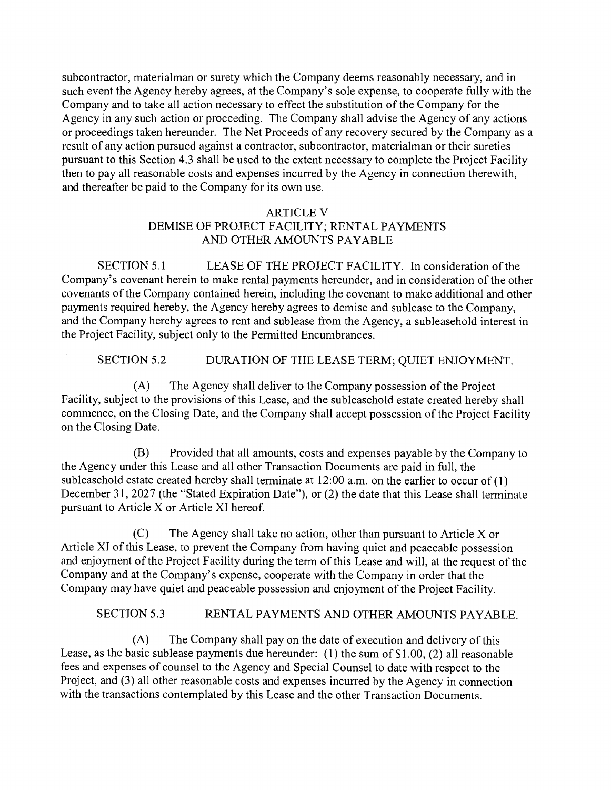subcontractor, materialman or surety which the Company deems reasonably necessary, and in such event the Agency hereby agrees, at the Company's sole expense, to cooperate fully with the Company and to take all action necessary to effect the substitution of the Company for the Agency in any such action or proceeding. The Company shall advise the Agency of any actions or proceedings taken hereunder. The Net Proceeds of any recovery secured by the Company as a result of any action pursued against a contractor, subcontractor, materialman or their sureties pursuant to this Section 4.3 shall be used to the extent necessary to complete the Project Facility then to pay all reasonable costs and expenses incurred by the Agency in connection therewith, and thereafter be paid to the Company for its own use.

### ARTICLE V DEMISE OF PROJECT FACILITY; RENTAL PAYMENTS AND OTHER AMOUNTS PAYABLE

SECTION 5.1 LEASE OF THE PROJECT FACILITY. In consideration of the Company's covenant herein to make rental payments hereunder, and in consideration of the other covenants of the Company contained herein, including the covenant to make additional and other payments required hereby, the Agency hereby agrees to demise and sublease to the Company, and the Company hereby agrees to rent and sublease from the Agency, a subleasehold interest in the Project Facility, subject only to the Permitted Encumbrances.

SECTION 5.2 DURATION OF THE LEASE TERM; QUIET ENJOYMENT.

 $(A)$ The Agency shall deliver to the Company possession of the Project Facility, subject to the provisions of this Lease, and the subleasehold estate created hereby shall commence, on the Closing Date, and the Company shall accept possession of the Project Facility on the Closing Date.

(B) Provided that all amounts, costs and expenses payable by the Company to the Agency under this Lease and all other Transaction Documents are paid in full, the subleasehold estate created hereby shall terminate at  $12:00$  a.m. on the earlier to occur of  $(1)$ December 31, 2027 (the "Stated Expiration Date"), or (2) the date that this Lease shall terminate pursuant to Article X or Article XI hereof.

 $(C)$ The Agency shall take no action, other than pursuant to Article  $X$  or Article XI of this Lease, to prevent the Company from having quiet and peaceable possession and enjoyment of the Project Facility during the term of this Lease and will, at the request of the Company and at the Company's expense, cooperate with the Company in order that the Company may have quiet and peaceable possession and enjoyment of the Project Facility.

### SECTION 5.3 RENTAL PAYMENTS AND OTHER AMOUNTS PAYABLE.

(A) The Company shall pay on the date of execution and delivery of this Lease, as the basic sublease payments due hereunder: (1) the sum of \$1.00, (2) all reasonable fees and expenses of counsel to the Agency and Special Counsel to date with respect to the Project, and (3) all other reasonable costs and expenses incurred by the Agency in connection with the transactions contemplated by this Lease and the other Transaction Documents.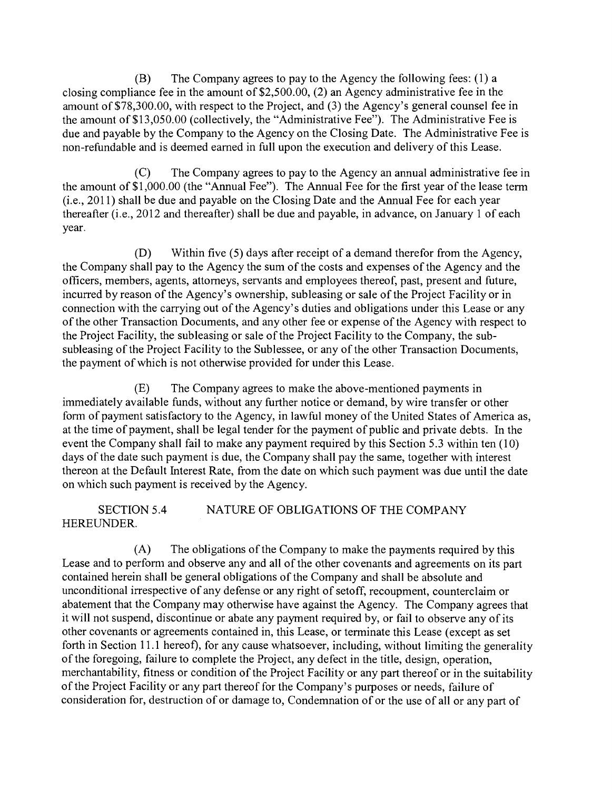(B) The Company agrees to pay to the Agency the following fees: (1) a closing compliance fee in the amount of \$2,500.00, (2) an Agency administrative fee in the amount of \$78,300.00, with respect to the Project, and (3) the Agency's general counsel fee in the amount of \$13,050.00 (collectively, the "Administrative Fee"). The Administrative Fee is due and payable by the Company to the Agency on the Closing Date. The Administrative Fee is non-refundable and is deemed eamed in full upon the execution and delivery of this Lease.

 $(C)$ The Company agrees to pay to the Agency an annual administrative fee in the amount of \$1,000.00 (the "Annual Fee"). The Annual Fee for the first year of the lease tenn (i.e., 2011) shall be due and payable on the Closing Date and the Annual Fee for each year thereafter (i.e., 2012 and thereafter) shall be due and payable, in advance, on January 1 of each year.

(D) Within five (5) days after receipt of a demand therefor from the Agency, the Company shall pay to the Agency the sum of the costs and expenses of the Agency and the officers, members, agents, attomeys, servants and employees thereof, past, present and future, incurred by reason of the Agency's ownership, subleasing or sale of the Project Facility or in connection with the carrying out of the Agency's duties and obligations under this Lease or any of the other Transaction Documents, and any other fee or expense of the Agency with respect to the Project Facility, the subleasing or sale of the Project Facility to the Company, the subsubleasing of the Project Facility to the Sublessee, or any of the other Transaction Documents, the payment of which is not otherwise provided for under this Lease.

 $(E)$ The Company agrees to make the above-mentioned payments in immediately available funds, without any further notice or demand, by wire transfer or other form of payment satisfactory to the Agency, in lawful money of the United States of America as, at the time of payment, shall be legal tender for the payment of public and private debts. In the event the Company shall fail to make any payment required by this Section 5.3 within ten (10) days of the date such payment is due, the Company shall pay the same, together with interest thereon at the Default Interest Rate, from the date on which such payment was due until the date on which such payment is received by the Agency.

SECTION 5.4 NATURE OF OBLIGATIONS OF THE COMPANY HEREUNDER.

(A) The obligations of the Company to make the payments required by this Lease and to perform and observe any and all of the other covenants and agreements on its part contained herein shall be general obligations of the Company and shall be absolute and unconditional irrespective of any defense or any right of setoff, recoupment, counterclaim or abatement that the Company may otherwise have against the Agency. The Company agrees that it will not suspend, discontinue or abate any payment required by, or fail to observe any of its other covenants or agreements contained in, this Lease, or tenninate this Lease (except as set forth in Section 11. 1 hereof), for any cause whatsoever, including, without limiting the generality of the foregoing, failure to complete the Project, any defect in the title, design, operation, merchantability, fitness or condition of the Project Facility or any part thereof or in the suitability of the Project Facility or any part thereof for the Company's purposes or needs, failure of consideration for, destruction of or damage to, Condemnation of or the use of all or any part of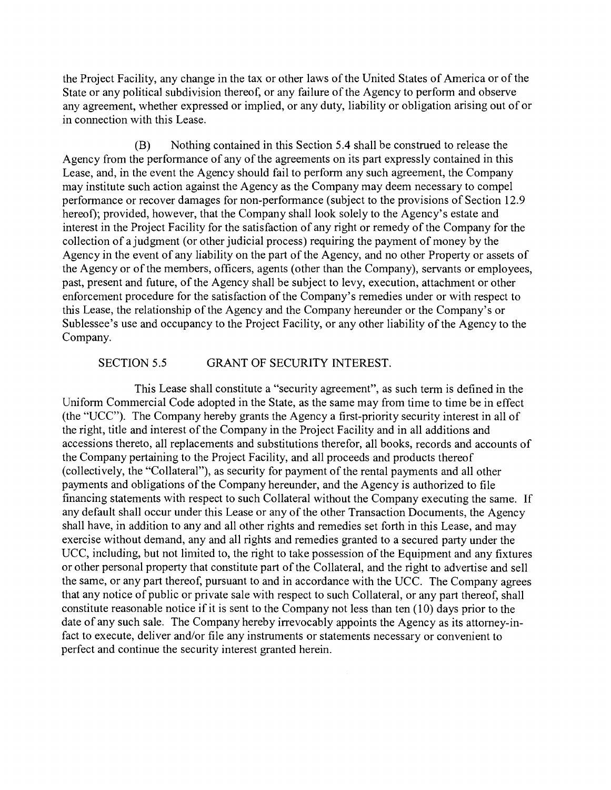the Project Facility, any change in the tax or other laws of the United States of America or of the State or any political subdivision thereof, or any failure of the Agency to perform and observe any agreement, whether expressed or implied, or any duty, liability or obligation arising out of or in connection with this Lease.

(B) Nothing contained in this Section 5.4 shall be construed to release the Agency from the performance of any of the agreements on its part expressly contained in this Lease, and, in the event the Agency should fail to perform any such agreement, the Company may institute such action against the Agency as the Company may deem necessary to compel performance or recover damages for non-performance (subject to the provisions of Section 12.9 hereof); provided, however, that the Company shall look solely to the Agency's estate and interest in the Project Facility for the satisfaction of any right or remedy of the Company for the collection of a judgment (or other judicial process) requiring the payment of money by the Agency in the event of any liability on the part of the Agency, and no other Property or assets of the Agency or of the members, officers, agents (other than the Company), servants or employees, past, present and future, of the Agency shall be subject to levy, execution, attachment or other enforcement procedure for the satisfaction of the Company's remedies under or with respect to this Lease, the relationship of the Agency and the Company hereunder or the Company's or Sublessee's use and occupancy to the Project Facility, or any other liability of the Agency to the Company.

#### SECTION 5.5 GRANT OF SECURITY INTEREST.

This Lease shall constitute a "security agreement", as such term is defined in the Uniform Commercial Code adopted in the State, as the same may from time to time be in effect (the "UCC"). The Company hereby grants the Agency a first-priority security interest in all of the right, title and interest of the Company in the Project Facility and in all additions and accessions thereto, all replacements and substitutions therefor, all books, records and accounts of the Company pertaining to the Project Facility, and all proceeds and products thereof (collectively, the "Collateral"), as security for payment of the rental payments and all other payments and obligations of the Company hereunder, and the Agency is authorized to file financing statements with respect to such Collateral without the Company executing the same. If any default shall occur under this Lease or any of the other Transaction Documents, the Agency shall have, in addition to any and all other rights and remedies set forth in this Lease, and may exercise without demand, any and all rights and remedies granted to a secured party under the UCC, including, but not limited to, the right to take possession of the Equipment and any fixtures or other personal property that constitute part of the Collateral, and the right to advertise and sell the same, or any part thereof, pursuant to and in accordance with the UCC. The Company agrees that any notice of public or private sale with respect to such Collateral, or any part thereof, shall constitute reasonable notice if it is sent to the Company not less than ten (10) days prior to the date of any such sale. The Company hereby irrevocably appoints the Agency as its attomey-infact to execute, deliver and/or file any instruments or statements necessary or convenient to perfect and continue the security interest granted herein.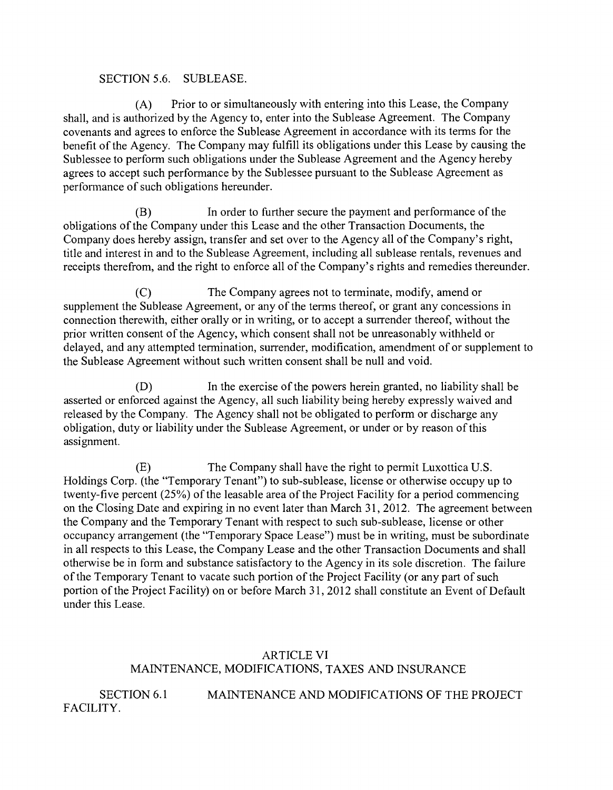#### SECTION 5.6. SUBLEASE.

Prior to or simultaneously with entering into this Lease, the Company  $(A)$ shall, and is authorized by the Agency to, enter into the Sublease Agreement. The Company covenants and agrees to enforce the Sublease Agreement in accordance with its terms for the benefit of the Agency. The Company may fulfill its obligations under this Lease by causing the Sublessee to perform such obligations under the Sublease Agreement and the Agency hereby agrees to accept such performance by the Sublessee pursuant to the Sublease Agreement as performance of such obligations hereunder.

 $(B)$ In order to further secure the payment and performance of the obligations of the Company under this Lease and the other Transaction Documents, the Company does hereby assign, transfer and set over to the Agency all of the Company's right, title and interest in and to the Sublease Agreement, including all sublease rentals, revenues and receipts therefrom, and the right to enforce all of the Company's rights and remedies thereunder.

The Company agrees not to terminate, modify, amend or  $(C)$ supplement the Sublease Agreement, or any of the terms thereof, or grant any concessions in connection therewith, either orally or in writing, or to accept a surrender thereof, without the prior written consent of the Agency, which consent shall not be unreasonably withheld or delayed, and any attempted termination, surrender, modification, amendment of or supplement to the Sublease Agreement without such written consent shall be null and void.

 $(D)$ In the exercise of the powers herein granted, no liability shall be asserted or enforced against the Agency, all such liability being hereby expressly waived and released by the Company. The Agency shall not be obligated to perform or discharge any obligation, duty or liability under the Sublease Agreement, or under or by reason of this assignment.

 $(E)$ The Company shall have the right to pennit Luxottica U.S. Holdings Corp. (the "Temporary Tenant") to sub-sublease, license or otherwise occupy up to twenty-five percent (25%) of the leasable area of the Project Facility for a period commencing on the Closing Date and expiring in no event later than March 31, 2012. The agreement between the Company and the Temporary Tenant with respect to such sub-sublease, license or other occupancy arrangement (the "Temporary Space Lease") must be in writing, must be subordinate in all respects to this Lease, the Company Lease and the other Transaction Documents and shall otherwise be in form and substance satisfactory to the Agency in its sole discretion. The failure of the Temporary Tenant to vacate such portion of the Project Facility (or any part of such portion of the Project Facility) on or before March 31, 2012 shall constitute an Event of Default under this Lease.

### ARTICLE VI MAINTENANCE, MODIFICATIONS, TAXES AND INSURANCE

SECTION 6.1 MAINTENANCE AND MODIFICATIONS OF THE PROJECT FACILITY.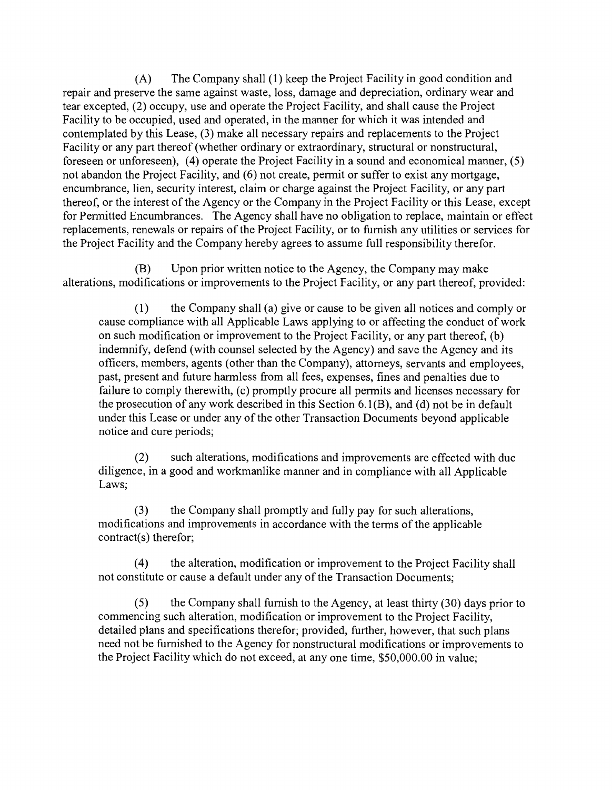The Company shall (1) keep the Project Facility in good condition and  $(A)$ repair and preserve the same against waste, loss, damage and depreciation, ordinary wear and tear excepted, (2) occupy, use and operate the Project Facility, and shall cause the Project Facility to be occupied, used and operated, in the manner for which it was intended and contemplated by this Lease, (3) make all necessary repairs and replacements to the Project Facility or any part thereof (whether ordinary or extraordinary, structural or nonstructural, foreseen or unforeseen), (4) operate the Project Facility in a sound and economical manner, (5) not abandon the Project Facility, and (6) not create, permit or suffer to exist any mortgage, encumbrance, lien, security interest, claim or charge against the Project Facility, or any part thereof, or the interest of the Agency or the Company in the Project Facility or this Lease, except for Permitted Encumbrances. The Agency shall have no obligation to replace, maintain or effect replacements, renewals or repairs of the Project Facility, or to fumish any utilities or services for the Project Facility and the Company hereby agrees to assume full responsibility therefor.

Upon prior written notice to the Agency, the Company may make (B) alterations, modifications or improvements to the Project Facility, or any part thereof, provided:

the Company shall (a) give or cause to be given all notices and comply or  $(1)$ cause compliance with all Applicable Laws applying to or affecting the conduct of work on such modification or improvement to the Project Facility, or any part thereof, (b) indemnify, defend (with counsel selected by the Agency) and save the Agency and its officers, members, agents (other than the Company), attomeys, servants and employees, past, present and future harmless from all fees, expenses, fines and penalties due to failure to comply therewith, (c) promptly procure all permits and licenses necessary for the prosecution of any work described in this Section  $6.1(B)$ , and (d) not be in default under this Lease or under any of the other Transaction Documents beyond applicable notice and cure periods;

such alterations, modifications and improvements are effected with due  $(2)$ diligence, in a good and workmanlike manner and in compliance with all Applicable Laws;

 $(3)$ the Company shall promptly and fully pay for such alterations, modifications and improvements in accordance with the terms of the applicable contract(s) therefor;

the alteration, modification or improvement to the Project Facility shall  $(4)$ not constitute or cause a default under any of the Transaction Documents;

the Company shall fumish to the Agency, at least thirty (30) days prior to  $(5)$ commencing such alteration, modification or improvement to the Project Facility, detailed plans and specifications therefor; provided, further, however, that such plans need not be fumished to the Agency for nonstructural modifications or improvements to the Project Facility which do not exceed, at any one time, \$50,000.00 in value;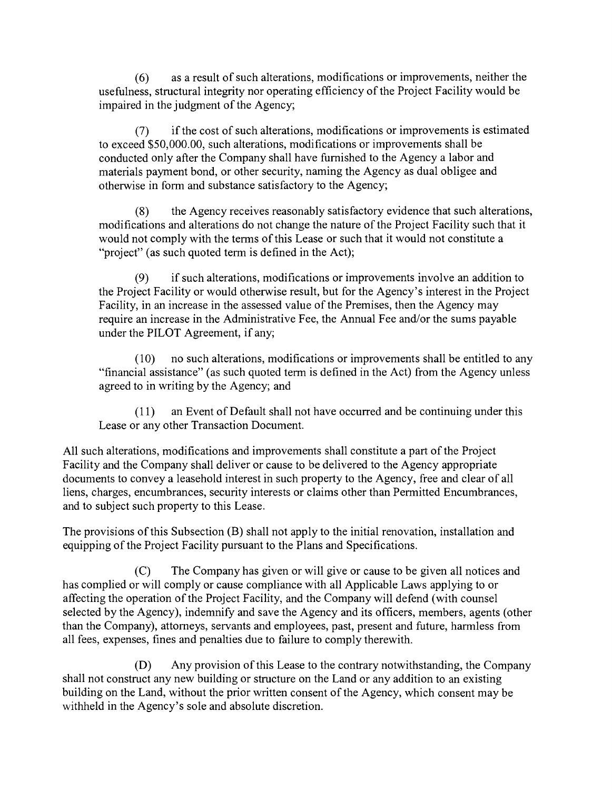$(6)$ as a result of such alterations, modifications or improvements, neither the usefulness, structural integrity nor operating efficiency of the Project Facility would be impaired in the judgment of the Agency;

if the cost of such alterations, modifications or improvements is estimated  $(7)$ to exceed \$50,000.00, such alterations, modifications or improvements shall be conducted only after the Company shall have fumished to the Agency a labor and materials payment bond, or other security, naming the Agency as dual obligee and otherwise in fonn and substance satisfactory to the Agency;

the Agency receives reasonably satisfactory evidence that such alterations,  $(8)$ modifications and alterations do not change the nature of the Project Facility such that it would not comply with the tenns of this Lease or such that it would not constitute a "project" (as such quoted term is defined in the Act);

if such alterations, modifications or improvements involve an addition to  $(9)$ the Project Facility or would otherwise result, but for the Agency's interest in the Project Facility, in an increase in the assessed value of the Premises, then the Agency may require an increase in the Administrative Fee, the Annual Fee and/or the sums payable under the PILOT Agreement, if any;

no such alterations, modifications or improvements shall be entitled to any  $(10)$ "financial assistance" (as such quoted term is defined in the Act) from the Agency unless agreed to in writing by the Agency; and

an Event of Default shall not have occurred and be continuing under this  $(11)$ Lease or any other Transaction Document.

All such alterations, modifications and improvements shall constitute a part of the Project Facility and the Company shall deliver or cause to be delivered to the Agency appropriate documents to convey a leasehold interest in such property to the Agency, free and clear of all liens, charges, encumbrances, security interests or claims other than Permitted Encumbrances, and to subject such property to this Lease.

The provisions of this Subsection (B) shall not apply to the initial renovation, installation and equipping of the Project Facility pursuant to the Plans and Specifications.

 $(C)$ The Company has given or will give or cause to be given all notices and has complied or will comply or cause compliance with all Applicable Laws applying to or affecting the operation of the Project Facility, and the Company will defend (with counsel selected by the Agency), indemnify and save the Agency and its officers, members, agents (other than the Company), attorneys, servants and employees, past, present and future, harmless from all fees, expenses, fines and penalties due to failure to comply therewith.

 $(D)$ Any provision of this Lease to the contrary notwithstanding, the Company shall not construct any new building or structure on the Land or any addition to an existing building on the Land, without the prior written consent of the Agency, which consent may be withheld in the Agency's sole and absolute discretion.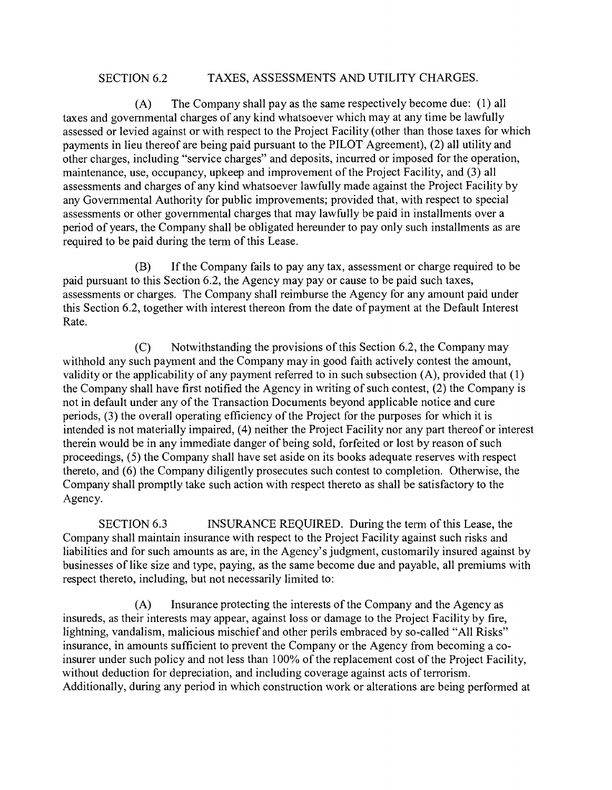### SECTION 6.2 TAXES, ASSESSMENTS AND UTILITY CHARGES.

 $(A)$ The Company shall pay as the same respectively become due: (1) all taxes and govemmental charges of any kind whatsoever which may at any time be lawfully assessed or levied against or with respect to the Project Facility (other than those taxes for which payments in lieu thereof are being paid pursuant to the PILOT Agreement), (2) all utility and other charges, including "service charges" and deposits, incurred or imposed for the operation, maintenance, use, occupancy, upkeep and improvement of the Project Facility, and (3) all assessments and charges of any kind whatsoever lawfully made against the Project Facility by any Govemmental Authority for public improvements; provided that, with respect to special assessments or other govemmental charges that may lawfully be paid in installments over a period of years, the Company shall be obligated hereunder to pay only such installments as are required to be paid during the term of this Lease.

If the Company fails to pay any tax, assessment or charge required to be (B) paid pursuant to this Section 6.2, the Agency may pay or cause to be paid such taxes, assessments or charges. The Company shall reimburse the Agency for any amount paid under this Section 6.2, together with interest thereon from the date of payment at the Default Interest Rate.

 $(C)$ Notwithstanding the provisions of this Section 6.2, the Company may withhold any such payment and the Company may in good faith actively contest the amount, validity or the applicability of any payment referred to in such subsection (A), provided that (1) the Company shall have first notified the Agency in writing of such contest, (2) the Company is not in default under any of the Transaction Documents beyond applicable notice and cure periods, (3) the overall operating efficiency of the Project for the purposes for which it is intended is not materially impaired, (4) neither the Project Facility nor any part thereof or interest therein would be in any immediate danger of being sold, forfeited or lost by reason of such proceedings, (5) the Company shall have set aside on its books adequate reserves with respect thereto, and (6) the Company diligently prosecutes such contest to completion. Otherwise, the Company shall promptly take such action with respect thereto as shall be satisfactory to the Agency.

SECTION 6.3 INSURANCE REQUIRED. During the term of this Lease, the Company shall maintain insurance with respect to the Project Facility against such risks and liabilities and for such amounts as are, in the Agency's judgment, customarily insured against by businesses of like size and type, paying, as the same become due and payable, all premiums with respect thereto, including, but not necessarily limited to:

(A) Insurance protecting the interests of the Company and the Agency as insureds, as their interests may appear, against loss or damage to the Project Facility by fire, lightning, vandalism, malicious mischief and other perils embraced by so-called "All Risks" insurance, in amounts sufficient to prevent the Company or the Agency from becoming a coinsurer under such policy and not less than 100% of the replacement cost of the Project Facility, without deduction for depreciation, and including coverage against acts of terrorism. Additionally, during any period in which construction work or alterations are being performed at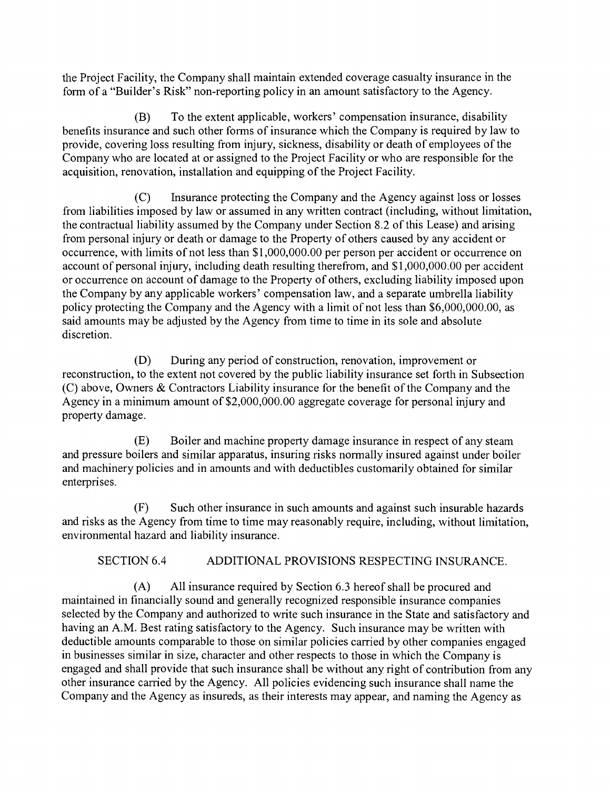the Project Facility, the Company shall maintain extended coverage casualty insurance in the form of a "Builder's Risk" non-reporting policy in an amount satisfactory to the Agency.

 $(B)$ To the extent applicable, workers' compensation insurance, disability benefits insurance and such other forrns of insurance which the Company is required by law to provide, covering loss resulting from injury, sickness, disability or death of employees of the Company who are located at or assigned to the Project Facility or who are responsible for the acquisition, renovation, installation and equipping of the Project Facility.

Insurance protecting the Company and the Agency against loss or losses  $(C)$ from liabilities imposed by law or assumed in any written contract (including, without limitation, the contractual liability assumed by the Company under Section 8.2 of this Lease) and arising from personal injury or death or damage to the Property of others caused by any accident or occurrence, with limits of not less than \$1,000,000.00 per person per accident or occurrence on account of personal injury, including death resulting therefrom, and \$1,000,000.00 per accident or occurrence on account of damage to the Property of others, excluding liability imposed upon the Company by any applicable workers' compensation law, and a separate umbrella liability policy protecting the Company and the Agency with a limit of not less than \$6,000,000.00, as said amounts may be adjusted by the Agency from time to time in its sole and absolute discretion.

During any pen'od of construction, renovation, improvement or  $(D)$ reconstruction, to the extent not covered by the public liability insurance set forth in Subsection (C) above, Owners & Contractors Liability insurance for the benefit of the Company and the Agency in a minimum amount of \$2,000,000.00 aggregate coverage for personal injury and property damage.

 $(E)$ Boiler and machine property damage insurance in respect of any steam and pressure boilers and similar apparatus, insuring risks normally insured against under boiler and machinery policies and in amounts and with deductibles customarily obtained for similar enterprises.

 $(F)$ Such other insurance in such amounts and against such insurable hazards and risks as the Agency from time to time may reasonably require, including, without limitation, environmental hazard and liability insurance.

SECTION 6.4 ADDITIONAL PROVISIONS RESPECTING INSURANCE.

(A) All insurance required by Section 6.3 hereof shall be procured and maintained in financially sound and generally recognized responsible insurance companies selected by the Company and authorized to write such insurance in the State and satisfactory and having an A.M. Best rating satisfactory to the Agency. Such insurance may be written with deductible amounts comparable to those on similar policies carried by other companies engaged in businesses similar in size, character and other respects to those in which the Company is engaged and shall provide that such insurance shall be without any right of contribution from any other insurance carried by the Agency. All policies evidencing such insurance shall name the Company and the Agency as insureds, as their interests may appear, and naming the Agency as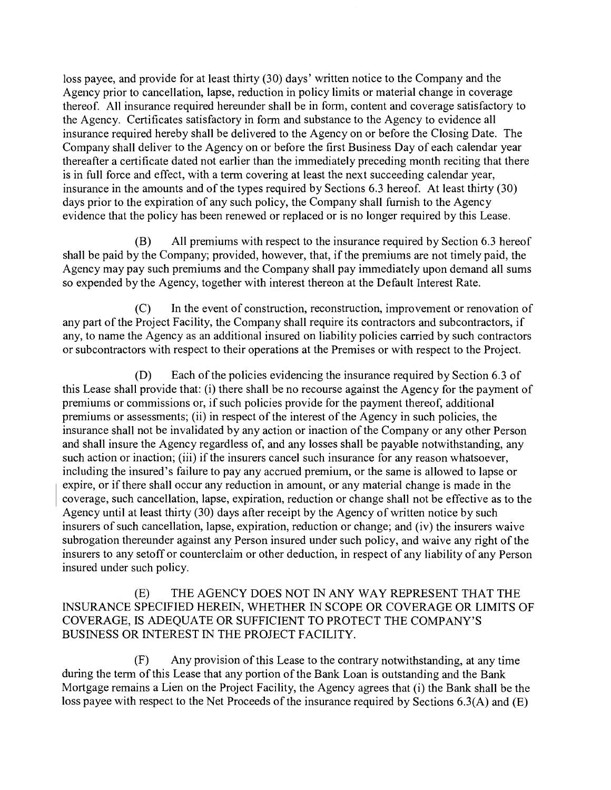loss payee, and provide for at least thirty (30) days' written notice to the Company and the Agency prior to cancellation, lapse, reduction in policy limits or material change in coverage thereof. All insurance required hereunder shall be in form, content and coverage satisfactory to the Agency. Certificates satisfactory in fonn and substance to the Agency to evidence all insurance required hereby shall be delivered to the Agency on or before the Closing Date. The Company shall deliver to the Agency on or before the first Business Day of each calendar year thereafter a certificate dated not earlier than the immediately preceding month reciting that there is in full force and effect, with a term covering at least the next succeeding calendar year, insurance in the amounts and of the types required by Sections 6.3 hereof. At least thirty (30) days prior to the expiration of any such policy, the Company shall fumish to the Agency evidence that the policy has been renewed or replaced or is no longer required by this Lease.

 $(B)$ All premiums with respect to the insurance required by Section 6.3 hereof shall be paid by the Company; provided, however, that, if the premiums are not timely paid, the Agency may pay such premiums and the Company shall pay immediately upon demand all sums so expended by the Agency, together with interest thereon at the Default Interest Rate.

In the event of construction, reconstruction, improvement or renovation of  $(C)$ any part of the Project Facility, the Company shall require its contractors and subcontractors, if any, to name the Agency as an additional insured on liability policies carried by such contractors or subcontractors with respect to their operations at the Premises or with respect to the Project.

(D) Each of the policies evidencing the insurance required by Section 6.3 of this Lease shall provide that: (i) there shall be no recourse against the Agency for the payment of premiums or commissions or, if such policies provide for the payment thereof, additional premiums or assessments; (ii) in respect of the interest of the Agency in such policies, the insurance shall not be invalidated by any action or inaction of the Company or any other Person and shall insure the Agency regardless of, and any losses shall be payable notwithstanding, any such action or inaction; (iii) if the insurers cancel such insurance for any reason whatsoever, including the insured's failure to pay any accrued premium, or the same is allowed to lapse or expire, or if there shall occur any reduction in amount, or any material change is made in the coverage, such cancellation, lapse, expiration, reduction or change shall not be effective as to the Agency until at least thirty (30) days after receipt by the Agency of written notice by such insurers of such cancellation, lapse, expiration, reduction or change; and (iv) the insurers waive subrogation thereunder against any Person insured under such policy, and waive any right of the insurers to any setoff or counterclaim or other deduction, in respect of any liability of any Person insured under such policy.

#### (E) THE AGENCY DOES NOT IN ANY WAY REPRESENT THAT THE INSURANCE SPECIFIED HEREIN, WHETHER IN SCOPE OR COVERAGE OR LIMITS OF COVERAGE, IS ADEQUATE OR SUFFICIENT TO PROTECT THE COMPANY'S BUSINESS OR INTEREST IN THE PROJECT FACILITY.

Any provision of this Lease to the contrary notwithstanding, at any time  $(F)$ during the term of this Lease that any portion of the Bank Loan is outstanding and the Bank Mortgage remains a Lien on the Project Facility, the Agency agrees that (i) the Bank shall be the loss payee with respect to the Net Proceeds of the insurance required by Sections 6.3(A) and (E)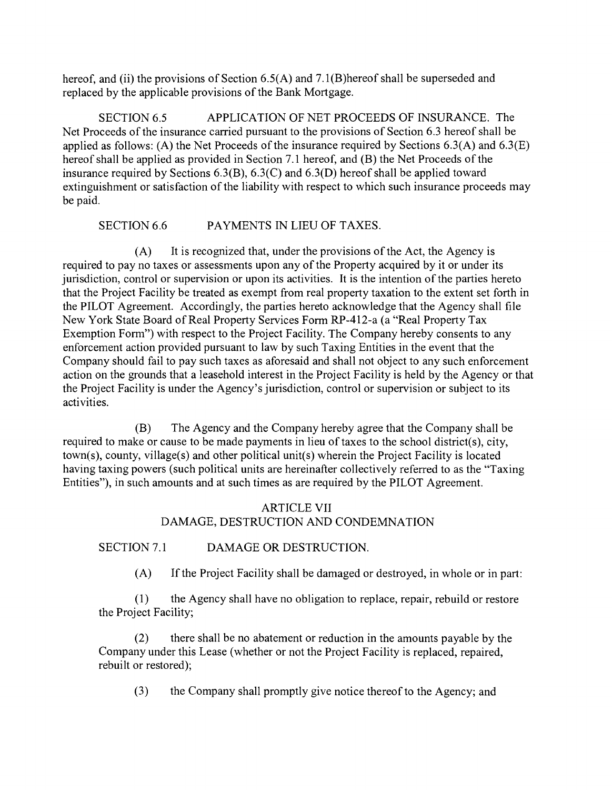hereof, and (ii) the provisions of Section 6.5(A) and 7.1(B)hereof shall be superseded and replaced by the applicable provisions of the Bank Mortgage.

SECTION 6.5 APPLICATION OF NET PROCEEDS OF INSURANCE. The Net Proceeds of the insurance carried pursuant to the provisions of Section 6.3 hereof shall be applied as follows: (A) the Net Proceeds of the insurance required by Sections 6.3(A) and 6.3(E) hereof shall be applied as provided in Section 7.1 hereof, and (B) the Net Proceeds of the insurance required by Sections 6.3(B), 6.3(C) and 6.3(D) hereof shall be applied toward extinguishment or satisfaction of the liability with respect to which such insurance proceeds may be paid.

# SECTION 6.6 PAYMENTS IN LIEU OF TAXES.

It is recognized that, under the provisions of the Act, the Agency is  $(A)$ required to pay no taxes or assessments upon any of the Property acquired by it or under its jurisdiction, control or supervision or upon its activities. It is the intention of the parties hereto that the Project Facility be treated as exempt from real property taxation to the extent set forth in the PILOT Agreement. Accordingly, the parties hereto acknowledge that the Agency shall file New York State Board of Real Property Services Form RP-412-a (a "Real Property Tax Exemption Form") with respect to the Project Facility. The Company hereby consents to any enforcement action provided pursuant to law by such Taxing Entities in the event that the Company should fail to pay such taxes as aforesaid and shall not object to any such enforcement action on the grounds that a leasehold interest in the Project Facility is held by the Agency or that the Project Facility is under the Agency's jurisdiction, control or supervision or subject to its activities.

(B) The Agency and the Company hereby agree that the Company shall be required to make or cause to be made payments in lieu of taxes to the school district(s), city, town(s), county, village(s) and other political unit(s) wherein the Project Facility is located having taxing powers (such political units are hereinafter collectively referred to as the "Taxing Entities"), in such amounts and at such times as are required by the PILOT Agreement.

# ARTICLE VII DAMAGE, DESTRUCTION AND CONDEMNATION

SECTION 7.1 DAMAGE OR DESTRUCTION.

(A) If the Project Facility shall be damaged or destroyed, in whole or in part:

 $(1)$ the Agency shall have no obligation to replace, repair, rebuild or restore the Project Facility;

there shall be no abatement or reduction in the amounts payable by the  $(2)$ Company under this Lease (whether or not the Project Facility is replaced, repaired, rebuilt or restored);

 $(3)$ the Company shall promptly give notice thereof to the Agency; and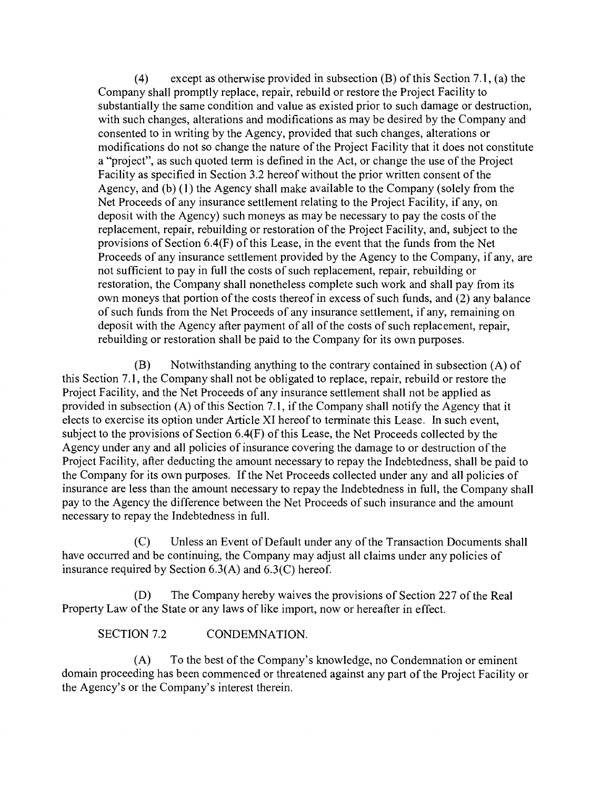(4) except as otherwise provided in subsection (B) of this Section 7. 1, (a) the Company shall promptly replace, repair, rebuild or restore the Project Facility to substantially the same condition and value as existed prior to such damage or destruction, with such changes, alterations and modifications as may be desired by the Company and consented to in writing by the Agency, provided that such changes, alterations or modifications do not so change the nature of the Project Facility that it does not constitute a "project", as such quoted term is defined in the Act, or change the use of the Project Facility as specified in Section 3.2 hereof without the prior written consent of the Agency, and (b) (1) the Agency shall make available to the Company (solely from the Net Proceeds of any insurance settlement relating to the Project Facility, if any, on deposit with the Agency) such moneys as may be necessary to pay the costs of the replacement, repair, rebuilding or restoration of the Project Facility, and, subject to the provisions of Section 6.4(F) of this Lease, in the event that the funds from the Net Proceeds of any insurance settlement provided by the Agency to the Company, if any, are not sufficient to pay in full the costs of such replacement, repair, rebuilding or restoration, the Company shall nonetheless complete such work and shall pay from its own moneys that portion of the costs thereof in excess of such funds, and (2) any balance of such funds from the Net Proceeds of any insurance settlement, if any, remaining on deposit with the Agency after payment of all of the costs of such replacement, repair, rebuilding or restoration shall be paid to the Company for its own purposes.

Notwithstanding anything to the contrary contained in subsection (A) of (B) this Section 7. 1, the Company shall not be obligated to replace, repair, rebuild or restore the Project Facility, and the Net Proceeds of any insurance settlement shall not be applied as provided in subsection (A) of this Section 7. 1, if the Company shall notify the Agency that it elects to exercise its option under Article XI hereof to terminate this Lease. In such event, subject to the provisions of Section 6.4(F) of this Lease, the Net Proceeds collected by the Agency under any and all policies of insurance covering the damage to or destruction of the Project Facility, after deducting the amount necessary to repay the Indebtedness, shall be paid to the Company for its own purposes. If the Net Proceeds collected under any and all policies of insurance are less than the amount necessary to repay the Indebtedness in full, the Company shall pay to the Agency the difference between the Net Proceeds of such insurance and the amount necessary to repay the Indebtedness in full.

Unless an Event of Default under any of the Transaction Documents shall  $(C)$ have occurred and be continuing, the Company may adjust all claims under any policies of insurance required by Section 6.3(A) and 6.3(C) hereof.

The Company hereby waives the provisions of Section 227 of the Real (D) Property Law of the State or any laws of like import, now or hereafter in effect.

SECTION 7.2 CONDEMNATION.

(A) To the best of the Company's knowledge, no Condemnation or eminent domain proceeding has been commenced or threatened against any part of the Project Facility or the Agency's or the Company's interest therein.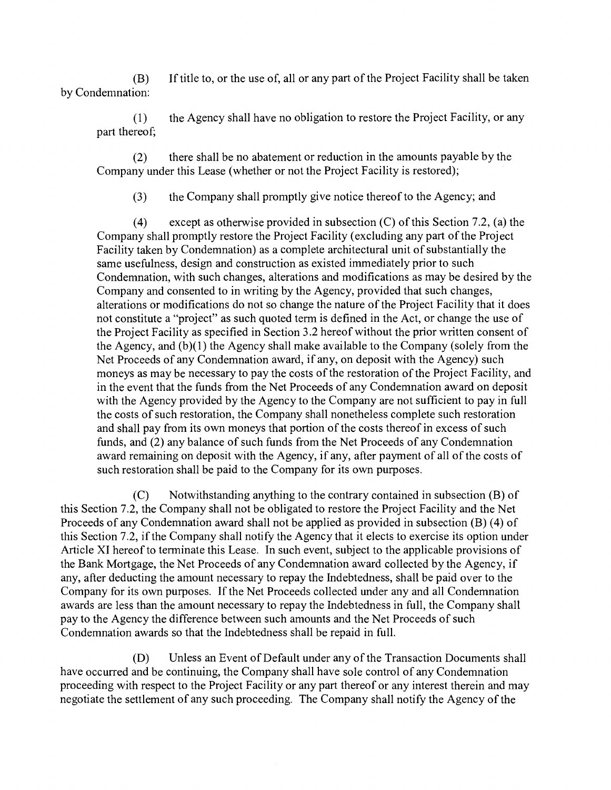(B) If title to, or the use of, all or any part of the Project Facility shall be taken by Condemnation:

the Agency shall have no obligation to restore the Project Facility, or any  $(1)$ part thereof,

 $(2)$ there shall be no abatement or reduction in the amounts payable by the Company under this Lease (whether or not the Project Facility is restored);

 $(3)$ the Company shall promptly give notice thereof to the Agency; and

 $(4)$ except as otherwise provided in subsection (C) of this Section 7.2, (a) the Company shall promptly restore the Project Facility (excluding any part of the Project Facility taken by Condemnation) as a complete architectural unit of substantially the same usefulness, design and construction as existed immediately prior to such Condemnation, with such changes, alterations and modifications as may be desired by the Company and consented to in writing by the Agency, provided that such changes, alterations or modifications do not so change the nature of the Project Facility that it does not constitute a "project" as such quoted tenn is defined in the Act, or change the use of the Project Facility as specified in Section 3.2 hereof without the prior written consent of the Agency, and (b)(1) the Agency shall make available to the Company (solely from the Net Proceeds of any Condemnation award, if any, on deposit with the Agency) such moneys as may be necessary to pay the costs of the restoration of the Project Facility, and in the event that the funds from the Net Proceeds of any Condemnation award on deposit with the Agency provided by the Agency to the Company are not sufficient to pay in full the costs of such restoration, the Company shall nonetheless complete such restoration and shall pay from its own moneys that portion of the costs thereof in excess of such funds, and (2) any balance of such funds from the Net Proceeds of any Condemnation award remaining on deposit with the Agency, if any, after payment of all of the costs of such restoration shall be paid to the Company for its own purposes.

 $(C)$ Notwithstanding anything to the contrary contained in subsection (B) of this Section 7.2, the Company shall not be obligated to restore the Project Facility and the Net Proceeds of any Condemnation award shall not be applied as provided in subsection (B) (4) of this Section 7.2, if the Company shall notify the Agency that it elects to exercise its option under Article XI hereof to terminate this Lease. In such event, subject to the applicable provisions of the Bank Mortgage, the Net Proceeds of any Condemnation award collected by the Agency, if any, after deducting the amount necessary to repay the Indebtedness, shall be paid over to the Company for its own purposes. If the Net Proceeds collected under any and all Condemnation awards are less than the amount necessary to repay the Indebtedness in full, the Company shall pay to the Agency the difference between such amounts and the Net Proceeds of such Condemnation awards so that the Indebtedness shall be repaid in full.

(D) Unless an Event of Default under any of the Transaction Documents shall have occurred and be continuing, the Company shall have sole control of any Condemnation proceeding with respect to the Project Facility or any part thereof or any interest therein and may negotiate the settlement of any such proceeding. The Company shall notify the Agency of the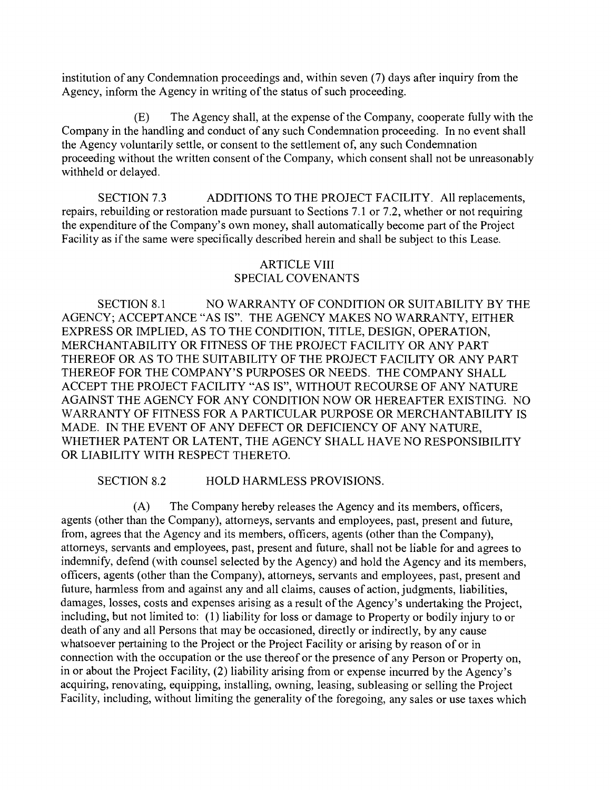institution of any Condemnation proceedings and, within seven (7) days after inquiry from the Agency, inform the Agency in writing of the status of such proceeding.

(E) The Agency shall, at the expense of the Company, cooperate fully with the Company in the handling and conduct of any such Condemnation proceeding. In no event shall the Agency voluntarily settle, or consent to the settlement of, any such Condemnation proceeding without the written consent of the Company, which consent shall not be unreasonably withheld or delayed.

SECTION 7.3 ADDITIONS TO THE PROJECT FACILITY. All replacements, repairs, rebuilding or restoration made pursuant to Sections 7.1 or 7.2, whether or not requiring the expenditure of the Company's own money, shall automatically become part of the Project Facility as if the same were specifically described herein and shall be subject to this Lease.

# ARTICLE VIII SPECIAL COVENANTS

SECTION 8.1 NO WARRANTY OF CONDITION OR SUITABILITY BY THE AGENCY; ACCEPTANCE "AS IS". THE AGENCY MAKES NO WARRANTY, EITHER EXPRESS OR IMPLIED, AS TO THE CONDITION, TITLE, DESIGN, OPERATION, MERCHANTABILITY OR FITNESS OF THE PROJECT FACILITY OR ANY PART THEREOF OR AS TO THE SUITABILITY OF THE PROJECT FACILITY OR ANY PART THEREOF FOR THE COMPANY'S PURPOSES OR NEEDS. THE COMPANY SHALL ACCEPT THE PROJECT FACILITY "AS IS", WITHOUT RECOURSE OF ANY NATURE AGAINST THE AGENCY FOR ANY CONDITION NOW OR HEREAFTER EXISTING. NO WARRANTY OF FITNESS FOR A PARTICULAR PURPOSE OR MERCHANTABILITY IS MADE. IN THE EVENT OF ANY DEFECT OR DEFICIENCY OF ANY NATURE, WHETHER PATENT OR LATENT, THE AGENCY SHALL HAVE NO RESPONSIBILITY OR LIABILITY WITH RESPECT THERETO.

SECTION 8.2 HOLD HARMLESS PROVISIONS.

(A) The Company hereby releases the Agency and its members, officers, agents (other than the Company), attomeys, servants and employees, past, present and future, from, agrees that the Agency and its members, officers, agents (other than the Company), attomeys, servants and employees, past, present and future, shall not be liable for and agrees to indemnify, defend (with counsel selected by the Agency) and hold the Agency and its members, officers, agents (other than the Company), attomeys, servants and employees, past, present and future, harmless from and against any and all claims, causes of action, judgments, liabilities, damages, losses, costs and expenses arising as a result of the Agency's undertaking the Project, including, but not limited to: (1) liability for loss or damage to Property or bodily injury to or death of any and all Persons that may be occasioned, directly or indirectly, by any cause whatsoever pertaining to the Project or the Project Facility or arising by reason of or in connection with the occupation or the use thereof or the presence of any Person or Property on, in or about the Project Facility, (2) liability arising from or expense incurred by the Agency's acquiring, renovating, equipping, installing, owning, leasing, subleasing or selling the Project Facility, including, without limiting the generality of the foregoing, any sales or use taxes which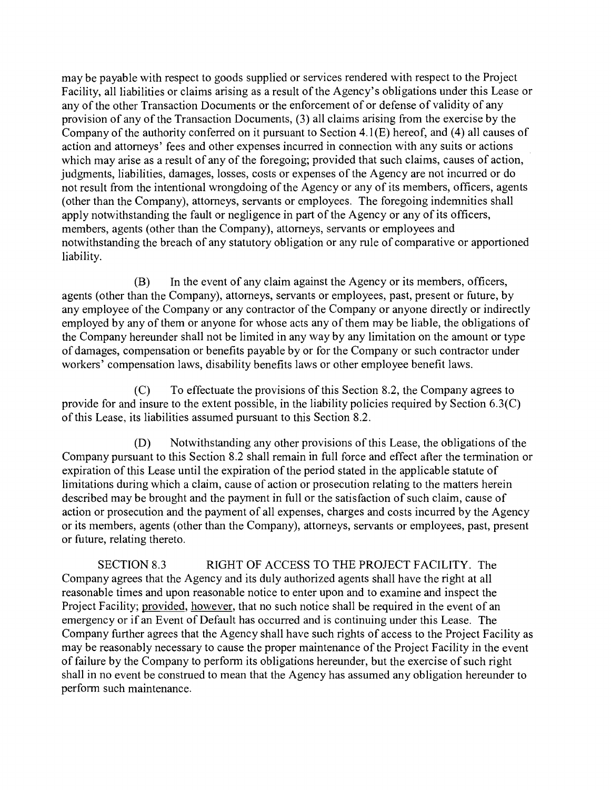may be payable with respect to goods supplied or services rendered with respect to the Project Facility, all liabilities or claims arising as a result of the Agency's obligations under this Lease or any of the other Transaction Documents or the enforcement of or defense of validity of any provision of any of the Transaction Documents, (3) all claims arising from the exercise by the Company of the authority conferred on it pursuant to Section 4. 1 (E) hereof, and (4) all causes of action and attomeys' fees and other expenses incurred in connection with any suits or actions which may arise as a result of any of the foregoing; provided that such claims, causes of action, judgments, liabilities, damages, losses, costs or expenses of the Agency are not incurred or do not result from the intentional wrongdoing of the Agency or any of its members, officers, agents (other than the Company), attomeys, servants or employees. The foregoing indemnities shall apply notwithstanding the fault or negligence in part of the Agency or any of its officers, members, agents (other than the Company), attomeys, servants or employees and notwithstanding the breach of any statutory obligation or any rule of comparative or apportioned liability.

 $(B)$ In the event of any claim against the Agency or its members, officers, agents (other than the Company), attomeys, servants or employees, past, present or future, by any employee of the Company or any contractor of the Company or anyone directly or indirectly employed by any of them or anyone for whose acts any of them may be liable, the obligations of the Company hereunder shall not be limited in any way by any limitation on the amount or type of damages, compensation or benefits payable by or for the Company or such contractor under workers' compensation laws, disability benefits laws or other employee benefit laws.

To effectuate the provisions of this Section 8.2, the Company agrees to  $(C)$ provide for and insure to the extent possible, in the liability policies required by Section 6.3(C) of this Lease, its liabilities assumed pursuant to this Section 8.2.

Notwithstanding any other provisions of this Lease, the obligations of the (D) Company pursuant to this Section 8.2 shall remain in full force and effect after the termination or expiration of this Lease until the expiration of the period stated in the applicable statute of limitations during which a claim, cause of action or prosecution relating to the matters herein described may be brought and the payment in full or the satisfaction of such claim, cause of action or prosecution and the payment of all expenses, charges and costs incurred by the Agency or its members, agents (other than the Company), attomeys, servants or employees, past, present or future, relating thereto.

SECTION 8.3 RIGHT OF ACCESS TO THE PROJECT FACILITY. The Company agrees that the Agency and its duly authorized agents shall have the right at all reasonable times and upon reasonable notice to enter upon and to examine and inspect the Project Facility; provided, however, that no such notice shall be required in the event of an emergency or if an Event of Default has occurred and is continuing under this Lease. The Company further agrees that the Agency shall have such rights of access to the Project Facility as may be reasonably necessary to cause the proper maintenance of the Project Facility in the event of failure by the Company to perforrn its obligations hereunder, but the exercise of such right shall in no event be construed to mean that the Agency has assumed any obligation hereunder to perform such maintenance.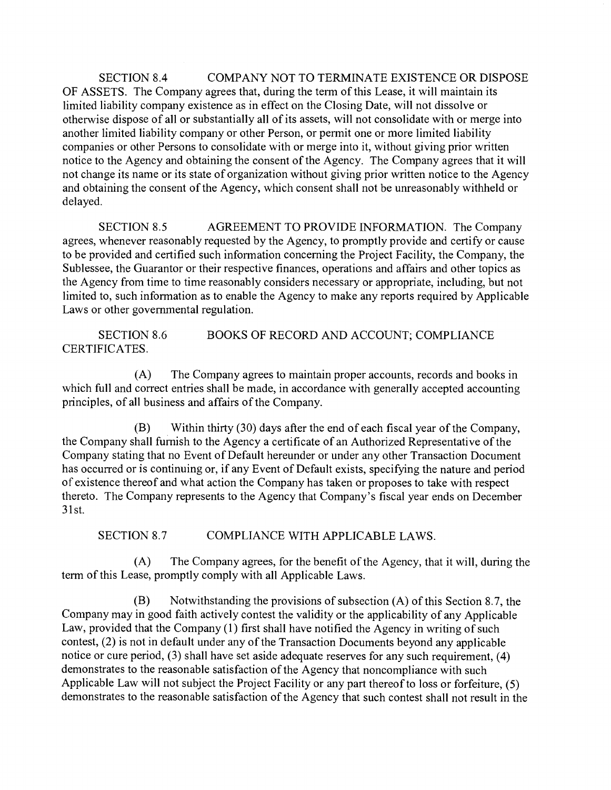SECTION 8.4 COMPANY NOT TO TERMINATE EXISTENCE OR DISPOSE OF ASSETS. The Company agrees that, during the terrn of this Lease, it will maintain its limited liability company existence as in effect on the Closing Date, will not dissolve or otherwise dispose of all or substantially all of its assets, will not consolidate with or merge into another limited liability company or other Person, or permit one or more limited liability companies or other Persons to consolidate with or merge into it, without giving prior written notice to the Agency and obtaining the consent of the Agency. The Company agrees that it will not change its name or its state of organization without giving prior written notice to the Agency and obtaining the consent of the Agency, which consent shall not be unreasonably withheld or delayed.

SECTION 8.5 AGREEMENT TO PROVIDE INFORMATION. The Company agrees, whenever reasonably requested by the Agency, to promptly provide and certify or cause to be provided and certified such information concerning the Project Facility, the Company, the Sublessee, the Guarantor or their respective finances, operations and affairs and other topics as the Agency from time to time reasonably considers necessary or appropriate, including, but not limited to, such information as to enable the Agency to make any reports required by Applicable Laws or other govemmental regulation.

SECTION 8.6 BOOKS OF RECORD AND ACCOUNT; COMPLIANCE CERTIFICATES.

 $(A)$ The Company agrees to maintain proper accounts, records and books in which full and correct entries shall be made, in accordance with generally accepted accounting principles, of all business and affairs of the Company.

 $(B)$ Within thirty (30) days after the end of each fiscal year of the Company, the Company shall fumish to the Agency a certificate of an Authorized Representative of the Company stating that no Event of Default hereunder or under any other Transaction Document has occurred or is continuing or, if any Event of Default exists, specifying the nature and period of existence thereof and what action the Company has taken or proposes to take with respect thereto. The Company represents to the Agency that Company's fiscal year ends on December 3 1 st.

SECTION 8.7 COMPLIANCE WITH APPLICABLE LAWS.

 $(A)$ The Company agrees, for the benefit of the Agency, that it will, during the term of this Lease, promptly comply with all Applicable Laws.

Notwithstanding the provisions of subsection (A) of this Section 8.7, the (B) Company may in good faith actively contest the validity or the applicability of any Applicable Law, provided that the Company (1) first shall have notified the Agency in writing of such contest, (2) is not in default under any of the Transaction Documents beyond any applicable notice or cure period, (3) shall have set aside adequate reserves for any such requirement, (4) demonstrates to the reasonable satisfaction of the Agency that noncompliance with such Applicable Law will not subject the Project Facility or any part thereof to loss or forfeiture, (5) demonstrates to the reasonable satisfaction of the Agency that such contest shall not result in the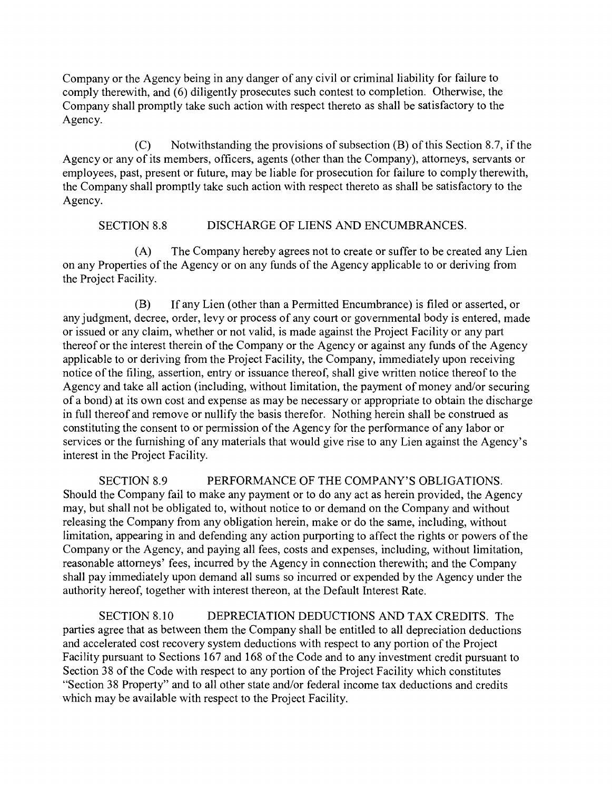Company or the Agency being in any danger of any civil or criminal liability for failure to comply therewith, and (6) diligently prosecutes such contest to completion. Otherwise, the Company shall promptly take such action with respect thereto as shall be satisfactory to the Agency.

 $(C)$ Notwithstanding the provisions of subsection (B) of this Section 8.7, if the Agency or any of its members, officers, agents (other than the Company), attomeys, servants or employees, past, present or future, may be liable for prosecution for failure to comply therewith, the Company shall promptly take such action with respect thereto as shall be satisfactory to the Agency.

## SECTION 8.8 DISCHARGE OF LIENS AND ENCUMBRANCES.

 $(A)$ The Company hereby agrees not to create or suffer to be created any Lien on any Properties of the Agency or on any funds of the Agency applicable to or deriving from the Project Facility.

(B) If any Lien (other than a Permitted Encumbrance) is filed or asserted, or any judgment, decree, order, levy or process of any court or govemmental body is entered, made or issued or any claim, whether or not valid, is made against the Project Facility or any part thereof or the interest therein of the Company or the Agency or against any funds of the Agency applicable to or deriving from the Project Facility, the Company, immediately upon receiving notice of the filing, assertion, entry or issuance thereof, shall give written notice thereof to the Agency and take all action (including, without limitation, the payment of money and/or securing of a bond) at its own cost and expense as may be necessary or appropriate to obtain the discharge in full thereof and remove or nullify the basis therefor. Nothing herein shall be construed as constituting the consent to or permission of the Agency for the performance of any labor or services or the fumishing of any materials that would give rise to any Lien against the Agency's interest in the Project Facility.

SECTION 8.9 PERFORMANCE OF THE COMPANY'S OBLIGATIONS. Should the Company fail to make any payment or to do any act as herein provided, the Agency may, but shall not be obligated to, without notice to or demand on the Company and without releasing the Company from any obligation herein, make or do the same, including, without limitation, appearing in and defending any action purporting to affect the rights or powers of the Company or the Agency, and paying all fees, costs and expenses, including, without limitation, reasonable attomeys' fees, incurred by the Agency in connection therewith; and the Company shall pay immediately upon demand all sums so incurred or expended by the Agency under the authority hereof, together with interest thereon, at the Default Interest Rate.

SECTION 8. 10 DEPRECIATION DEDUCTIONS AND TAX CREDITS. The parties agree that as between them the Company shall be entitled to all depreciation deductions and accelerated cost recovery system deductions with respect to any portion of the Project Facility pursuant to Sections 167 and 168 of the Code and to any investment credit pursuant to Section 38 of the Code with respect to any portion of the Project Facility which constitutes "Section 38 Property" and to all other state and/or federal income tax deductions and credits which may be available with respect to the Project Facility.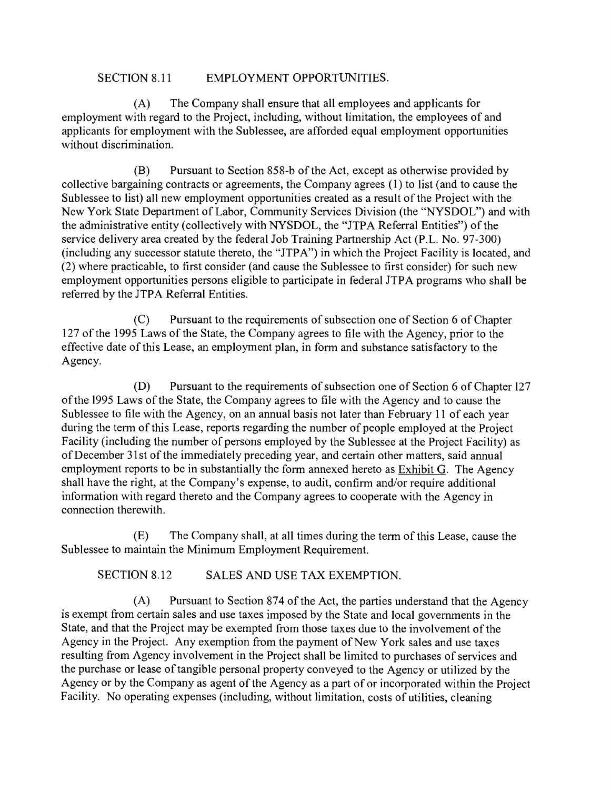### SECTION 8.11 EMPLOYMENT OPPORTUNITIES.

 $(A)$ The Company shall ensure that all employees and applicants for employment with regard to the Project, including, without limitation, the employees of and applicants for employment with the Sublessee, are afforded equal employment opportunities without discrimination.

 $(B)$ Pursuant to Section 858-b of the Act, except as otherwise provided by collective bargaining contracts or agreements, the Company agrees (1) to list (and to cause the Sublessee to list) all new employment opportunities created as a result of the Project with the New York State Department of Labor, Community Services Division (the "NYSDOL") and with the administrative entity (collectively with NYSDOL, the "JTPA Referral Entities") of the service delivery area created by the federal Job Training Partnership Act (P.L. No. 97-300) (including any successor statute thereto, the "JTPA") in which the Project Facility is located, and (2) where practicable, to first consider (and cause the Sublessee to first consider) for such new employment opportunities persons eligible to participate in federal JTPA programs who shall be referred by the JTPA Referral Entities.

Pursuant to the requirements of subsection one of Section 6 of Chapter  $(C)$ 127 of the 1995 Laws of the State, the Company agrees to file with the Agency, prior to the effective date of this Lease, an employment plan, in form and substance satisfactory to the Agency.

(D) Pursuant to the requirements of subsection one of Section 6 of Chapter 127 of the 1995 Laws of the State, the Company agrees to file with the Agency and to cause the Sublessee to file with the Agency, on an annual basis not later than February 11 of each year during the term of this Lease, reports regarding the number of people employed at the Project Facility (including the number of persons employed by the Sublessee at the Project Facility) as of December 3 1 st of the immediately preceding year, and certain other matters, said annual employment reports to be in substantially the form annexed hereto as Exhibit G. The Agency shall have the right, at the Company's expense, to audit, confirm and/or require additional information with regard thereto and the Company agrees to cooperate with the Agency in connection therewith.

 $(E)$ The Company shall, at all times during the term of this Lease, cause the Sublessee to maintain the Minimum Employment Requirement.

SECTION 8.12 SALES AND USE TAX EXEMPTION.

(A) Pursuant to Section 874 of the Act, the parties understand that the Agency is exempt from certain sales and use taxes imposed by the State and local govemments in the State, and that the Project may be exempted from those taxes due to the involvement of the Agency in the Project. Any exemption from the payment of New York sales and use taxes resulting from Agency involvement in the Project shall be limited to purchases of services and the purchase or lease of tangible personal property conveyed to the Agency or utilized by the Agency or by the Company as agent of the Agency as a part of or incorporated within the Project Facility. No operating expenses (including, without limitation, costs of utilities, cleaning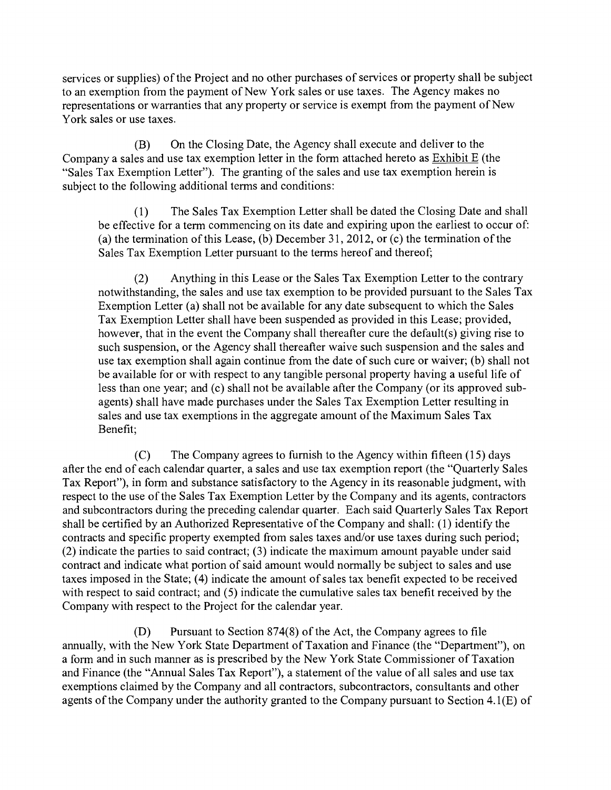services or supplies) of the Project and no other purchases of services or property shall be subject to an exemption from the payment of New York sales or use taxes. The Agency makes no representations or warranties that any property or service is exempt from the payment of New York sales or use taxes.

(B) On the Closing Date, the Agency shall execute and deliver to the Company a sales and use tax exemption letter in the form attached hereto as  $\overline{\text{Exhibit E}}$  (the "Sales Tax Exemption Letter"). The granting of the sales and use tax exemption herein is subject to the following additional terms and conditions:

 $(1)$ The Sales Tax Exemption Letter shall be dated the Closing Date and shall be effective for a term commencing on its date and expiring upon the earliest to occur of: (a) the termination of this Lease, (b) December 31, 2012, or (c) the termination of the Sales Tax Exemption Letter pursuant to the terms hereof and thereof;

Anything in this Lease or the Sales Tax Exemption Letter to the contrary  $(2)$ notwithstanding, the sales and use tax exemption to be provided pursuant to the Sales Tax Exemption Letter (a) shall not be available for any date subsequent to which the Sales Tax Exemption Letter shall have been suspended as provided in this Lease; provided, however, that in the event the Company shall thereafter cure the default(s) giving rise to such suspension, or the Agency shall thereafter waive such suspension and the sales and use tax exemption shall again continue from the date of such cure or waiver; (b) shall not be available for or with respect to any tangible personal property having a useful life of less than one year; and (c) shall not be available after the Company (or its approved subagents) shall have made purchases under the Sales Tax Exemption Letter resulting in sales and use tax exemptions in the aggregate amount of the Maximum Sales Tax Benefit;

(C) The Company agrees to fumish to the Agency within fifteen (15) days after the end of each calendar quarter, a sales and use tax exemption report (the "Quarterly Sales Tax Report"), in form and substance satisfactory to the Agency in its reasonable judgment, with respect to the use of the Sales Tax Exemption Letter by the Company and its agents, contractors and subcontractors during the preceding calendar quarter. Each said Quarterly Sales Tax Report shall be certified by an Authorized Representative of the Company and shall: (1) identify the contracts and specific property exempted from sales taxes and/or use taxes during such period; (2) indicate the parties to said contract; (3) indicate the maximum amount payable under said contract and indicate what portion of said amount would normally be subject to sales and use taxes imposed in the State; (4) indicate the amount of sales tax benefit expected to be received with respect to said contract; and (5) indicate the cumulative sales tax benefit received by the Company with respect to the Project for the calendar year.

(D) Pursuant to Section 874(8) of the Act, the Company agrees to file annually, with the New York State Department of Taxation and Finance (the "Department"), on a form and in such manner as is prescribed by the New York State Commissioner of Taxation and Finance (the "Annual Sales Tax Report"), a statement of the value of all sales and use tax exemptions claimed by the Company and all contractors, subcontractors, consultants and other agents of the Company under the authority granted to the Company pursuant to Section 4.1(E) of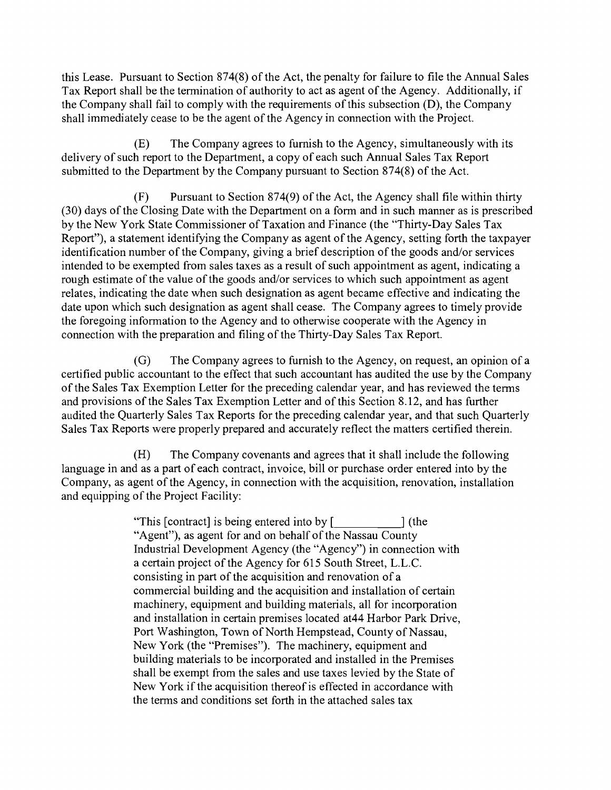this Lease. Pursuant to Section 874(8) of the Act, the penalty for failure to file the Annual Sales Tax Report shall be the termination of authority to act as agent of the Agency. Additionally, if the Company shall fail to comply with the requirements of this subsection (D), the Company shall immediately cease to be the agent of the Agency in connection with the Project.

The Company agrees to fumish to the Agency, simultaneously with its (E) delivery of such report to the Department, a copy of each such Annual Sales Tax Report submitted to the Department by the Company pursuant to Section 874(8) of the Act.

Pursuant to Section 874(9) of the Act, the Agency shall file within thirty  $(F)$ (30) days of the Closing Date with the Department on a form and in such manner as is prescribed by the New York State Commissioner of Taxation and Finance (the "Thirty-Day Sales Tax Report"), a statement identifying the Company as agent of the Agency, setting forth the taxpayer identification number of the Company, giving a brief description of the goods and/or services intended to be exempted from sales taxes as a result of such appointment as agent, indicating a rough estimate of the value of the goods and/or services to which such appointment as agent relates, indicating the date when such designation as agent became effective and indicating the date upon which such designation as agent shall cease. The Company agrees to timely provide the foregoing information to the Agency and to otherwise cooperate with the Agency in connection with the preparation and filing of the Thirty-Day Sales Tax Report.

 $(G)$ The Company agrees to fumish to the Agency, on request, an opinion of a certified public accountant to the effect that such accountant has audited the use by the Company of the Sales Tax Exemption Letter for the preceding calendar year, and has reviewed the terms and provisions of the Sales Tax Exemption Letter and of this Section 8.12, and has further audited the Quarterly Sales Tax Reports for the preceding calendar year, and that such Quarterly Sales Tax Reports were properly prepared and accurately reflect the matters certified therein.

 $(H)$ The Company covenants and agrees that it shall include the following language in and as a part of each contract, invoice, bill or purchase order entered into by the Company, as agent of the Agency, in connection with the acquisition, renovation, installation and equipping of the Project Facility:

> "This  $[contract]$  is being entered into by  $[$   $]$  (the "Agent"), as agent for and on behalf of the Nassau County Industrial Development Agency (the "Agency") in connection with a certain project of the Agency for 615 South Street, L.L.C. consisting in part of the acquisition and renovation of a commercial building and the acquisition and installation of certain machinery, equipment and building materials, all for incorporation and installation in certain premises located at44 Harbor Park Drive, Port Washington, Town of North Hempstead, County of Nassau, New York (the "Premises"). The machinery, equipment and building materials to be incorporated and installed in the Premises shall be exempt from the sales and use taxes levied by the State of New York if the acquisition thereof is effected in accordance with the tenns and conditions set forth in the attached sales tax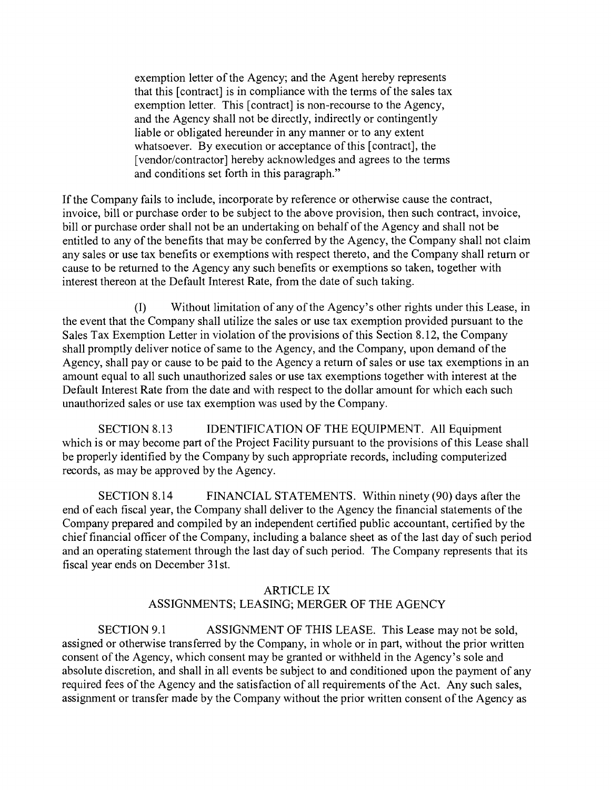exemption letter of the Agency; and the Agent hereby represents that this [contract] is in compliance with the terms of the sales tax exemption letter. This [contract] is non-recourse to the Agency, and the Agency shall not be directly, indirectly or contingently liable or obligated hereunder in any manner or to any extent whatsoever. By execution or acceptance of this [contract], the [vendor/contractor] hereby acknowledges and agrees to the terms and conditions set forth in this paragraph."

If the Company fails to include, incorporate by reference or otherwise cause the contract, invoice, bill or purchase order to be subject to the above provision, then such contract, invoice, bill or purchase order shall not be an undertaking on behalf of the Agency and shall not be entitled to any of the benefits that may be conferred by the Agency, the Company shall not claim any sales or use tax benefits or exemptions with respect thereto, and the Company shall return or cause to be retumed to the Agency any such benefits or exemptions so taken, together with interest thereon at the Default Interest Rate, from the date of such taking.

(1) Without limitation of any of the Agency's other rights under this Lease, in the event that the Company shall utilize the sales or use tax exemption provided pursuant to the Sales Tax Exemption Letter in violation of the provisions of this Section 8.12, the Company shall promptly deliver notice of same to the Agency, and the Company, upon demand of the Agency, shall pay or cause to be paid to the Agency a return of sales or use tax exemptions in an amount equal to all such unauthorized sales or use tax exemptions together with interest at the Default Interest Rate from the date and with respect to the dollar amount for which each such unauthorized sales or use tax exemption was used by the Company.

SECTION 8.13 IDENTIFICATION OF THE EQUIPMENT. All Equipment which is or may become part of the Project Facility pursuant to the provisions of this Lease shall be properly identified by the Company by such appropriate records, including computerized records, as may be approved by the Agency.

SECTION 8.14 FINANCIAL STATEMENTS. Within ninety (90) days after the end of each fiscal year, the Company shall deliver to the Agency the financial statements of the Company prepared and compiled by an independent certified public accountant, certified by the chief financial officer of the Company, including a balance sheet as of the last day of such period and an operating statement through the last day of such period. The Company represents that its fiscal year ends on December 31st.

## ARTICLE IX ASSIGNMENTS; LEASING; MERGER OF THE AGENCY

SECTION 9.1 ASSIGNMENT OF THIS LEASE. This Lease may not be sold, assigned or otherwise transferred by the Company, in whole or in part, without the prior written consent of the Agency, which consent may be granted or withheld in the Agency's sole and absolute discretion, and shall in all events be subject to and conditioned upon the payment of any required fees of the Agency and the satisfaction of all requirements of the Act. Any such sales, assignment or transfer made by the Company without the prior written consent of the Agency as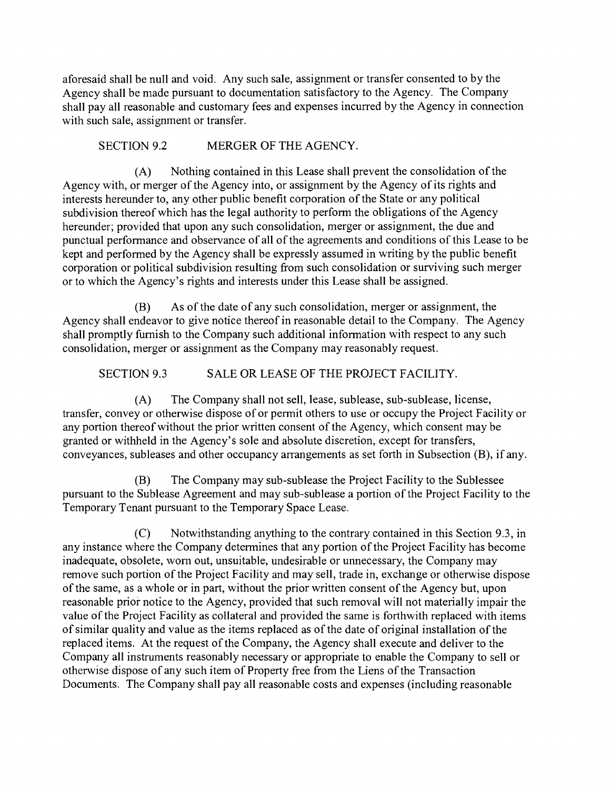aforesaid shall be null and void. Any such sale, assignment or transfer consented to by the Agency shall be made pursuant to documentation satisfactory to the Agency. The Company shall pay all reasonable and customary fees and expenses incurred by the Agency in connection with such sale, assignment or transfer.

## SECTION 9.2 MERGER OF THE AGENCY.

Nothing contained in this Lease shall prevent the consolidation of the  $(A)$ Agency with, or merger of the Agency into, or assignment by the Agency of its rights and interests hereunder to, any other public benefit corporation of the State or any political subdivision thereof which has the legal authority to perform the obligations of the Agency hereunder; provided that upon any such consolidation, merger or assignment, the due and punctual performance and observance of all of the agreements and conditions of this Lease to be kept and performed by the Agency shall be expressly assumed in writing by the public benefit corporation or political subdivision resulting from such consolidation or surviving such merger or to which the Agency's rights and interests under this Lease shall be assigned.

(B) As of the date of any such consolidation, merger or assignment, the Agency shall endeavor to give notice thereof in reasonable detail to the Company. The Agency shall promptly fumish to the Company such additional information with respect to any such consolidation, merger or assignment as the Company may reasonably request.

# SECTION 9.3 SALE OR LEASE OF THE PROJECT FACILITY.

The Company shall not sell, lease, sublease, sub-sublease, license,  $(A)$ transfer, convey or otherwise dispose of or permit others to use or occupy the Project Facility or any portion thereof without the prior written consent of the Agency, which consent may be granted or withheld in the Agency's sole and absolute discretion, except for transfers, conveyances, subleases and other occupancy arrangements as set forth in Subsection (B), if any.

The Company may sub-sublease the Project Facility to the Sublessee (B) pursuant to the Sublease Agreement and may sub-sublease a portion of the Project Facility to the Temporary Tenant pursuant to the Temporary Space Lease.

Notwithstanding anything to the contrary contained in this Section 9.3, in  $(C)$ any instance where the Company determines that any portion of the Project Facility has become inadequate, obsolete, wom out, unsuitable, undesirable or unnecessary, the Company may remove such portion of the Project Facility and may sell, trade in, exchange or otherwise dispose of the same, as a whole or in part, without the prior written consent of the Agency but, upon reasonable prior notice to the Agency, provided that such removal will not materially impair the value of the Project Facility as collateral and provided the same is forthwith replaced with items of similar quality and value as the items replaced as of the date of original installation of the replaced items. At the request of the Company, the Agency shall execute and deliver to the Company all instruments reasonably necessary or appropriate to enable the Company to sell or otherwise dispose of any such item of Property free from the Liens of the Transaction Documents. The Company shall pay all reasonable costs and expenses (including reasonable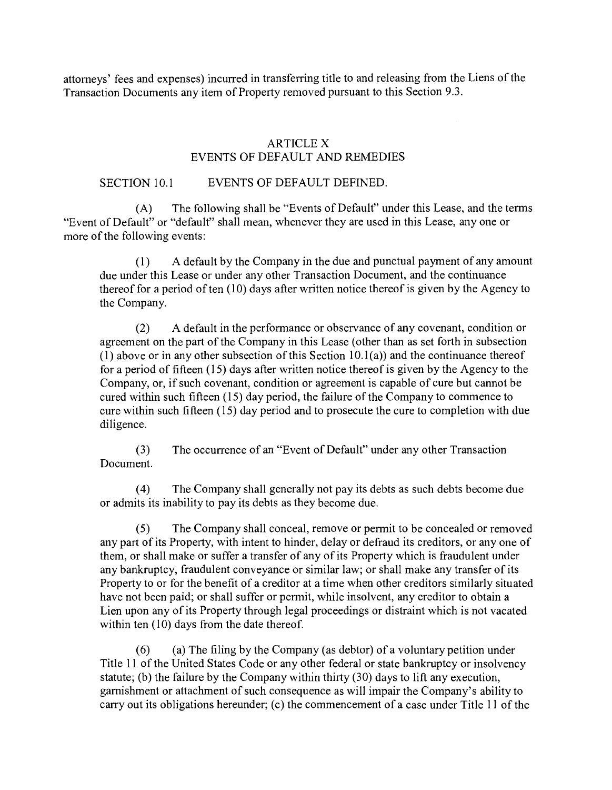attomeys' fees and expenses) incurred in transferring title to and releasing from the Liens of the Transaction Documents any item of Property removed pursuant to this Section 9.3.

## ARTICLE X EVENTS OF DEFAULT AND REMEDIES

### SECTION 10.1 EVENTS OF DEFAULT DEFINED.

(A) The following shall be "Events of Default" under this Lease, and the terms "Event of Default" or "default" shall mean, whenever they are used in this Lease, any one or more of the following events:

A default by the Company in the due and punctual payment of any amount  $(1)$ due under this Lease or under any other Transaction Document, and the continuance thereof for a period of ten (10) days after written notice thereof is given by the Agency to the Company.

A default in the performance or observance of any covenant, condition or  $(2)$ agreement on the part of the Company in this Lease (other than as set forth in subsection (1) above or in any other subsection of this Section  $10.1(a)$ ) and the continuance thereof for a period of fifteen (15) days after written notice thereof is given by the Agency to the Company, or, if such covenant, condition or agreement is capable of cure but cannot be cured within such fifteen (15) day period, the failure of the Company to commence to cure within such fifteen (15) day period and to prosecute the cure to completion with due diligence.

The occurrence of an "Event of Default" under any other Transaction  $(3)$ Document.

The Company shall generally not pay its debts as such debts become due  $(4)$ or admits its inability to pay its debts as they become due.

 $(5)$ The Company shall conceal, remove or permit to be concealed or removed any part of its Property, with intent to hinder, delay or defraud its creditors, or any one of them, or shall make or suffer a transfer of any of its Property which is fraudulent under any bankruptcy, fraudulent conveyance or similar law; or shall make any transfer of its Property to or for the benefit of a creditor at a time when other creditors similarly situated have not been paid; or shall suffer or permit, while insolvent, any creditor to obtain a Lien upon any of its Property through legal proceedings or distraint which is not vacated within ten (10) days from the date thereof.

(a) The filing by the Company (as debtor) of a voluntary petition under  $(6)$ Title 11 of the United States Code or any other federal or state bankruptcy or insolvency statute; (b) the failure by the Company within thirty (30) days to lift any execution, gamishment or attachment of such consequence as will impair the Company's ability to carry out its obligations hereunder; (c) the commencement of a case under Title 11 of the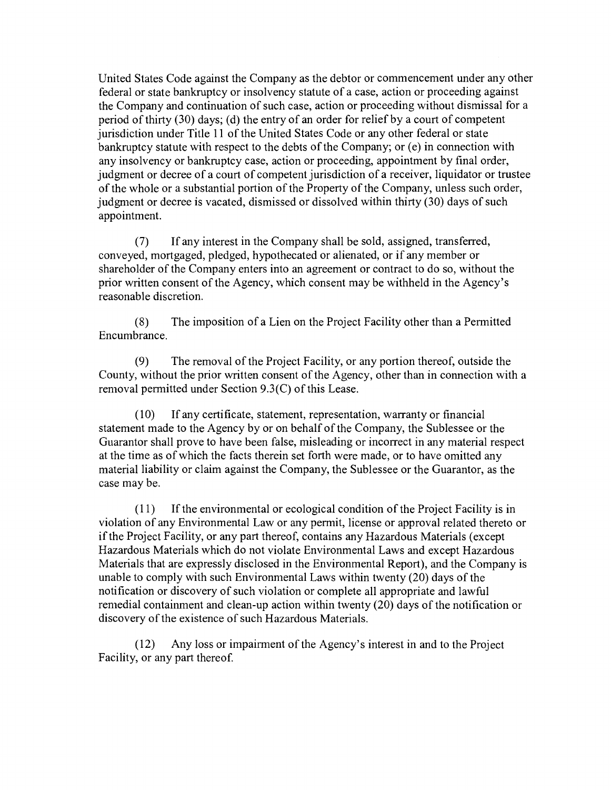United States Code against the Company as the debtor or commencement under any other federal or state bankruptcy or insolvency statute of a case, action or proceeding against the Company and continuation of such case, action or proceeding without dismissal for a period of thirty (30) days; (d) the entry of an order for relief by a court of competent jurisdiction under Title 11 of the United States Code or any other federal or state bankruptcy statute with respect to the debts of the Company; or (e) in connection with any insolvency or bankruptcy case, action or proceeding, appointment by final order, judgment or decree of a court of competent jurisdiction of a receiver, liquidator or trustee of the whole or a substantial portion of the Property of the Company, unless such order, judgment or decree is vacated, dismissed or dissolved within thirty (30) days of such appointment.

If any interest in the Company shall be sold, assigned, transferred,  $(7)$ conveyed, mortgaged, pledged, hypothecated or alienated, or if any member or shareholder of the Company enters into an agreement or contract to do so, without the prior written consent of the Agency, which consent may be withheld in the Agency's reasonable discretion.

The imposition of a Lien on the Project Facility other than a Permitted  $(8)$ Encumbrance.

 $(9)$ The removal of the Project Facility, or any portion thereof, outside the County, without the prior written consent of the Agency, other than in connection with a removal permitted under Section 9.3(C) of this Lease.

 $(10)$ If any certificate, statement, representation, warranty or financial statement made to the Agency by or on behalf of the Company, the Sublessee or the Guarantor shall prove to have been false, misleading or incorrect in any material respect at the time as of which the facts therein set forth were made, or to have omitted any material liability or claim against the Company, the Sublessee or the Guarantor, as the case may be.

 $(11)$ If the environmental or ecological condition of the Project Facility is in violation of any Environmental Law or any pennit, license or approval related thereto or if the Project Facility, or any part thereof, contains any Hazardous Materials (except Hazardous Materials which do not violate Environmental Laws and except Hazardous Materials that are expressly disclosed in the Environmental Report), and the Company is unable to comply with such Environmental Laws within twenty (20) days of the notification or discovery of such violation or complete all appropriate and lawful remedial containment and clean-up action within twenty (20) days of the notification or discovery of the existence of such Hazardous Materials.

Any loss or impairment of the Agency's interest in and to the Project  $(12)$ Facility, or any part thereof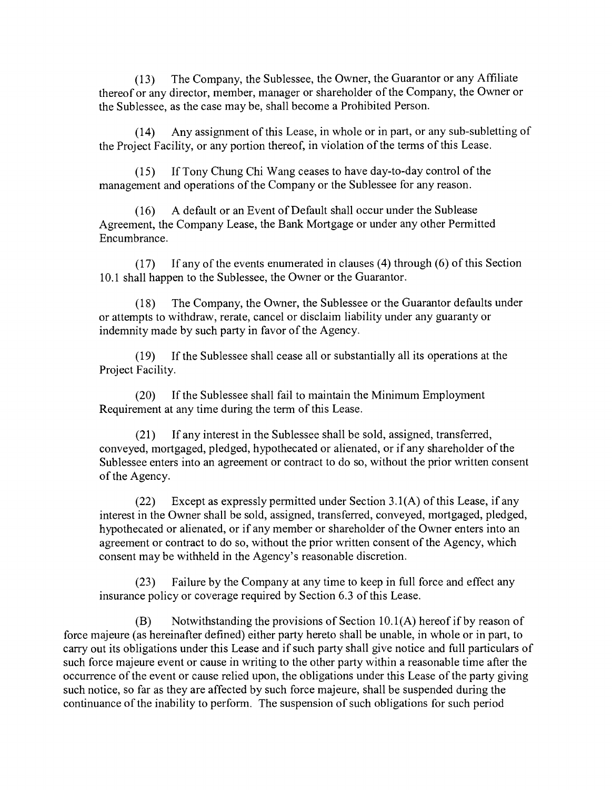The Company, the Sublessee, the Owner, the Guarantor or any Affiliate  $(13)$ thereof or any director, member, manager or shareholder of the Company, the Owner or the Sublessee, as the case may be, shall become a Prohibited Person.

 $(14)$ Any assignment of this Lease, in whole or in part, or any sub-subletting of the Project Facility, or any portion thereof, in violation of the terms of this Lease.

If Tony Chung Chi Wang ceases to have day-to-day control of the  $(15)$ management and operations of the Company or the Sublessee for any reason.

A default or an Event of Default shall occur under the Sublease  $(16)$ Agreement, the Company Lease, the Bank Mortgage or under any other Permitted Encumbrance.

If any of the events enumerated in clauses (4) through (6) of this Section  $(17)$ 10.1 shall happen to the Sublessee, the Owner or the Guarantor.

The Company, the Owner, the Sublessee or the Guarantor defaults under  $(18)$ or attempts to withdraw, rerate, cancel or disclaim liability under any guaranty or indemnity made by such party in favor of the Agency.

If the Sublessee shall cease all or substantially all its operations at the  $(19)$ Project Facility.

If the Sublessee shall fail to maintain the Minimum Employment  $(20)$ Requirement at any time during the term of this Lease.

If any interest in the Sublessee shall be sold, assigned, transferred,  $(21)$ conveyed, mortgaged, pledged, hypothecated or alienated, or if any shareholder of the Sublessee enters into an agreement or contract to do so, without the prior written consent of the Agency.

Except as expressly permitted under Section  $3.1(A)$  of this Lease, if any  $(22)$ interest in the Owner shall be sold, assigned, transferred, conveyed, mortgaged, pledged, hypothecated or alienated, or if any member or shareholder of the Owner enters into an agreement or contract to do so, without the prior written consent of the Agency, which consent may be withheld in the Agency's reasonable discretion.

Failure by the Company at any time to keep in full force and effect any  $(23)$ insurance policy or coverage required by Section 6.3 of this Lease.

(B) Notwithstanding the provisions of Section 10.1 (A) hereof if by reason of force majeure (as hereinafter defined) either party hereto shall be unable, in whole or in part, to carry out its obligations under this Lease and if such party shall give notice and full particulars of such force majeure event or cause in writing to the other party within a reasonable time after the occurrence of the event or cause relied upon, the obligations under this Lease of the party giving such notice, so far as they are affected by such force majeure, shall be suspended during the continuance of the inability to perform. The suspension of such obligations for such period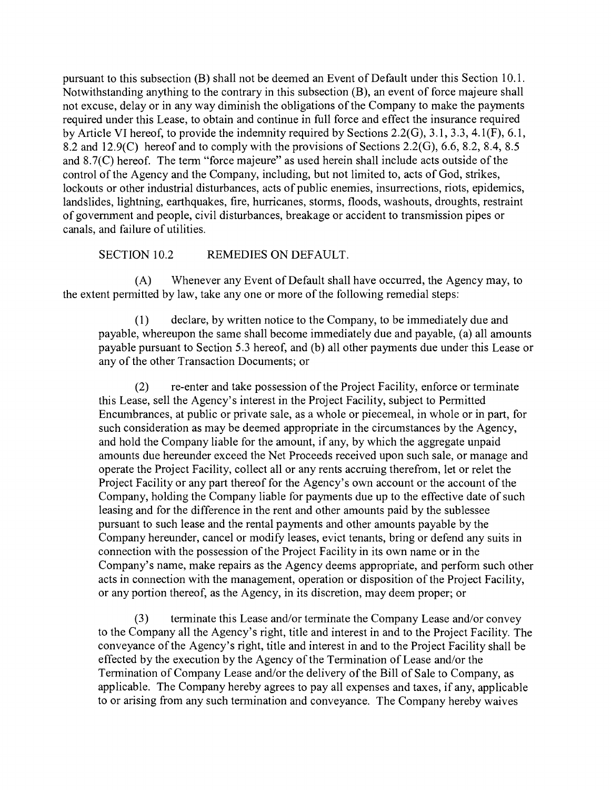pursuant to this subsection (B) shall not be deemed an Event of Default under this Section 10. 1. Notwithstanding anything to the contrary in this subsection (B), an event of force majeure shall not excuse, delay or in any way diminish the obligations of the Company to make the payments required under this Lease, to obtain and continue in full force and effect the insurance required by Article VI hereof, to provide the indemnity required by Sections 2.2(G), 3.1, 3.3, 4.1(F), 6.1, 8.2 and 12.9(C) hereof and to comply with the provisions of Sections 2.2(G), 6.6, 8.2, 8.4, 8.5 and 8.7(C) hereof. The term "force majeure" as used herein shall include acts outside of the control of the Agency and the Company, including, but not limited to, acts of God, strikes, lockouts or other industrial disturbances, acts of public enemies, insurrections, riots, epidemics, landslides, lightning, earthquakes, fire, hurricanes, storms, floods, washouts, droughts, restraint of govemment and people, civil disturbances, breakage or accident to transmission pipes or canals, and failure of utilities.

SECTION 10.2 REMEDIES ON DEFAULT.

(A) Whenever any Event of Default shall have occurred, the Agency may, to the extent pennitted by law, take any one or more of the following remedial steps:

declare, by written notice to the Company, to be immediately due and  $(1)$ payable, whereupon the same shall become immediately due and payable, (a) all amounts payable pursuant to Section 5.3 hereof, and (b) all other payments due under this Lease or any of the other Transaction Documents; or

re-enter and take possession of the Project Facility, enforce or terminate  $(2)$ this Lease, sell the Agency's interest in the Project Facility, subject to Pennitted Encumbrances, at public or private sale, as a whole or piecemeal, in whole or in part, for such consideration as may be deemed appropriate in the circumstances by the Agency, and hold the Company liable for the amount, if any, by which the aggregate unpaid amounts due hereunder exceed the Net Proceeds received upon such sale, or manage and operate the Project Facility, collect all or any rents accruing therefrom, let or relet the Project Facility or any part thereof for the Agency's own account or the account of the Company, holding the Company liable for payments due up to the effective date of such leasing and for the difference in the rent and other amounts paid by the sublessee pursuant to such lease and the rental payments and other amounts payable by the Company hereunder, cancel or modify leases, evict tenants, bring or defend any suits in connection with the possession of the Project Facility in its own name or in the Company's name, make repairs as the Agency deems appropriate, and perform such other acts in connection with the management, operation or disposition of the Project Facility, or any portion thereof, as the Agency, in its discretion, may deem proper; or

terminate this Lease and/or terminate the Company Lease and/or convey  $(3)$ to the Company all the Agency's right, title and interest in and to the Project Facility. The conveyance of the Agency's right, title and interest in and to the Project Facility shall be effected by the execution by the Agency of the Tennination of Lease and/or the Termination of Company Lease and/or the delivery of the Bill of Sale to Company, as applicable. The Company hereby agrees to pay all expenses and taxes, if any, applicable to or arising from any such termination and conveyance. The Company hereby waives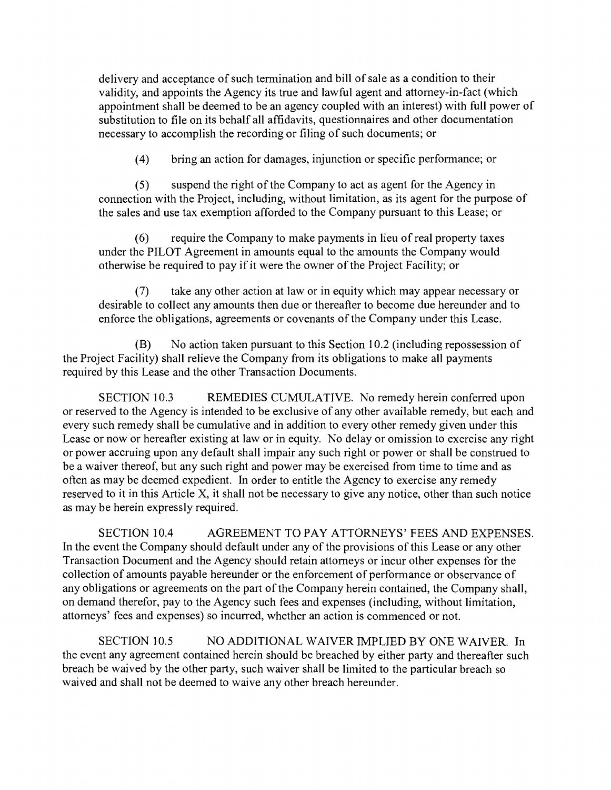delivery and acceptance of such tennination and bill of sale as a condition to their validity, and appoints the Agency its true and lawful agent and attomey-in-fact (which appointment shall be deemed to be an agency coupled with an interest) with full power of substitution to file on its behalf all affidavits, questionnaires and other documentation necessary to accomplish the recording or filing of such documents; or

 $(4)$ bring an action for damages, injunction or specific performance; or

suspend the right of the Company to act as agent for the Agency in  $(5)$ connection with the Project, including, without limitation, as its agent for the purpose of the sales and use tax exemption afforded to the Company pursuant to this Lease; or

require the Company to make payments in lieu of real property taxes  $(6)$ under the PILOT Agreement in amounts equal to the amounts the Company would otherwise be required to pay if it were the owner of the Project Facility; or

take any other action at law or in equity which may appear necessary or  $(7)$ desirable to collect any amounts then due or thereafter to become due hereunder and to enforce the obligations, agreements or covenants of the Company under this Lease.

(B) No action taken pursuant to this Section 10.2 (including repossession of the Project Facility) shall relieve the Company from its obligations to make all payments required by this Lease and the other Transaction Documents.

SECTION 10.3 REMEDIES CUMULATIVE. No remedy herein conferred upon or reserved to the Agency is intended to be exclusive of any other available remedy, but each and every such remedy shall be cumulative and in addition to every other remedy given under this Lease or now or hereafter existing at law or in equity. No delay or omission to exercise any right or power accruing upon any default shall impair any such right or power or shall be construed to be a waiver thereof, but any such right and power may be exercised from time to time and as often as may be deemed expedient. In order to entitle the Agency to exercise any remedy reserved to it in this Article X, it shall not be necessary to give any notice, other than such notice as may be herein expressly required.

SECTION 10.4 AGREEMENT TO PAY ATTORNEYS'FEES AND EXPENSES. In the event the Company should default under any of the provisions of this Lease or any other Transaction Document and the Agency should retain attomeys or incur other expenses for the collection of amounts payable hereunder or the enforcement of perfonnance or observance of any obligations or agreements on the part of the Company herein contained, the Company shall, on demand therefor, pay to the Agency such fees and expenses (including, without limitation, attomeys' fees and expenses) so incurred, whether an action is commenced or not.

SECTION 10.5 NO ADDITIONAL WAIVER IMPLIED BY ONE WAIVER. In the event any agreement contained herein should be breached by either party and thereafter such breach be waived by the other party, such waiver shall be limited to the particular breach so waived and shall not be deemed to waive any other breach hereunder.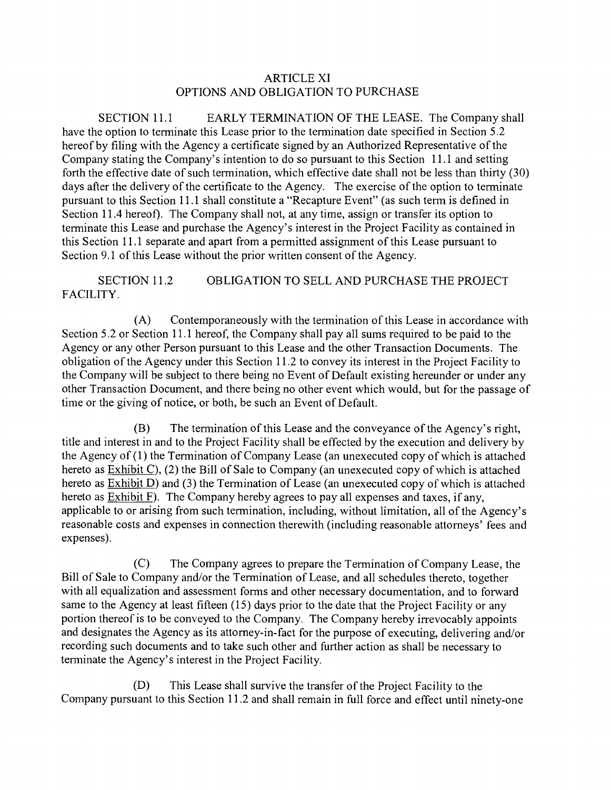## ARTICLE XI OPTIONS AND OBLIGATION TO PURCHASE

SECTION 11.1 EARLY TERMINATION OF THE LEASE. The Company shall have the option to terminate this Lease prior to the termination date specified in Section 5.2 hereof by filing with the Agency a certificate signed by an Authorized Representative of the Company stating the Company's intention to do so pursuant to this Section 11. 1 and setting forth the effective date of such termination, which effective date shall not be less than thirty (30) days after the delivery of the certificate to the Agency. The exercise of the option to terminate pursuant to this Section 11.1 shall constitute a "Recapture Event" (as such term is defined in Section 11.4 hereof). The Company shall not, at any time, assign or transfer its option to tenninate this Lease and purchase the Agency's interest in the Project Facility as contained in this Section 11. 1 separate and apart from a pennitted assigmnent of this Lease pursuant to Section 9.1 of this Lease without the prior written consent of the Agency.

SECTION 11.2 OBLIGATION TO SELL AND PURCHASE THE PROJECT FACILITY.

Contemporaneously with the termination of this Lease in accordance with  $(A)$ Section 5.2 or Section 11.1 hereof, the Company shall pay all sums required to be paid to the Agency or any other Person pursuant to this Lease and the other Transaction Documents. The obligation of the Agency under this Section 11.2 to convey its interest in the Project Facility to the Company will be subject to there being no Event of Default existing hereunder or under any other Transaction Document, and there being no other event which would, but for the passage of time or the giving of notice, or both, be such an Event of Default.

(B) The termination of this Lease and the conveyance of the Agency's right, title and interest in and to the Project Facility shall be effected by the execution and delivery by the Agency of (1) the Termination of Company Lease (an unexecuted copy of which is attached hereto as Exhibit C), (2) the Bill of Sale to Company (an unexecuted copy of which is attached hereto as  $Exhibit D)$  and (3) the Termination of Lease (an unexecuted copy of which is attached hereto as Exhibit F). The Company hereby agrees to pay all expenses and taxes, if any, applicable to or arising from such termination, including, without limitation, all of the Agency's reasonable costs and expenses in connection therewith (including reasonable attomeys' fees and expenses).

 $(C)$ The Company agrees to prepare the Termination of Company Lease, the Bill of Sale to Company and/or the Termination of Lease, and all schedules thereto, together with all equalization and assessment forms and other necessary documentation, and to forward same to the Agency at least fifteen (15) days prior to the date that the Project Facility or any portion thereof is to be conveyed to the Company. The Company hereby irrevocably appoints and designates the Agency as its attomey-in-fact for the purpose of executing, delivering and/or recording such documents and to take such other and further action as shall be necessary to terrninate the Agency's interest in the Project Facility.

(D) This Lease shall survive the transfer of the Project Facility to the Company pursuant to this Section 11.2 and shall remain in full force and effect until ninety-one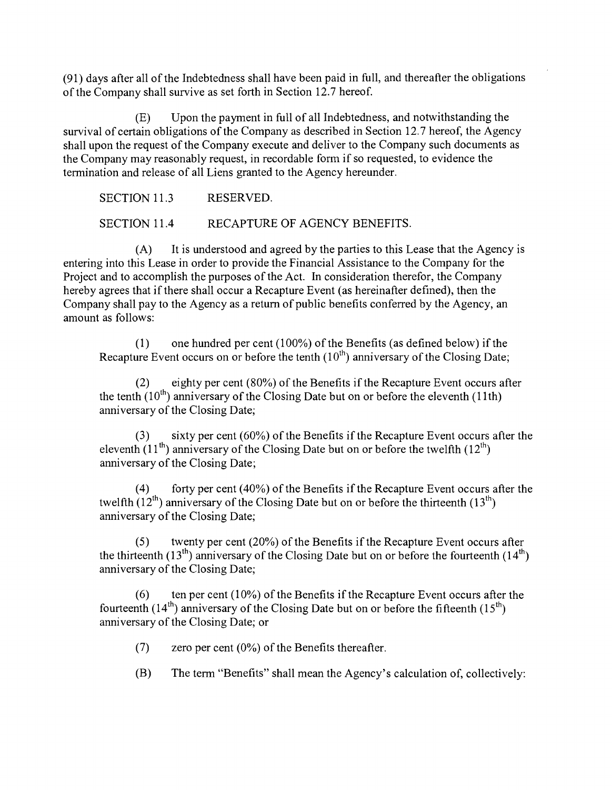(91) days after all of the Indebtedness shall have been paid in full, and thereafter the obligations of the Company shall survive as set forth in Section 12.7 hereof.

(E) Upon the payment in full of all Indebtedness, and notwithstanding the survival of certain obligations of the Company as described in Section 12.7 hereof, the Agency shall upon the request of the Company execute and deliver to the Company such documents as the Company may reasonably request, in recordable form if so requested, to evidence the termination and release of all Liens granted to the Agency hereunder.

SECTION 11.3 RESERVED. SECTION 11.4 RECAPTURE OF AGENCY BENEFITS.

(A) It is understood and agreed by the parties to this Lease that the Agency is entering into this Lease in order to provide the Financial Assistance to the Company for the Project and to accomplish the purposes of the Act. In consideration therefor, the Company hereby agrees that if there shall occur a Recapture Event (as hereinafter defined), then the Company shall pay to the Agency as a return of public benefits conferred by the Agency, an amount as follows:

one hundred per cent (100%) of the Benefits (as defined below) if the  $(1)$ Recapture Event occurs on or before the tenth  $(10^{th})$  anniversary of the Closing Date;

eighty per cent (80%) of the Benefits if the Recapture Event occurs after (2) eighty per cent (80%) of the Benefits if the Recapture Event occurs a the tenth (10<sup>th</sup>) anniversary of the Closing Date but on or before the eleventh (11th) anniversary of the Closing Date;

sixty per cent (60%) of the Benefits if the Recapture Event occurs after the  $(3)$ eleventh  $(11<sup>th</sup>)$  anniversary of the Closing Date but on or before the twelfth  $(12<sup>th</sup>)$ anniversary of the Closing Date;

forty per cent (40%) of the Benefits if the Recapture Event occurs after the  $(4)$ twelfth  $(12^{th})$  anniversary of the Closing Date but on or before the thirteenth  $(13^{th})$ anniversary of the Closing Date;

twenty per cent (20%) of the Benefits if the Recapture Event occurs after  $(5)$ the thirteenth (13<sup>th</sup>) anniversary of the Closing Date but on or before the fourteenth (14<sup>th</sup>) anniversary of the Closing Date;

ten per cent (10%) of the Benefits if the Recapture Event occurs after the  $(6)$ fourteenth  $(14<sup>th</sup>)$  anniversary of the Closing Date but on or before the fifteenth  $(15<sup>th</sup>)$ anniversary of the Closing Date; or

 $(7)$ zero per cent (0%) of the Benefits thereafter.

(B) The term "Benefits" shall mean the Agency's calculation of, collectively: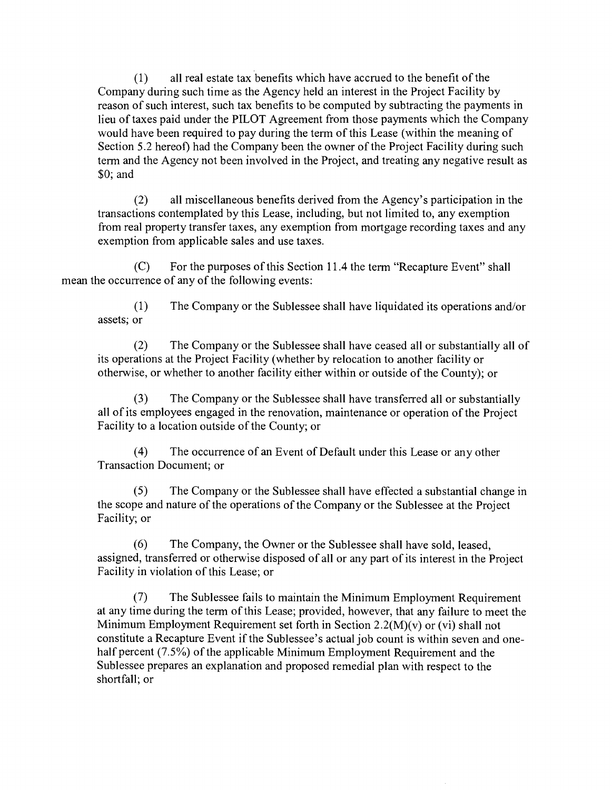all real estate tax benefits which have accrued to the benefit of the  $(1)$ Company during such time as the Agency held an interest in the Project Facility by reason of such interest, such tax benefits to be computed by subtracting the payments in lieu of taxes paid under the PILOT Agreement from those payments which the Company would have been required to pay during the term of this Lease (within the meaning of Section 5.2 hereof) had the Company been the owner of the Project Facility during such term and the Agency not been involved in the Project, and treating any negative result as \$0; and

all miscellaneous benefits derived from the Agency's participation in the  $(2)$ transactions contemplated by this Lease, including, but not limited to, any exemption from real property transfer taxes, any exemption from mortgage recording taxes and any exemption from applicable sales and use taxes.

(C) For the purposes of this Section 11.4 the term "Recapture Event" shall mean the occurrence of any of the following events:

 $(1)$ The Company or the Sublessee shall have liquidated its operations and/or assets; or

The Company or the Sublessee shall have ceased all or substantially all of  $(2)$ its operations at the Project Facility (whether by relocation to another facility or otherwise, or whether to another facility either within or outside of the County); or

 $(3)$ The Company or the Sublessee shall have transferred all or substantially all of its employees engaged in the renovation, maintenance or operation of the Project Facility to a location outside of the County; or

 $(4)$ The occurrence of an Event of Default under this Lease or any other Transaction Document; or

The Company or the Sublessee shall have effected a substantial change in  $(5)$ the scope and nature of the operations of the Company or the Sublessee at the Project Facility; or

 $(6)$ The Company, the Owner or the Sublessee shall have sold, leased, assigned, transferred or otherwise disposed of all or any part of its interest in the Project Facility in violation of this Lease; or

 $(7)$ The Sublessee fails to maintain the Minimum Employment Requirement at any time during the term of this Lease; provided, however, that any failure to meet the Minimum Employment Requirement set forth in Section 2.2(M)(v) or (vi) shall not constitute a Recapture Event if the Sublessee's actual job count is within seven and onehalf percent (7.5%) of the applicable Minimum Employment Requirement and the Sublessee prepares an explanation and proposed remedial plan with respect to the shortfall; or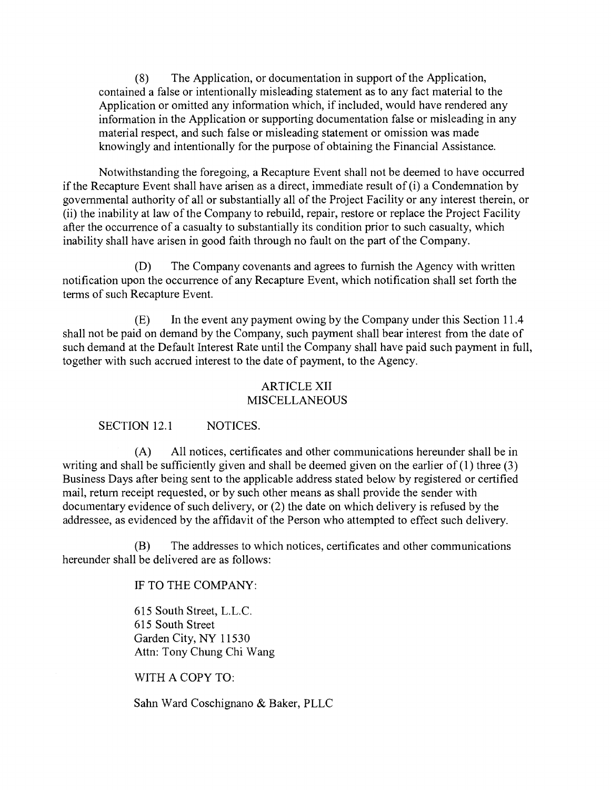(8) The Application, or documentation in support of the Application, contained a false or intentionally misleading statement as to any fact material to the Application or omitted any information which, if included, would have rendered any information in the Application or supporting documentation false or misleading in any material respect, and such false or misleading statement or omission was made knowingly and intentionally for the purpose of obtaining the Financial Assistance.

Notwithstanding the foregoing, a Recapture Event shall not be deemed to have occurred if the Recapture Event shall have arisen as a direct, immediate result of (i) a Condemnation by govemmental authority of all or substantially all of the Project Facility or any interest therein, or (il) the inability at law of the Company to rebuild, repair, restore or replace the Project Facility after the occurrence of a casualty to substantially its condition prior to such casualty, which inability shall have arisen in good faith through no fault on the part of the Company.

(D) The Company covenants and agrees to fumish the Agency with written notification upon the occurrence of any Recapture Event, which notification shall set forth the terms of such Recapture Event.

In the event any payment owing by the Company under this Section 11.4  $(E)$ shall not be paid on demand by the Company, such payment shall bear interest from the date of such demand at the Default Interest Rate until the Company shall have paid such payment in full, together with such accrued interest to the date of payment, to the Agency.

### ARTICLE XII MISCELLANEOUS

SECTION 12.1 NOTICES.

 $(A)$ All notices, certificates and other communications hereunder shall be in writing and shall be sufficiently given and shall be deemed given on the earlier of  $(1)$  three  $(3)$ Business Days after being sent to the applicable address stated below by registered or certified mail, return receipt requested, or by such other means as shall provide the sender with documentary evidence of such delivery, or (2) the date on which delivery is refused by the addressee, as evidenced by the affidavit of the Person who attempted to effect such delivery.

The addresses to which notices, certificates and other communications (B) hereunder shall be delivered are as follows:

IF TO THE COMPANY:

615 South Street, L.L.C. 615 South Street Garden City, NY 11530 Attn: Tony Chung Chi Wang

WITH A COPY TO:

Sahn Ward Coschignano & Baker, PLLC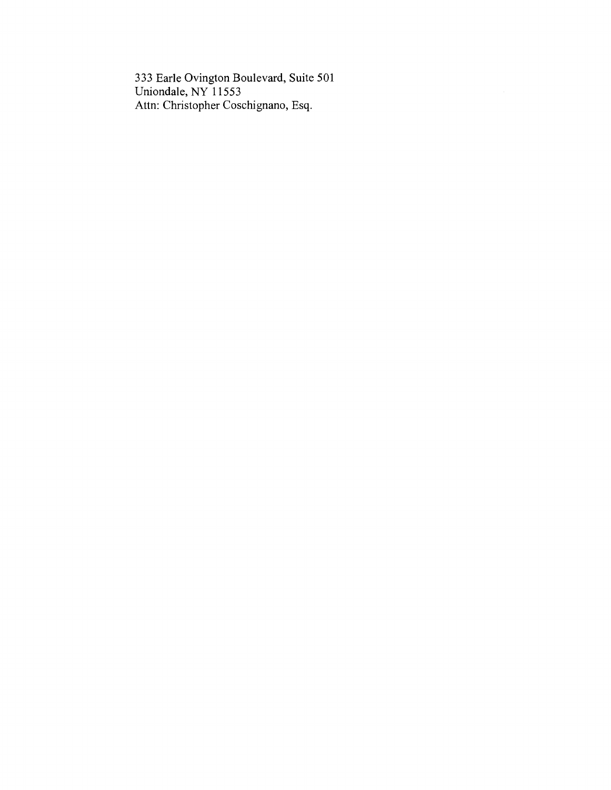333 Earle Ovington Boulevard, Suite 501 Uniondale, NY 11553 Attn: Christopher Coschignano, Esq.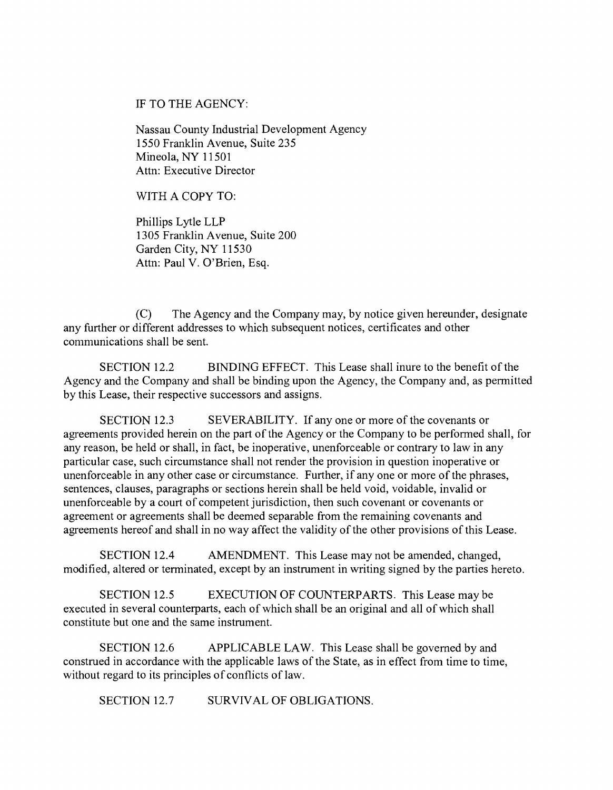IF TO THE AGENCY:

Nassau County Industrial Development Agency 1550 Franklin Avenue, Suite 235 Mineola, NY 11501 Attn: Executive Director

WITH A COPY TO:

Phillips Lytle LLP 1305 Franklin Avenue, Suite 200 Garden City, NY 11530 Attn: Paul V. O'Brien, Esq.

(C) The Agency and the Company may, by notice given hereunder, designate any further or different addresses to which subsequent notices, certificates and other communications shall be sent.

SECTION 12.2 BINDING EFFECT. This Lease shall inure to the benefit of the Agency and the Company and shall be binding upon the Agency, the Company and, as permitted by this Lease, their respective successors and assigns.

SECTION 12.3 SEVERABILITY. If any one or more of the covenants or agreements provided herein on the part of the Agency or the Company to be performed shall, for any reason, be held or shall, in fact, be inoperative, unenforceable or contrary to law in any particular case, such circumstance shall not render the provision in question inoperative or unenforceable in any other case or circumstance. Further, if any one or more of the phrases, sentences, clauses, paragraphs or sections herein shall be held void, voidable, invalid or unenforceable by a court of competent jurisdiction, then such covenant or covenants or agreement or agreements shall be deemed separable from the remaining covenants and agreements hereof and shall in no way affect the validity of the other provisions of this Lease.

SECTION 12.4 AMENDMENT. This Lease may not be amended, changed, modified, altered or terminated, except by an instrument in writing signed by the parties hereto.

SECTION 12.5 EXECUTION OF COUNTERPARTS. This Lease may be executed in several counterparts, each of which shall be an original and all of which shall constitute but one and the same instrument.

SECTION 12.6 APPLICABLE LAW. This Lease shall be govemed by and construed in accordance with the applicable laws of the State, as in effect from time to time, without regard to its principles of conflicts of law.

SECTION 12.7 SURVIVAL OF OBLIGATIONS.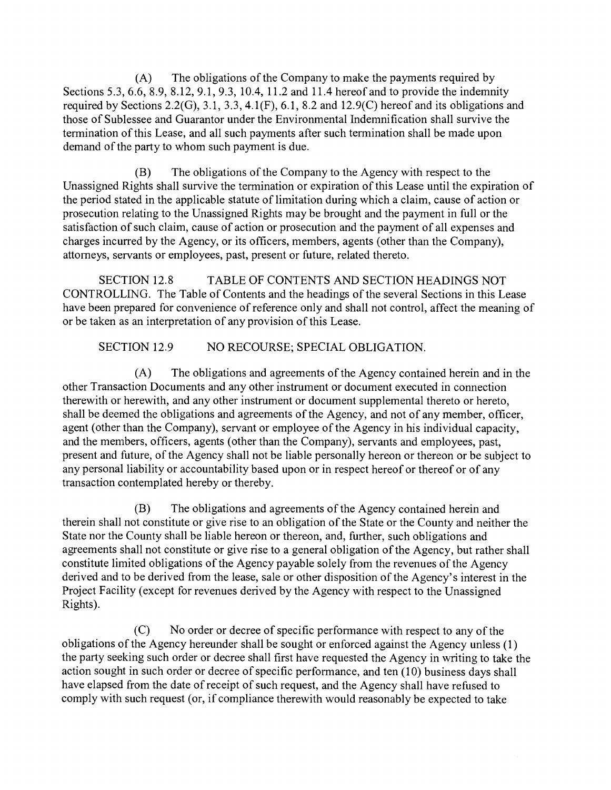$(A)$ The obligations of the Company to make the payments required by Sections 5.3, 6.6, 8.9, 8.12, 9.1, 9.3, 10.4, 11.2 and 11.4 hereof and to provide the indemnity required by Sections 2.2(G), 3.1, 3.3, 4.1(F), 6.1, 8.2 and 12.9(C) hereof and its obligations and those of Sublessee and Guarantor under the Environmental Indemnification shall survive the termination of this Lease, and all such payments after such termination shall be made upon demand of the party to whom such payment is due.

The obligations of the Company to the Agency with respect to the (B) Unassigned Rights shall survive the tennination or expiration of this Lease until the expiration of the period stated in the applicable statute of limitation during which a claim, cause of action or prosecution relating to the Unassigned Rights may be brought and the payment in full or the satisfaction of such claim, cause of action or prosecution and the payment of all expenses and charges incurred by the Agency, or its officers, members, agents (other than the Company), attomeys, servants or employees, past, present or future, related thereto.

SECTION 12.8 TABLE OF CONTENTS AND SECTION HEADINGS NOT CONTROLLING. The Table of Contents and the headings of the several Sections in this Lease have been prepared for convenience of reference only and shall not control, affect the meaning of or be taken as an interpretation of any provision of this Lease.

SECTION 12.9 NO RECOURSE; SPECIAL OBLIGATION.

 $(A)$ The obligations and agreements of the Agency contained herein and in the other Transaction Documents and any other instrument or document executed in connection therewith or herewith, and any other instrument or document supplemental thereto or hereto, shall be deemed the obligations and agreements of the Agency, and not of any member, officer, agent (other than the Company), servant or employee of the Agency in his individual capacity, and the members, officers, agents (other than the Company), servants and employees, past, present and future, of the Agency shall not be liable personally hereon or thereon or be subject to any personal liability or accountability based upon or in respect hereof or thereof or of any transaction contemplated hereby or thereby.

(B) The obligations and agreements of the Agency contained herein and therein shall not constitute or give rise to an obligation of the State or the County and neither the State nor the County shall be liable hereon or thereon, and, further, such obligations and agreements shall not constitute or give rise to a general obligation of the Agency, but rather shall constitute limited obligations of the Agency payable solely from the revenues of the Agency derived and to be derived from the lease, sale or other disposition of the Agency's interest in the Project Facility (except for revenues derived by the Agency with respect to the Unassigned Rights).

 $(C)$ No order or decree of specific perfonnance with respect to any of the obligations of the Agency hereunder shall be sought or enforced against the Agency unless (1) the party seeking such order or decree shall first have requested the Agency in writing to take the action sought in such order or decree of specific performance, and ten (10) business days shall have elapsed from the date of receipt of such request, and the Agency shall have refused to comply with such request (or, if compliance therewith would reasonably be expected to take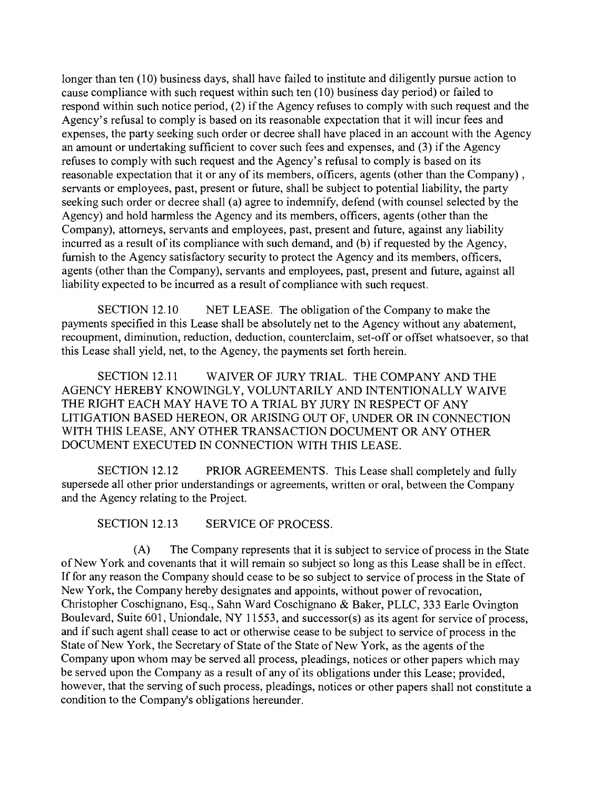longer than ten (10) business days, shall have failed to institute and diligently pursue action to cause compliance with such request within such ten (10) business day period) or failed to respond within such notice period, (2) if the Agency refuses to comply with such request and the Agency's refusal to comply is based on its reasonable expectation that it will incur fees and expenses, the party seeking such order or decree shall have placed in an account with the Agency an amount or undertaking sufficient to cover such fees and expenses, and (3) if the Agency refuses to comply with such request and the Agency's refusal to comply is based on its reasonable expectation that it or any of its members, officers, agents (other than the Company) , servants or employees, past, present or future, shall be subject to potential liability, the party seeking such order or decree shall (a) agree to indemnify, defend (with counsel selected by the Agency) and hold hannless the Agency and its members, officers, agents (other than the Company), attomeys, servants and employees, past, present and future, against any liability incurred as a result of its compliance with such demand, and (b) if requested by the Agency, fumish to the Agency satisfactory security to protect the Agency and its members, officers, agents (other than the Company), servants and employees, past, present and future, against all liability expected to be incurred as a result of compliance with such request.

SECTION 12.10 NET LEASE. The obligation of the Company to make the payments specified in this Lease shall be absolutely net to the Agency without any abatement, recoupment, diminution, reduction, deduction, counterclaim, set-off or offset whatsoever, so that this Lease shall yield, net, to the Agency, the payments set forth herein.

SECTION 12.11 WAIVER OF JURY TRIAL. THE COMPANY AND THE AGENCY HEREBY KNOWINGLY, VOLUNTARILY AND INTENTIONALLY WAIVE THE RIGHT EACH MAY HAVE TO A TRIAL BY JURY IN RESPECT OF ANY LITIGATION BASED HEREON, OR ARISING OUT OF, UNDER OR IN CONNECTION WITH THIS LEASE, ANY OTHER TRANSACTION DOCUMENT OR ANY OTHER DOCUMENT EXECUTED IN CONNECTION WITH THIS LEASE.

SECTION 12.12 PRIOR AGREEMENTS. This Lease shall completely and fully supersede all other prior understandings or agreements, written or oral, between the Company and the Agency relating to the Project.

SECTION 12.13 SERVICE OF PROCESS.

(A) The Company represents that it is subject to service of process in the State of New York and covenants that it will remain so subject so long as this Lease shall be in effect. If for any reason the Company should cease to be so subject to service of process in the State of New York, the Company hereby designates and appoints, without power of revocation, Christopher Coschignano, Esq., Sahn Ward Coschignano & Baker, PLLC, 333 Earle Ovington Boulevard, Suite 601, Uniondale, NY 11553, and successor(s) as its agent for service of process, and if such agent shall cease to act or otherwise cease to be subject to service of process in the State of New York, the Secretary of State of the State of New York, as the agents of the Company upon whom may be served all process, pleadings, notices or other papers which may be served upon the Company as a result of any of its obligations under this Lease; provided, however, that the serving of such process, pleadings, notices or other papers shall not constitute a condition to the Company's obligations hereunder.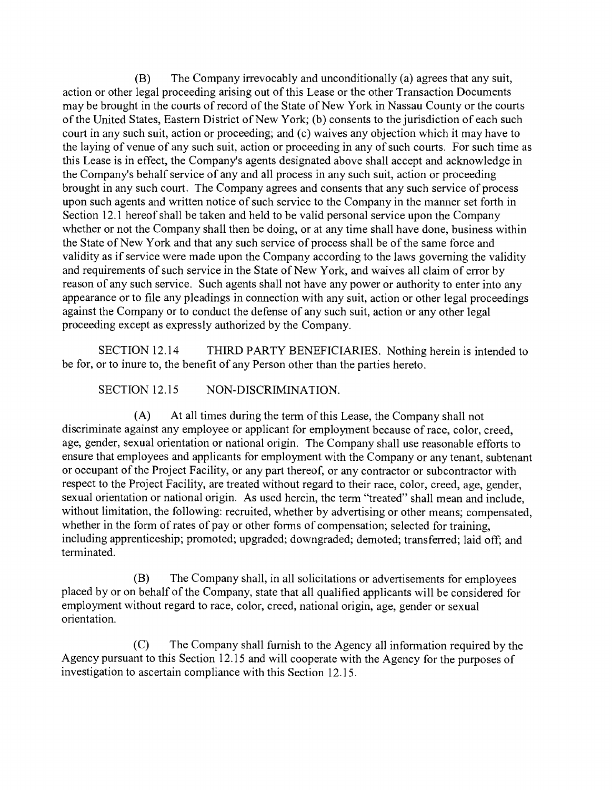(B) The Company irrevocably and unconditionally (a) agrees that any suit, action or other legal proceeding arising out of this Lease or the other Transaction Documents may be brought in the courts of record of the State of New York in Nassau County or the courts of the United States, Eastem District of New York; (b) consents to the jurisdiction of each such court in any such suit, action or proceeding; and (c) waives any objection which it may have to the laying of venue of any such suit, action or proceeding in any of such courts. For such time as this Lease is in effect, the Company's agents designated above shall accept and acknowledge in the Company's behalf service of any and all process in any such suit, action or proceeding brought in any such court. The Company agrees and consents that any such service of process upon such agents and written notice of such service to the Company in the manner set forth in Section 12.1 hereof shall be taken and held to be valid personal service upon the Company whether or not the Company shall then be doing, or at any time shall have done, business within the State of New York and that any such service of process shall be of the same force and validity as if service were made upon the Company according to the laws goveming the validity and requirements of such service in the State of New York, and waives all claim of error by reason of any such service. Such agents shall not have any power or authority to enter into any appearance or to file any pleadings in connection with any suit, action or other legal proceedings against the Company or to conduct the defense of any such suit, action or any other legal proceeding except as expressly authorized by the Company.

SECTION 12.14 THIRD PARTY BENEFICIARIES. Nothing herein is intended to be for, or to inure to, the benefit of any Person other than the parties hereto.

SECTION 12.15 NON-DISCRIMINATION.

 $(A)$ At all times during the term of this Lease, the Company shall not discriminate against any employee or applicant for employment because of race, color, creed, age, gender, sexual orientation or national origin. The Company shall use reasonable efforts to ensure that employees and applicants for employment with the Company or any tenant, subtenant or occupant of the Project Facility, or any part thereof, or any contractor or subcontractor with respect to the Project Facility, are treated without regard to their race, color, creed, age, gender, sexual orientation or national origin. As used herein, the term "treated" shall mean and include, without limitation, the following: recruited, whether by advertising or other means; compensated, whether in the form of rates of pay or other forms of compensation; selected for training, including apprenticeship; promoted; upgraded; downgraded; demoted; transferred; laid off; and terminated.

 $(B)$ The Company shall, in all solicitations or advertisements for employees placed by or on behalf of the Company, state that all qualified applicants will be considered for employment without regard to race, color, creed, national origin, age, gender or sexual orientation.

 $(C)$ The Company shall fumish to the Agency all information required by the Agency pursuant to this Section 12.15 and will cooperate with the Agency for the purposes of investigation to ascertain compliance with this Section 12.15.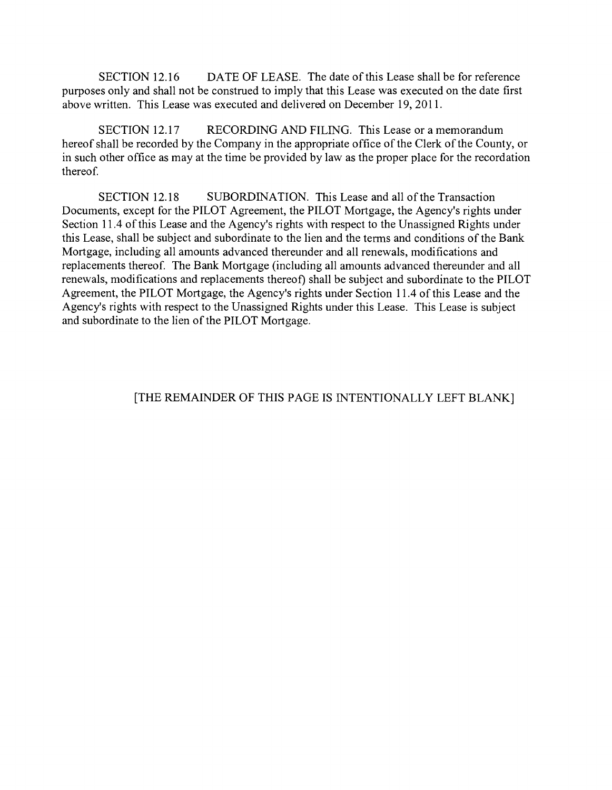SECTION 12.16 DATE OF LEASE. The date of this Lease shall be for reference purposes only and shall not be construed to imply that this Lease was executed on the date first above written. This Lease was executed and delivered on December 19, 2011.

SECTION 12.17 RECORDING AND FILING. This Lease or a memorandum hereof shall be recorded by the Company in the appropriate office of the Clerk of the County, or in such other office as may at the time be provided by law as the proper place for the recordation thereof.

SECTION 12.18 SUBORDINATION. This Lease and all of the Transaction Documents, except for the PILOT Agreement, the PILOT Mortgage, the Agency's rights under Section 11.4 of this Lease and the Agency's rights with respect to the Unassigned Rights under this Lease, shall be subject and subordinate to the lien and the terms and conditions of the Bank Mortgage, including all amounts advanced thereunder and all renewals, modifications and replacements thereof. The Bank Mortgage (including all amounts advanced thereunder and all renewals, modifications and replacements thereof) shall be subject and subordinate to the PILOT Agreement, the PILOT Mortgage, the Agency's rights under Section 11.4 of this Lease and the Agency's rights with respect to the Unassigned Rights under this Lease. This Lease is subject and subordinate to the lien of the PILOT Mortgage.

## [THE REMAINDER OF THIS PAGE IS INTENTIONALLY LEFT BLANK]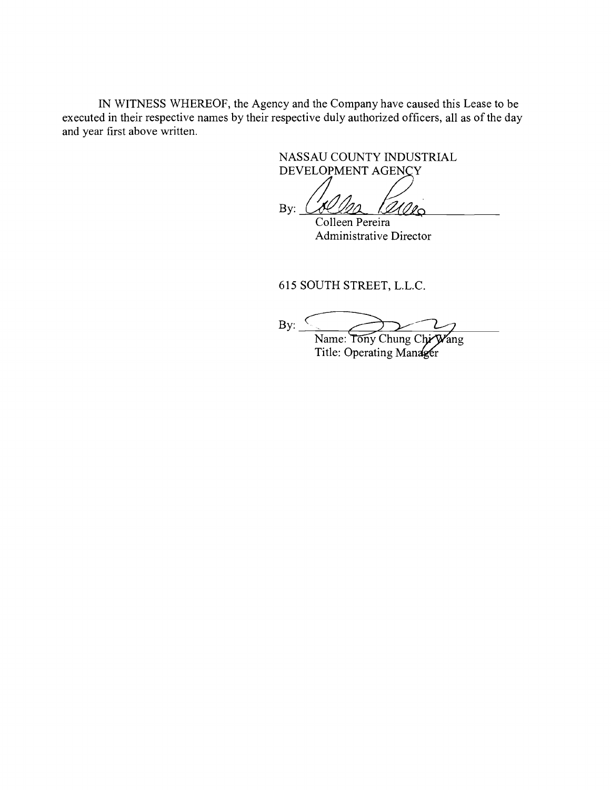IN WITNESS WHEREOF, the Agency and the Company have caused this Lease to be executed in their respective names by their respective duly authorized officers, all as of the day and year first above written.

> NASSAU COUNTY INDUSTRIAL DEVELOPMENT AGENCY

BEVELOPMENT AGENCY Colleen Pereira

Administrative Director

615 SOUTH STREET, L.L.C.

By:  $\leq$ Name: Tony Chung Chi Wang

Title: Operating Manager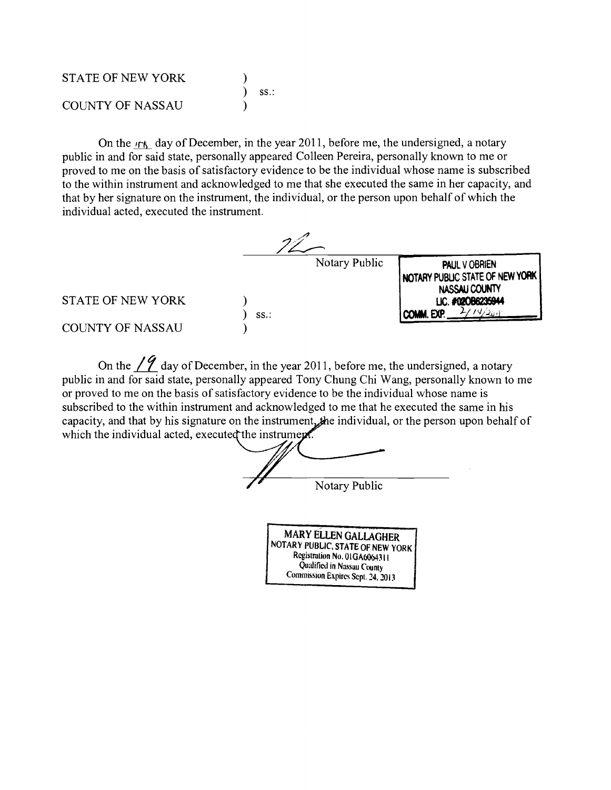| <b>STATE OF NEW YORK</b> |               |
|--------------------------|---------------|
|                          | $\angle$ SS.: |
| <b>COUNTY OF NASSAU</b>  |               |

On the  $r_{\text{th}}$  day of December, in the year 2011, before me, the undersigned, a notary public in and for said state, personally appeared Colleen Pereira, personally known to me or proved to me on the basis of satisfactory evidence to be the individual whose name is subscribed to the within instrument and acknowledged to me that she executed the same in her capacity, and that by her signature on the instrument, the individual, or the person upon behalf of which the individual acted, executed the instrument.

|                          |         | Notary Public | PAUL V OBRIEN<br><b>I NOTARY PUBLIC STATE OF NEW YORK I</b><br>NASSAU COUNTY |
|--------------------------|---------|---------------|------------------------------------------------------------------------------|
| <b>STATE OF NEW YORK</b> | $SS.$ : |               | LIC. #020B6235944<br>COMM. EXP.<br>، ۱۹۶۵ م                                  |
| <b>COUNTY OF NASSAU</b>  |         |               |                                                                              |

On the  $\angle$  *(* $\angle$  day of December, in the year 2011, before me, the undersigned, a notary public in and for said state, personally appeared Tony Chung Chi Wang, personally known to me or proved to me on the basis of satisfactory evidence to be the individual whose name is subscribed to the within instrument and acknowledged to me that he executed the same in his capacity, and that by his signature on the instrument, the individual, or the person upon behalf of which the individual acted, executed the instrument.

Notary Public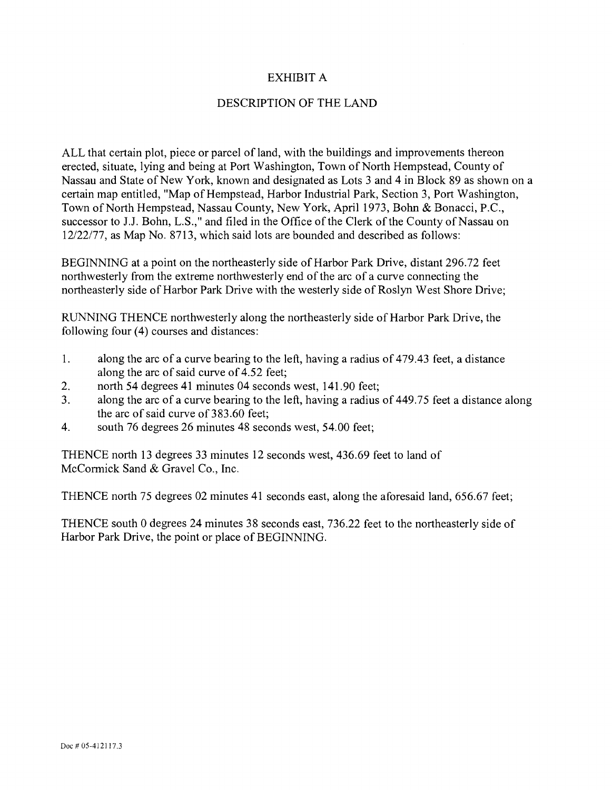## EXHIBIT A

### DESCRIPTION OF THE LAND

ALL that certain plot, piece or parcel of land, with the buildings and improvements thereon erected, situate, lying and being at Port Washington, Town of North Hempstead, County of Nassau and State of New York, known and designated as Lots 3 and 4 in Block 89 as shown on a certain map entitled, "Map of Hempstead, Harbor Industrial Park, Section 3, Port Washington, Town of North Hempstead, Nassau County, New York, April 1973, Bohn & Bonacci, P.C., successor to J.J. Bohn, L.S.," and filed in the Office of the Clerk of the County of Nassau on 12/22/77, as Map No. 8713, which said lots are bounded and described as follows:

BEGINNING at a point on the northeasterly side of Harbor Park Drive, distant 296.72 feet northwesterly from the extreme northwesterly end of the arc of a curve connecting the northeasterly side of Harbor Park Drive with the westerly side of Roslyn West Shore Drive;

RUNNING THENCE northwesterly along the northeasterly side of Harbor Park Drive, the following four (4) courses and distances:

- 1. along the arc of a curve bearing to the left, having a radius of 479.43 feet, a distance along the arc of said curve of 4.52 feet;
- $2.$ north 54 degrees 41 minutes 04 seconds west, 141.90 feet;
- $3<sub>1</sub>$ along the arc of a curve bearing to the left, having a radius of 449.75 feet a distance along the arc of said curve of 383.60 feet;
- $4.$ south 76 degrees 26 minutes 48 seconds west, 54.00 feet;

THENCE north 13 degrees 33 minutes 12 seconds west, 436.69 feet to land of McCormick Sand & Gravel Co., Inc.

THENCE north 75 degrees 02 minutes 41 seconds east, along the aforesaid land, 656.67 feet;

THENCE south 0 degrees 24 minutes 38 seconds cast, 736.22 feet to the northeasterly side of Harbor Park Drive, the point or place of BEGINNING.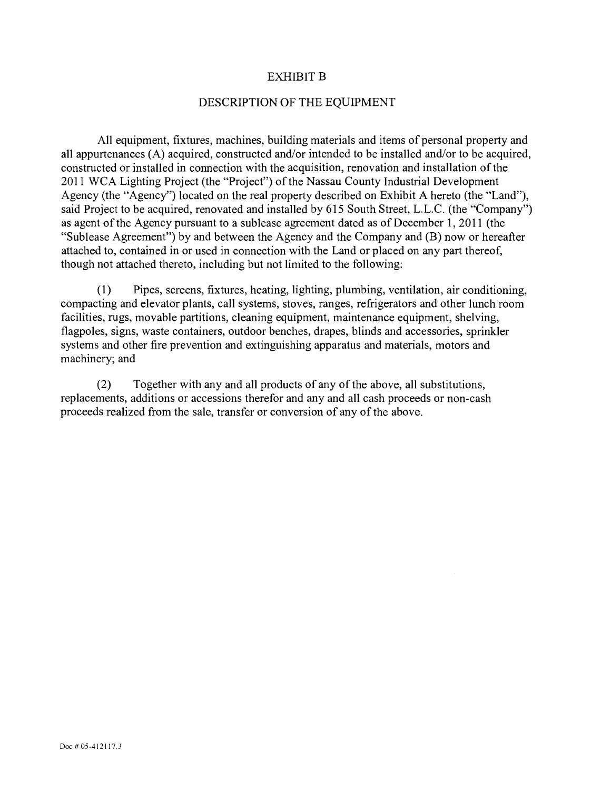### EXHIBIT B

#### DESCRIPTION OF THE EQUIPMENT

All equipment, fixtures, machines, building materials and items of personal property and all appurtenances (A) acquired, constructed and/or intended to be installed and/or to be acquired, constructed or installed in connection with the acquisition, renovation and installation of the 2011 WCA Lighting Project (the "Project") of the Nassau County Industrial Development Agency (the "Agency") located on the real property described on Exhibit A hereto (the "Land"), said Project to be acquired, renovated and installed by 615 South Street, L.L.C. (the "Company") as agent of the Agency pursuant to a sublease agreement dated as of December 1, 2011 (the "Sublease Agreement") by and between the Agency and the Company and (B) now or hereafter attached to, contained in or used in connection with the Land or placed on any part thereof, though not attached thereto, including but not limited to the following:

Pipes, screens, fixtures, heating, lighting, plumbing, ventilation, air conditioning,  $(1)$ compacting and elevator plants, call systems, stoves, ranges, refrigerators and other lunch room facilities, rugs, movable partitions, cleaning equipment, maintenance equipment, shelving, flagpoles, signs, waste containers, outdoor benches, drapes, blinds and accessories, sprinkler systems and other fire prevention and extinguishing apparatus and materials, motors and machinery; and

Together with any and all products of any of the above, all substitutions,  $(2)$ replacements, additions or accessions therefor and any and all cash proceeds or non-cash proceeds realized from the sale, transfer or conversion of any of the above.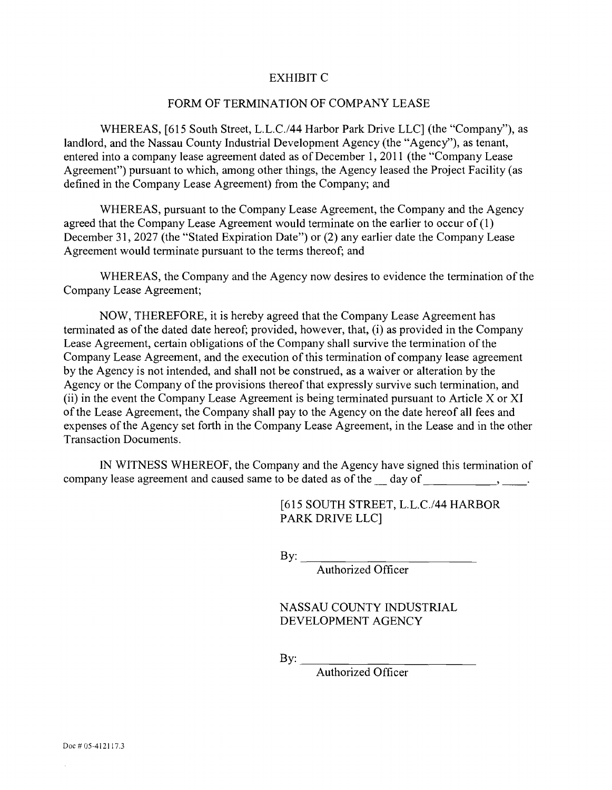### EXHIBIT C

#### FORM OF TERMINATION OF COMPANY LEASE

WHEREAS, [615 South Street, L.L.C./44 Harbor Park Drive LLC] (the "Company"), as landlord, and the Nassau County Industrial Development Agency (the "Agency"), as tenant, entered into a company lease agreement dated as of December 1, 2011 (the "Company Lease Agreement") pursuant to which, among other things, the Agency leased the Project Facility (as defined in the Company Lease Agreement) from the Company; and

WHEREAS, pursuant to the Company Lease Agreement, the Company and the Agency agreed that the Company Lease Agreement would terminate on the earlier to occur of (1) December 31, 2027 (the "Stated Expiration Date") or (2) any earlier date the Company Lease Agreement would terminate pursuant to the terms thereof; and

WHEREAS, the Company and the Agency now desires to evidence the termination of the Company Lease Agreement;

NOW, THEREFORE, it is hereby agreed that the Company Lease Agreement has terminated as of the dated date hereof; provided, however, that, (i) as provided in the Company Lease Agreement, certain obligations of the Company shall survive the termination of the Company Lease Agreement, and the execution of this termination of company lease agreement by the Agency is not intended, and shall not be construed, as a waiver or alteration by the Agency or the Company of the provisions thereof that expressly survive such termination, and  $(i)$  in the event the Company Lease Agreement is being terminated pursuant to Article X or XI of the Lease Agreement, the Company shall pay to the Agency on the date hereof all fees and expenses of the Agency set forth in the Company Lease Agreement, in the Lease and in the other Transaction Documents.

IN WITNESS WHEREOF, the Company and the Agency have signed this termination of company lease agreement and caused same to be dated as of the day of figures of  $\sim$ ,  $\sim$ 

> [615 SOUTH STREET, L.L.C./44 HARBOR PARK DRIVE LLCI

By:  $\qquad \qquad$ 

Authorized Officer

NASSAU COUNTY INDUSTRIAL DEVELOPMENT AGENCY

By:  $\qquad \qquad$ 

Authorized Officer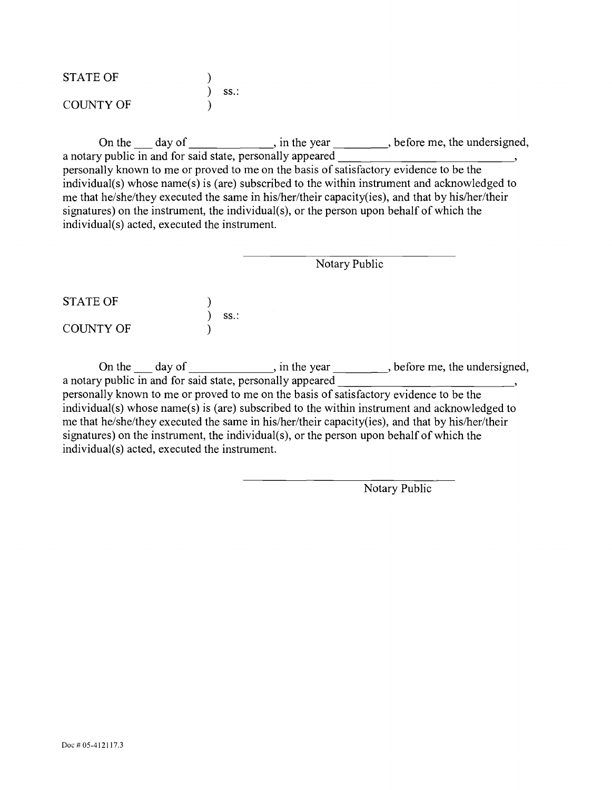| <b>STATE OF</b>  |     |
|------------------|-----|
|                  | SS. |
| <b>COUNTY OF</b> |     |

On the  $\_\_\_\_$  day of  $\_\_\_\_\_\_\$ , in the year  $\_\_\_\_\_\_\_\$  before me, the undersigned, a notary public in and for said state, personally appeared <sup>5</sup> personally known to me or proved to me on the basis of satisfactory evidence to be the individual(s) whose name(s) is (are) subscribed to the within instrument and acknowledged to me that he/she/they executed the same in his/her/their capacity(ies), and that by his/her/their signatures) on the instrument, the individual(s), or the person upon behalf of which the individual(s) acted, executed the instrument.

Notary Public STATE OF  $\overline{\phantom{a}}$ ss.: COUNTY OF

On the  $\_\_\_$  day of  $\_\_\_\_\_\$ , in the year  $\_\_\_\_\_\$ , before me, the undersigned, a notary public in and for said state, personally appeared \_\_\_\_\_\_\_\_\_\_\_\_\_\_\_\_\_\_\_\_\_\_\_\_\_\_\_\_\_\_\_\_\_\_, personally known to me or proved to me on the basis of satisfactory evidence to be the individual(s) whose name(s) is (are) subscribed to the within instrument and acknowledged to me that he/she/they executed the same in his/her/their capacity(ies), and that by his/her/their signatures) on the instrument, the individual(s), or the person upon behalf of which the individual(s) acted, executed the instrument.

Notary Public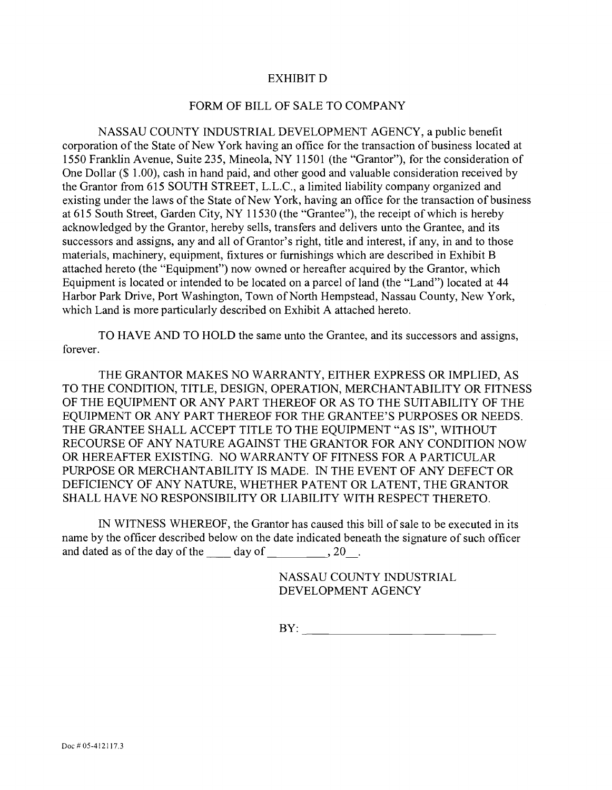### EXHIBIT D

#### FORM OF BILL OF SALE TO COMPANY

NASSAU COUNTY INDUSTRIAL DEVELOPMENT AGENCY, a public benefit corporation of the State of New York having an office for the transaction of business located at 1550 Franklin Avenue, Suite 235, Mineola, NY 11501 (the "Grantor"), for the consideration of One Dollar (\$ 1.00), cash in hand paid, and other good and valuable consideration received by the Grantor from 615 SOUTH STREET, L.L.C., a limited liability company organized and existing under the laws of the State of New York, having an office for the transaction of business at 615 South Street, Garden City, NY 11530 (the "Grantee"), the receipt of which is hereby acknowledged by the Grantor, hereby sells, transfers and delivers unto the Grantee, and its successors and assigns, any and all of Grantor's right, title and interest, if any, in and to those materials, machinery, equipment, fixtures or fumishings which are described in Exhibit B attached hereto (the "Equipment") now owned or hereafter acquired by the Grantor, which Equipment is located or intended to be located on a parcel of land (the "Land") located at 44 Harbor Park Drive, Port Washington, Town of North Hempstead, Nassau County, New York, which Land is more particularly described on Exhibit A attached hereto.

TO HAVE AND TO HOLD the same unto the Grantee, and its successors and assigns, forever.

THE GRANTOR MAKES NO WARRANTY, EITHER EXPRESS OR IMPLIED, AS TO THE CONDITION, TITLE, DESIGN, OPERATION, MERCHANTABILITY OR FITNESS OF THE EQUIPMENT OR ANY PART THEREOF OR AS TO THE SUITABILITY OF THE EQUlPMENT OR ANY PART THEREOF FOR THE GRANTEE'S PURPOSES OR NEEDS. THE GRANTEE SHALL ACCEPT TITLE TO THE EQUIPMENT "AS IS", WITHOUT RECOURSE OF ANY NATURE AGAINST THE GRANTOR FOR ANY CONDITION NOW OR HEREAFTER EXISTING. NO WARRANTY OF FITNESS FOR A PARTICULAR PURPOSE OR MERCHANTABILITY IS MADE. IN THE EVENT OF ANY DEFECT OR DEFICIENCY OF ANY NATURE, WHETHER PATENT OR LATENT, THE GRANTOR SHALL HAVE NO RESPONSIBILITY OR LIABILITY WITH RESPECT THERETO.

IN WITNESS WHEREOF, the Grantor has caused this bill of sale to be executed in its name by the officer described below on the date indicated beneath the signature of such officer and dated as of the day of the  $\qquad \qquad$  day of  $\qquad \qquad$ , 20.

> NASSAU COUNTY INDUSTRIAL DEVELOPMENT AGENCY

BY: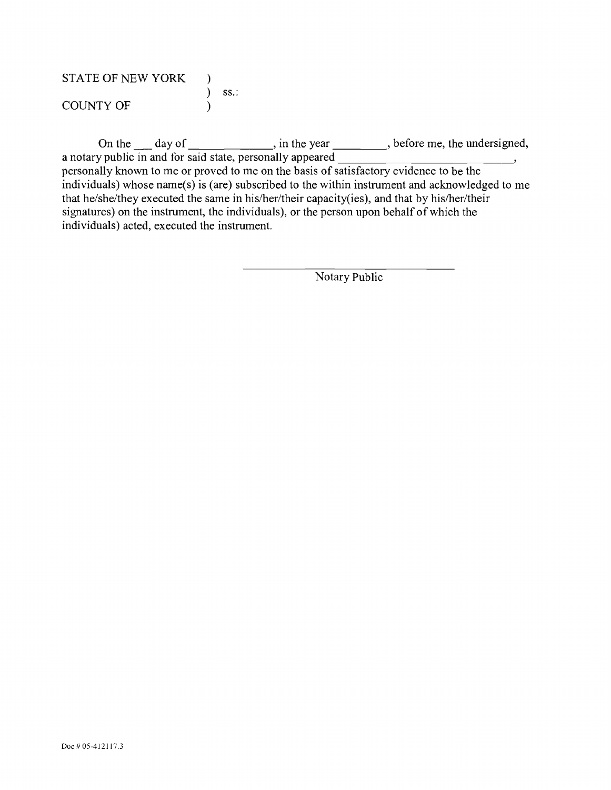| <b>STATE OF NEW YORK</b> |          |  |
|--------------------------|----------|--|
|                          | $)$ SS.: |  |
| <b>COUNTY OF</b>         |          |  |

On the  $\mu$  day of  $\mu$ , in the year  $\mu$ , before me, the undersigned, a notary public in and for said state, personally appeared \_\_\_\_\_\_\_\_ personally known to me or proved to me on the basis of satisfactory evidence to be the individuals) whose name(s) is (are) subscribed to the within instrument and acknowledged to me that he/she/they executed the same in his/her/their capacity(ies), and that by his/her/their signatures) on the instrument, the individuals), or the person upon behalf of which the individuals) acted, executed the instrument.

Notary Public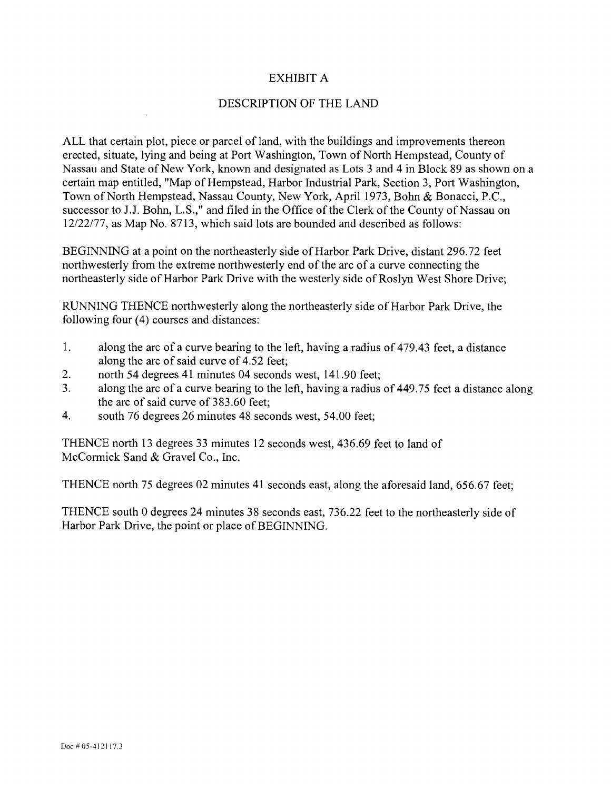## EXHIBIT A

## DESCRIPTION OF THE LAND

ALL that certain plot, piece or parcel of land, with the buildings and improvements thereon erected, situate, lying and being at Port Washington, Town of North Hempstead, County of Nassau and State of New York, known and designated as Lots 3 and 4 in Block 89 as shown on a certain map entitled, "Map of Hempstead, Harbor Industrial Park, Section 3, Port Washington, Town of North Hempstead, Nassau County, New York, April 1973, Bohn & Bonacci, P.C., successor to J.J. Bohn, L.S.," and filed in the Office of the Clerk of the County of Nassau on 12/22/77, as Map No. 8713, which said lots are bounded and described as follows:

BEGINNING at a point on the northeasterly side of Harbor Park Drive, distant 296.72 feet northwesterly from the extreme northwesterly end of the arc of a curve connecting the northeasterly side of Harbor Park Drive with the westerly side of Roslyn West Shore Drive;

RUNNING THENCE northwesterly along the northeasterly side of Harbor Park Drive, the following four (4) courses and distances:

- $1<sub>1</sub>$ along the arc of a curve bearing to the left, having a radius of 479.43 feet, a distance along the arc of said curve of 4.52 feet;
- $2.$ north 54 degrees 41 minutes 04 seconds west, 141.90 feet;
- $\overline{3}$ . along the arc of a curve bearing to the left, having a radius of 449.75 feet a distance along the arc of said curve of 383.60 feet;
- $\overline{4}$ . south 76 degrees 26 minutes 48 seconds west, 54.00 feet;

THENCE north 13 degrees 33 minutes 12 seconds west, 436.69 feet to land of McCormick Sand & Gravel Co., Inc.

THENCE north 75 degrees 02 minutes 41 seconds east, along the aforesaid land, 656.67 feet;

THENCE south 0 degrees 24 minutes 38 seconds east, 736.22 feet to the northeasterly side of Harbor Park Drive, the point or place of BEGINNING.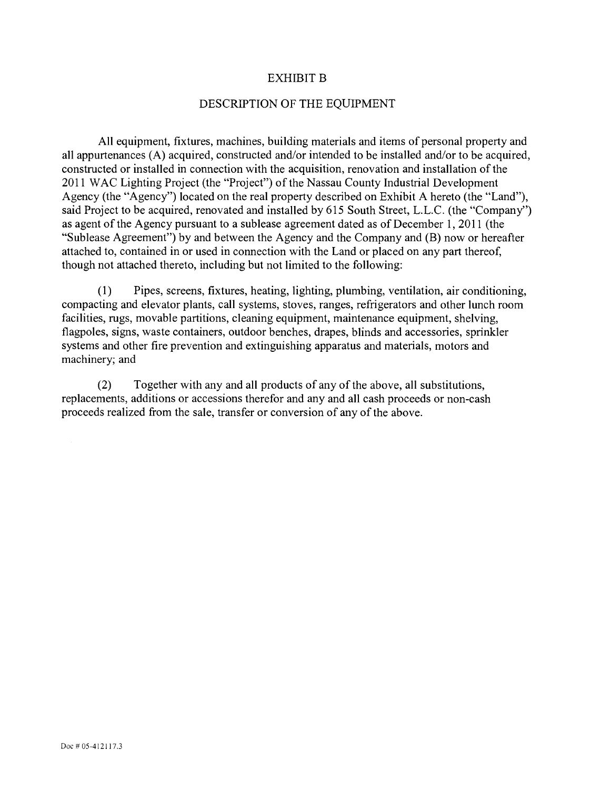#### EXHIBIT B

#### DESCRIPTION OF THE EQUIPMENT

All equipment, fixtures, machines, building materials and items of personal property and all appurtenances (A) acquired, constructed and/or intended to be installed and/or to be acquired, constructed or installed in connection with the acquisition, renovation and installation of the 2011 WAC Lighting Project (the "Project") of the Nassau County Industrial Development Agency (the "Agency") located on the real property described on Exhibit A hereto (the "Land"), said Project to be acquired, renovated and installed by 615 South Street, L.L.C. (the "Company") as agent of the Agency pursuant to a sublease agreement dated as of December 1, 2011 (the "Sublease Agreement") by and between the Agency and the Company and (B) now or hereafter attached to, contained in or used in connection with the Land or placed on any part thereof, though not attached thereto, including but not limited to the following:

 $(1)$ Pipes, screens, fixtures, heating, lighting, plumbing, ventilation, air conditioning, compacting and elevator plants, call systems, stoves, ranges, refrigerators and other lunch room facilities, rugs, movable partitions, cleaning equipment, maintenance equipment, shelving, flagpoles, signs, waste containers, outdoor benches, drapes, blinds and accessories, sprinkler systems and other fire prevention and extinguishing apparatus and materials, motors and machinery; and

Together with any and all products of any of the above, all substitutions,  $(2)$ replacements, additions or accessions therefor and any and all cash proceeds or non-cash proceeds realized from the sale, transfer or conversion of any of the above.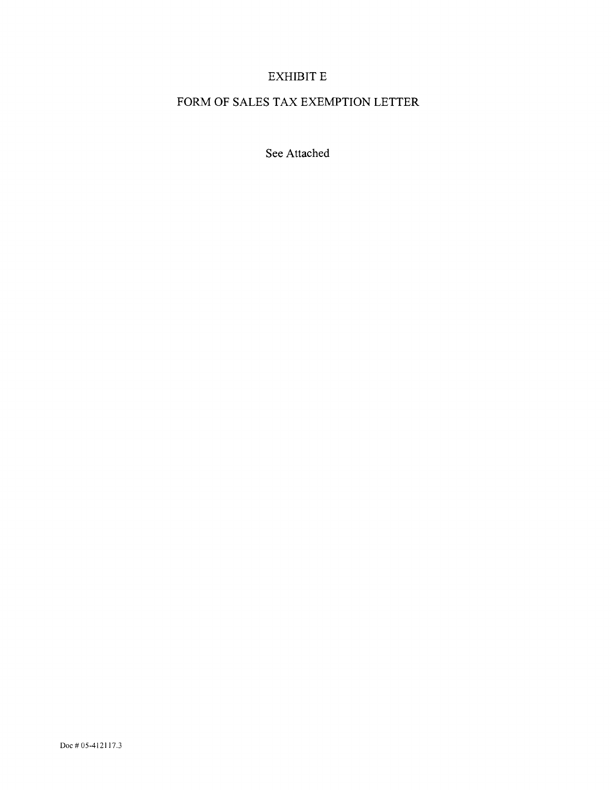# EXHIBIT E

# FORM OF SALES TAX EXEMPTION LETTER

See Attached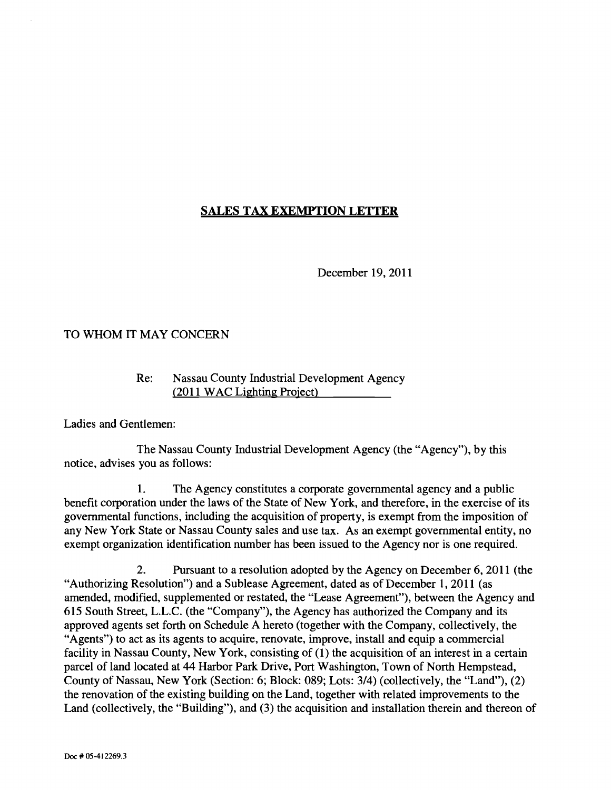# SALES TAX EXEMPTION LETTER

December 19, 2011

## TO WHOM IT MAY CONCERN

## Re: Nassau County Industrial Development Agency  $(2011 \text{ WAC}$  Lighting Project)

Ladies and Gentlemen:

The Nassau County Industrial Development Agency (the "Agency"), by this notice, advises you as follows:

 $\mathbf{1}$ . The Agency constitutes a corporate govemmental agency and a public benefit corporation under the laws of the State of New York, and therefore, in the exercise of its govemmental functions, including the acquisition of property, is exempt from the imposition of any New York State or Nassau County sales and use tax. As an exempt governmental entity, no exempt organization identification number has been issued to the Agency nor is one required.

2. Pursuant to a resolution adopted by the Agency on December 6, 2011 (the "Authorizing Resolution") and a Sublease Agreement, dated as of December 1, 2011 (as amended, modified, supplemented or restated, the "Lease Agreement"), between the Agency and 615 South Street, L.L.C. (the "Company"), the Agency has authorized the Company and its approved agents set forth on Schedule A hereto (together with the Company, collectively, the "Agents") to act as its agents to acquire, renovate, improve, install and equip a commercial facility in Nassau County, New York, consisting of (1) the acquisition of an interest in a certain parcel of land located at 44 Harbor Park Drive, Port Washington, Town of North Hempstead, County of Nassau, New York (Section: 6; Block: 089; Lots: 3/4) (collectively, the "Land"), (2) the renovation of the existing building on the Land, together with related improvements to the Land (collectively, the "Building"), and (3) the acquisition and installation therein and thereon of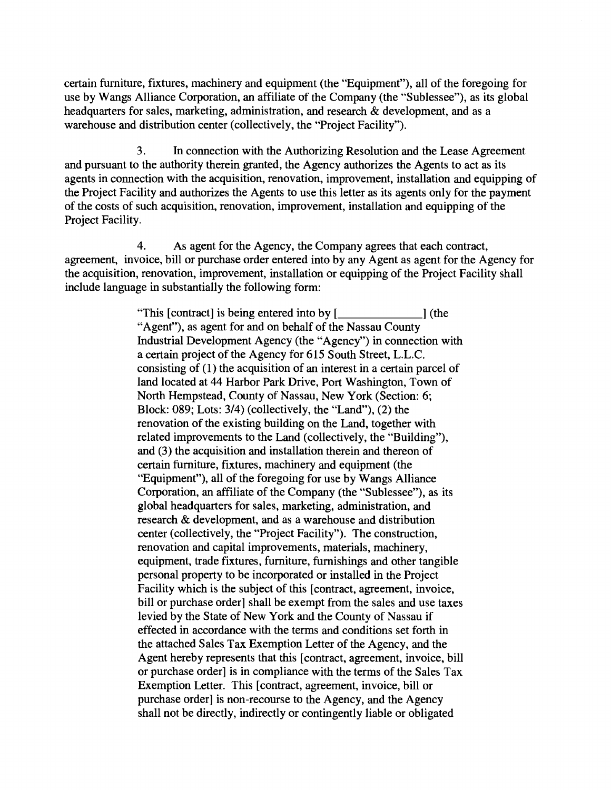certain fumiture, fixtures, machinery and equipment (the "Equipment"), all of the foregoing for use by Wangs Alliance Corporation, an affiliate of the Company (the "Sublessee"), as its global headquarters for sales, marketing, administration, and research & development, and as a warehouse and distribution center (collectively, the "Project Facility").

3. In connection with the Authorizing Resolution and the Lease Agreement and pursuant to the authority therein granted, the Agency authorizes the Agents to act as its agents in connection with the acquisition, renovation, improvement, installation and equipping of the Project Facility and authorizes the Agents to use this letter as its agents only for the payment of the costs of such acquisition, renovation, improvement, installation and equipping of the Project Facility.

4. As agent for the Agency, the Company agrees that each contract, agreement, invoice, bill or purchase order entered into by any Agent as agent for the Agency for the acquisition, renovation, improvement, installation or equipping of the Project Facility shall include language in substantially the following form:

> "This [contract] is being entered into by [ ] (the "Agent"), as agent for and on behalf of the Nassau County Industrial Development Agency (the "Agency") in connection with a certain project of the Agency for 615 South Street, L.L.C. consisting of (1) the acquisition of an interest in a certain parcel of land located at 44 Harbor Park Drive, Port Washington, Town of North Hempstead, County of Nassau, New York (Section: 6; Block: 089; Lots: 3/4) (collectively, the "Land"), (2) the renovation of the existing building on the Land, together with related improvements to the Land (collectively, the "Building"), and (3) the acquisition and installation therein and thereon of certain fumiture, fixtures, machinery and equipment (the "Equipment"), all of the foregoing for use by Wangs Alliance Corporation, an affiliate of the Company (the "Sublessee"), as its global headquarters for sales, marketing, administration, and research & development, and as a warehouse and distribution center (collectively, the "Project Facility"). The construction, renovation and capital improvements, materials, machinery, equipment, trade fixtures, furniture, furnishings and other tangible personal property to be incorporated or installed in the Project Facility which is the subject of this [contract, agreement, invoice, bill or purchase order] shall be exempt from the sales and use taxes levied by the State of New York and the County of Nassau if effected in accordance with the terms and conditions set forth in the attached Sales Tax Exemption Letter of the Agency, and the Agent hereby represents that this [contract, agreement, invoice, bill or purchase order] is in compliance with the terms of the Sales Tax Exemption Letter. This [contract, agreement, invoice, bill or purchase order] is non-recourse to the Agency, and the Agency shall not be directly, indirectly or contingently liable or obligated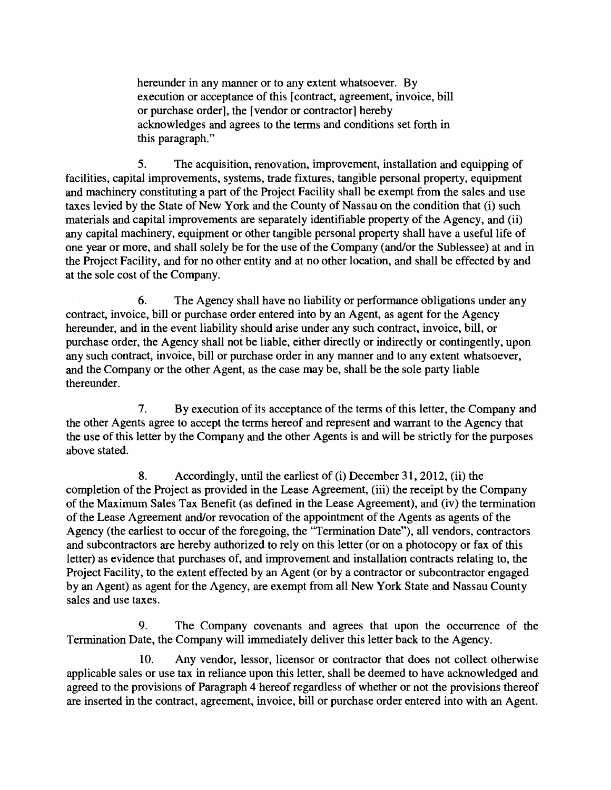hereunder in any manner or to any extent whatsoever. By execution or acceptance of this [contract, agreement, invoice, bill or purchase order], the [vendor or contractor] hereby acknowledges and agrees to the terms and conditions set forth in this paragraph."

The acquisition, renovation, improvement, installation and equipping of 5. facilities, capital improvements, systems, trade fixtures, tangible personal property, equipment and machinery constituting a part of the Project Facility shall be exempt from the sales and use taxes levied by the State of New York and the County of Nassau on the condition that (i) such materials and capital improvements are separately identifiable property of the Agency, and (ii) any capital machinery, equipment or other tangible personal property shall have a useful life of one year or more, and shall solely be for the use of the Company (and/or the Sublessee) at and in the Project Facility, and for no other entity and at no other location, and shall be effected by and at the sole cost of the Company.

6. The Agency shall have no liability or performance obligations under any contract, invoice, bill or purchase order entered into by an Agent, as agent for the Agency hereunder, and in the event liability should arise under any such contract, invoice, bill, or purchase order, the Agency shall not be liable, either directly or indirectly or contingently, upon any such contract, invoice, bill or purchase order in any manner and to any extent whatsoever, and the Company or the other Agent, as the case may be, shall be the sole party liable thereunder.

 $7.$ By execution of its acceptance of the terms of this letter, the Company and the other Agents agree to accept the terms hereof and represent and warrant to the Agency that the use of this letter by the Company and the other Agents is and will be strictly for the purposes above stated.

8. Accordingly, until the earliest of (i) December 31, 2012, (ii) the completion of the Project as provided in the Lease Agreement, (iii) the receipt by the Company of the Maximum Sales Tax Benefit (as defined in the Lease Agreement), and (iv) the termination of the Lease Agreement and/or revocation of the appointment of the Agents as agents of the Agency (the earliest to occur of the foregoing, the "Termination Date"), all vendors, contractors and subcontractors are hereby authorized to rely on this letter (or on a photocopy or fax of this letter) as evidence that purchases of, and improvement and installation contracts relating to, the Project Facility, to the extent effected by an Agent (or by a contractor or subcontractor engaged by an Agent) as agent for the Agency, are exempt from all New York State and Nassau County sales and use taxes.

 $9<sub>1</sub>$ The Company covenants and agrees that upon the occurrence of the Termination Date, the Company will immediately deliver this letter back to the Agency.

Any vendor, lessor, licensor or contractor that does not collect otherwise 10. applicable sales or use tax in reliance upon this letter, shall be deemed to have acknowledged and agreed to the provisions of Paragraph 4 hereof regardless of whether or not the provisions thereof are inserted in the contract, agreement, invoice, bill or purchase order entered into with an Agent.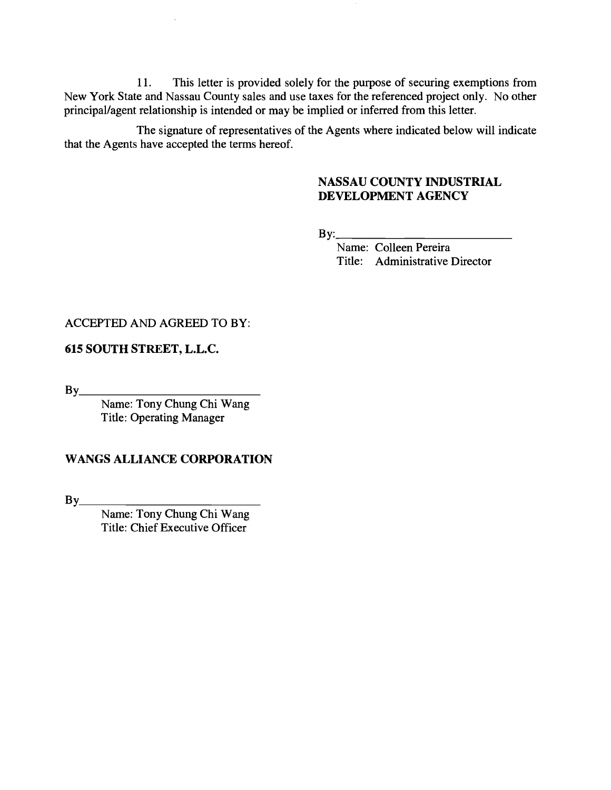11. This letter is provided solely for the purpose of securing exemptions from New York State and Nassau County sales and use taxes for the referenced project only. No other principal/agent relationship is intended or may be implied or inferred from this letter.

The signature of representatives of the Agents where indicated below will indicate that the Agents have accepted the terms hereof.

## NASSAU COUNTY INDUSTRIAL DEVELOPMENT AGENCY

 $By:$ 

Name: Colleen Pereira Title: Administrative Director

#### ACCEPTED AND AGREED TO BY:

#### 615 SOUTH STREET, L.L.C.

 $By$ <sub>—</sub>

Name: Tony Chung Chi Wang Title: Operating Manager

## WANGS ALLIANCE CORPORATION

By\_\_\_\_\_\_\_\_\_\_

Name: Tony Chung Chi Wang Title: Chief Executive Officer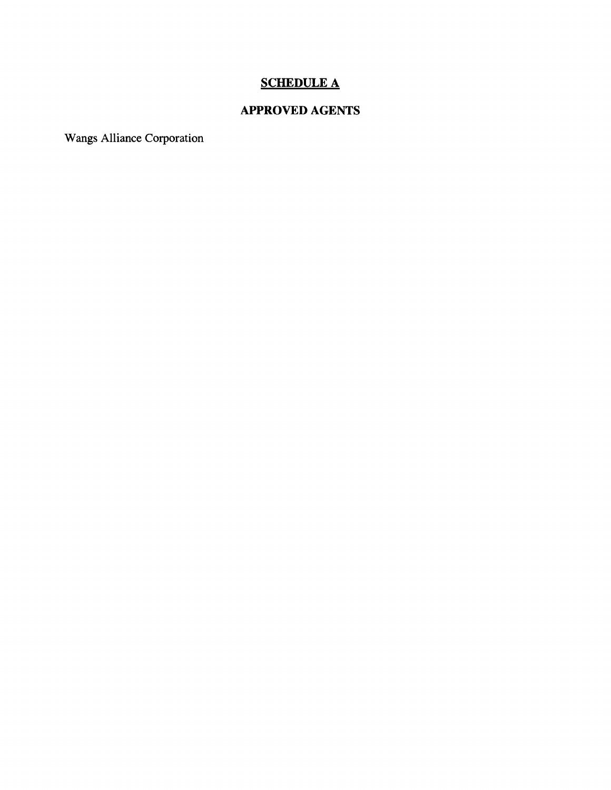# SCHEDULE A

# APPROVED AGENTS

Wangs Alliance Corporation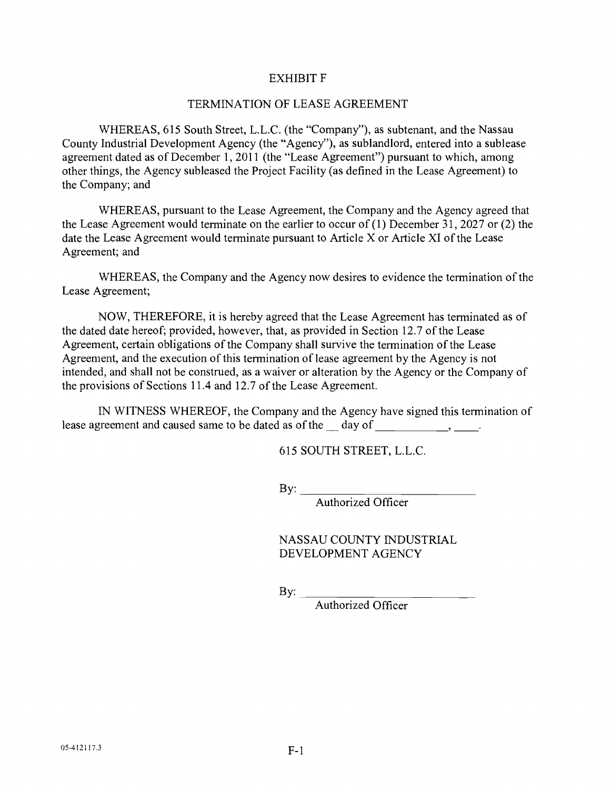#### EXHIBIT F

#### TERMINATION OF LEASE AGREEMENT

WHEREAS, 615 South Street, L.L.C. (the "Company"), as subtenant, and the Nassau County Industrial Development Agency (the "Agency"), as sublandlord, entered into a sublease agreement dated as of December 1, 2011 (the "Lease Agreement") pursuant to which, among other things, the Agency subleased the Project Facility (as defined in the Lease Agreement) to the Company; and

WHEREAS, pursuant to the Lease Agreement, the Company and the Agency agreed that the Lease Agreement would terminate on the earlier to occur of  $(1)$  December 31, 2027 or  $(2)$  the date the Lease Agreement would terminate pursuant to Article  $X$  or Article XI of the Lease Agreement; and

WHEREAS, the Company and the Agency now desires to evidence the termination of the Lease Agreement;

NOW, THEREFORE, it is hereby agreed that the Lease Agreement has terminated as of the dated date hereof; provided, however, that, as provided in Section 12.7 of the Lease Agreement, certain obligations of the Company shall survive the tennination of the Lease Agreement, and the execution of this tennination of lease agreement by the Agency is not intended, and shall not be construed, as a waiver or alteration by the Agency or the Company of the provisions of Sections 11.4 and 12.7 of the Lease Agreement.

IN WITNESS WHEREOF, the Company and the Agency have signed this termination of lease agreement and caused same to be dated as of the day of same to be dated as  $\frac{d}{dx}$  day of same set of  $\frac{d}{dx}$ 

615 SOUTH STREET, L.L.C.

By:  $\rule{1em}{0.15mm}$ 

Authorized Officer

NASSAU COUNTY INDUSTRIAL DEVELOPMENT AGENCY

By:  $\overline{\phantom{a}}$ 

Authorized Officer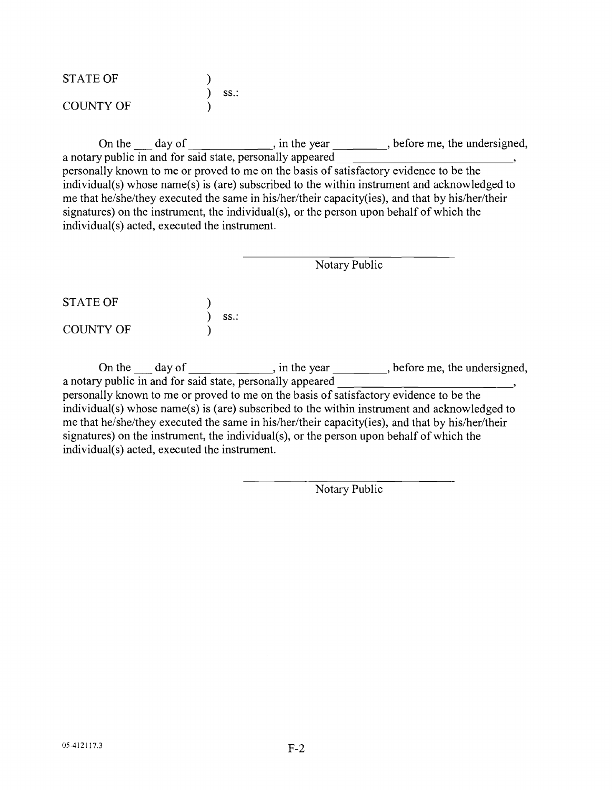| <b>STATE OF</b>  |      |
|------------------|------|
|                  | SS.: |
| <b>COUNTY OF</b> |      |

On the day of . in the year , before me, the undersigned, a notary public in and for said state, personally appeared <sup>5</sup> personally known to me or proved to me on the basis of satisfactory evidence to be the individual(s) whose name(s) is (are) subscribed to the within instrument and acknowledged to me that he/she/they executed the same in his/her/their capacity(ies), and that by his/her/their signatures) on the instrument, the individual(s), or the person upon behalf of which the individual(s) acted, executed the instrument.

Notary Public

STATE OF ss.: COUNTY OF

On the  $\frac{d}{dx}$  day of  $\frac{d}{dx}$ , in the year  $\frac{d}{dx}$ , before me, the undersigned, a notary public in and for said state, personally appeared personally known to me or proved to me on the basis of satisfactory evidence to be the individual(s) whose name(s) is (are) subscribed to the within instrument and acknowledged to me that he/she/they executed the same in his/her/their capacity(ies), and that by his/her/their signatures) on the instrument, the individual(s), or the person upon behalf of which the individual(s) acted, executed the instrument.

Notary Public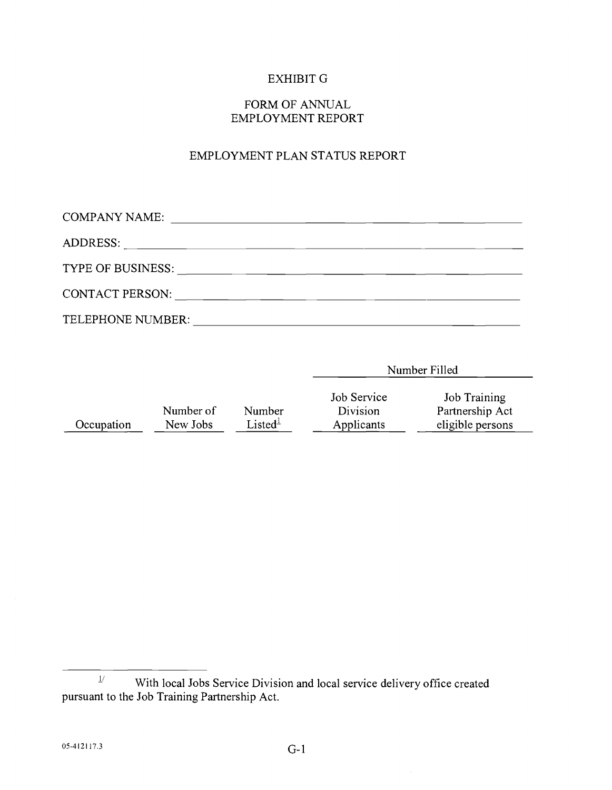## EXHIBIT G

### FORM OF ANNUAL EMPLOYMENT REPORT

# EMPLOYMENT PLAN STATUS REPORT

| <b>COMPANY NAME:</b><br><u> 1980 - Jan Samuel Barbara, margaret e populari e populari e populari e populari e populari e populari e popu</u> |  |  |
|----------------------------------------------------------------------------------------------------------------------------------------------|--|--|
|                                                                                                                                              |  |  |
| TYPE OF BUSINESS:                                                                                                                            |  |  |
| <b>CONTACT PERSON:</b>                                                                                                                       |  |  |
| TELEPHONE NUMBER:                                                                                                                            |  |  |

Number of Number<br>New Jobs Listed<sup>1</sup>  $\frac{\text{Number of}}{\text{New Jobs}}$  Number<br>  $\frac{\text{New Jobs}}{\text{Listed}^{\frac{1}{2}}}$ Job Service Job Training<br>Division Partnership Ac Division Partnership Act<br>Applicants eligible persons eligible persons

Number Filled

 $\frac{1}{4}$  With local Jobs Service Division and local service delivery office created pursuant to the Job Training Partnership Act.